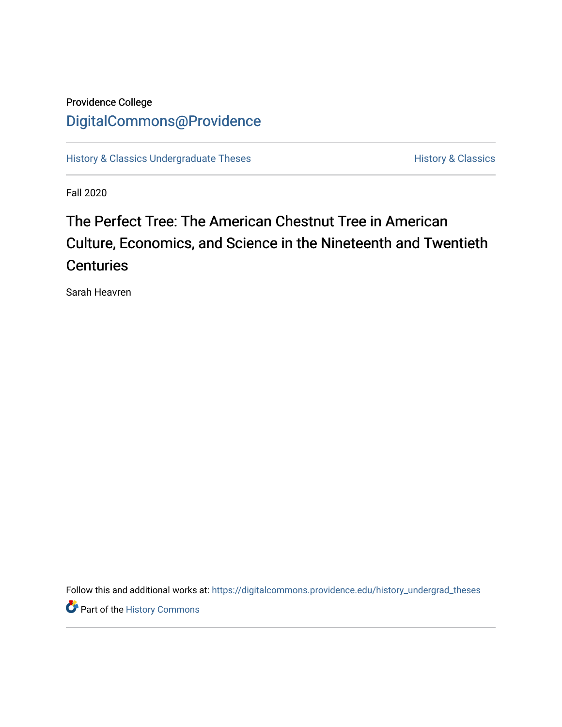# Providence College [DigitalCommons@Providence](https://digitalcommons.providence.edu/)

[History & Classics Undergraduate Theses](https://digitalcommons.providence.edu/history_undergrad_theses) **History & Classics** History & Classics

Fall 2020

# The Perfect Tree: The American Chestnut Tree in American Culture, Economics, and Science in the Nineteenth and Twentieth **Centuries**

Sarah Heavren

Follow this and additional works at: [https://digitalcommons.providence.edu/history\\_undergrad\\_theses](https://digitalcommons.providence.edu/history_undergrad_theses?utm_source=digitalcommons.providence.edu%2Fhistory_undergrad_theses%2F47&utm_medium=PDF&utm_campaign=PDFCoverPages) 

**Part of the History Commons**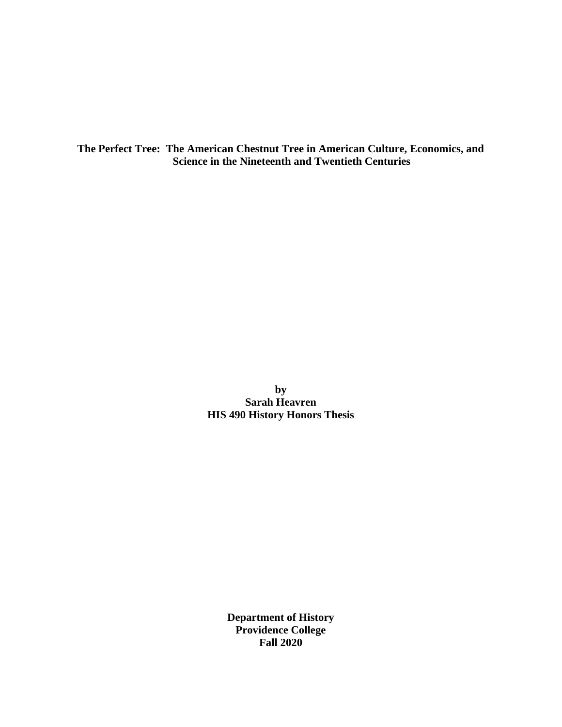**The Perfect Tree: The American Chestnut Tree in American Culture, Economics, and Science in the Nineteenth and Twentieth Centuries**

> **by Sarah Heavren HIS 490 History Honors Thesis**

> > **Department of History Providence College Fall 2020**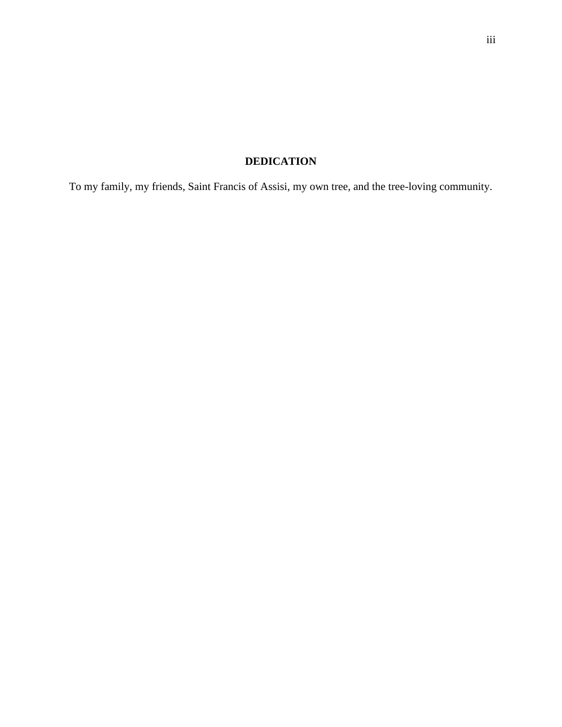## **DEDICATION**

To my family, my friends, Saint Francis of Assisi, my own tree, and the tree-loving community.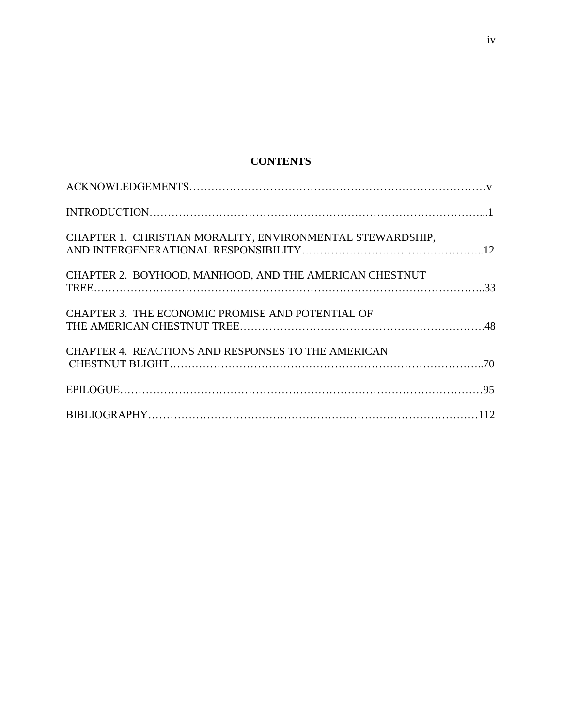## **CONTENTS**

| CHAPTER 1. CHRISTIAN MORALITY, ENVIRONMENTAL STEWARDSHIP, |  |
|-----------------------------------------------------------|--|
| CHAPTER 2. BOYHOOD, MANHOOD, AND THE AMERICAN CHESTNUT    |  |
| CHAPTER 3. THE ECONOMIC PROMISE AND POTENTIAL OF          |  |
| CHAPTER 4. REACTIONS AND RESPONSES TO THE AMERICAN        |  |
|                                                           |  |
|                                                           |  |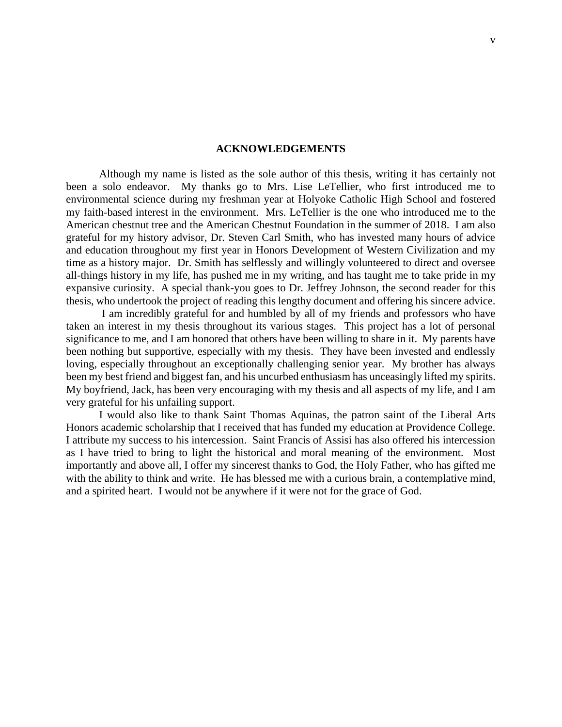#### **ACKNOWLEDGEMENTS**

Although my name is listed as the sole author of this thesis, writing it has certainly not been a solo endeavor. My thanks go to Mrs. Lise LeTellier, who first introduced me to environmental science during my freshman year at Holyoke Catholic High School and fostered my faith-based interest in the environment. Mrs. LeTellier is the one who introduced me to the American chestnut tree and the American Chestnut Foundation in the summer of 2018. I am also grateful for my history advisor, Dr. Steven Carl Smith, who has invested many hours of advice and education throughout my first year in Honors Development of Western Civilization and my time as a history major. Dr. Smith has selflessly and willingly volunteered to direct and oversee all-things history in my life, has pushed me in my writing, and has taught me to take pride in my expansive curiosity. A special thank-you goes to Dr. Jeffrey Johnson, the second reader for this thesis, who undertook the project of reading this lengthy document and offering his sincere advice.

I am incredibly grateful for and humbled by all of my friends and professors who have taken an interest in my thesis throughout its various stages. This project has a lot of personal significance to me, and I am honored that others have been willing to share in it. My parents have been nothing but supportive, especially with my thesis. They have been invested and endlessly loving, especially throughout an exceptionally challenging senior year. My brother has always been my best friend and biggest fan, and his uncurbed enthusiasm has unceasingly lifted my spirits. My boyfriend, Jack, has been very encouraging with my thesis and all aspects of my life, and I am very grateful for his unfailing support.

I would also like to thank Saint Thomas Aquinas, the patron saint of the Liberal Arts Honors academic scholarship that I received that has funded my education at Providence College. I attribute my success to his intercession. Saint Francis of Assisi has also offered his intercession as I have tried to bring to light the historical and moral meaning of the environment. Most importantly and above all, I offer my sincerest thanks to God, the Holy Father, who has gifted me with the ability to think and write. He has blessed me with a curious brain, a contemplative mind, and a spirited heart. I would not be anywhere if it were not for the grace of God.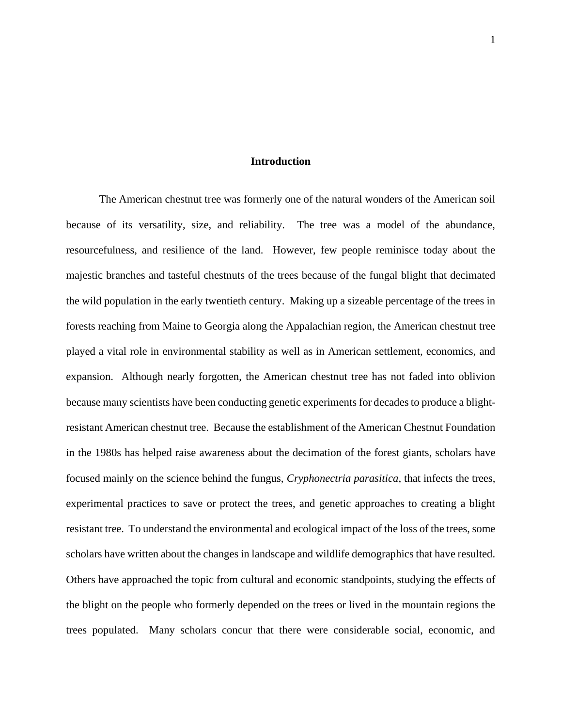#### **Introduction**

The American chestnut tree was formerly one of the natural wonders of the American soil because of its versatility, size, and reliability. The tree was a model of the abundance, resourcefulness, and resilience of the land. However, few people reminisce today about the majestic branches and tasteful chestnuts of the trees because of the fungal blight that decimated the wild population in the early twentieth century. Making up a sizeable percentage of the trees in forests reaching from Maine to Georgia along the Appalachian region, the American chestnut tree played a vital role in environmental stability as well as in American settlement, economics, and expansion. Although nearly forgotten, the American chestnut tree has not faded into oblivion because many scientists have been conducting genetic experiments for decades to produce a blightresistant American chestnut tree. Because the establishment of the American Chestnut Foundation in the 1980s has helped raise awareness about the decimation of the forest giants, scholars have focused mainly on the science behind the fungus, *Cryphonectria parasitica*, that infects the trees, experimental practices to save or protect the trees, and genetic approaches to creating a blight resistant tree. To understand the environmental and ecological impact of the loss of the trees, some scholars have written about the changes in landscape and wildlife demographics that have resulted. Others have approached the topic from cultural and economic standpoints, studying the effects of the blight on the people who formerly depended on the trees or lived in the mountain regions the trees populated. Many scholars concur that there were considerable social, economic, and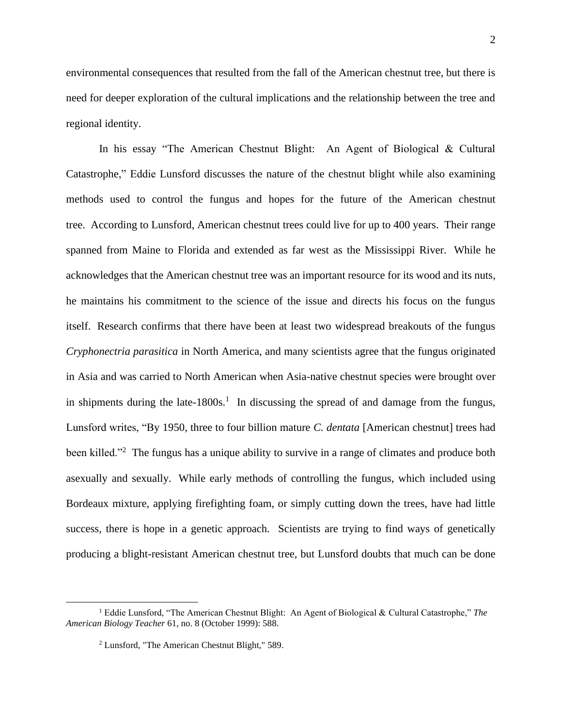environmental consequences that resulted from the fall of the American chestnut tree, but there is need for deeper exploration of the cultural implications and the relationship between the tree and

In his essay "The American Chestnut Blight: An Agent of Biological & Cultural Catastrophe," Eddie Lunsford discusses the nature of the chestnut blight while also examining methods used to control the fungus and hopes for the future of the American chestnut tree. According to Lunsford, American chestnut trees could live for up to 400 years. Their range spanned from Maine to Florida and extended as far west as the Mississippi River. While he acknowledges that the American chestnut tree was an important resource for its wood and its nuts, he maintains his commitment to the science of the issue and directs his focus on the fungus itself. Research confirms that there have been at least two widespread breakouts of the fungus *Cryphonectria parasitica* in North America, and many scientists agree that the fungus originated in Asia and was carried to North American when Asia-native chestnut species were brought over in shipments during the late-1800s.<sup>1</sup> In discussing the spread of and damage from the fungus, Lunsford writes, "By 1950, three to four billion mature *C. dentata* [American chestnut] trees had been killed."<sup>2</sup> The fungus has a unique ability to survive in a range of climates and produce both asexually and sexually. While early methods of controlling the fungus, which included using Bordeaux mixture, applying firefighting foam, or simply cutting down the trees, have had little success, there is hope in a genetic approach. Scientists are trying to find ways of genetically producing a blight-resistant American chestnut tree, but Lunsford doubts that much can be done

regional identity.

<sup>1</sup> Eddie Lunsford, "The American Chestnut Blight: An Agent of Biological & Cultural Catastrophe," *The American Biology Teacher* 61, no. 8 (October 1999): 588.

<sup>2</sup> Lunsford, "The American Chestnut Blight," 589.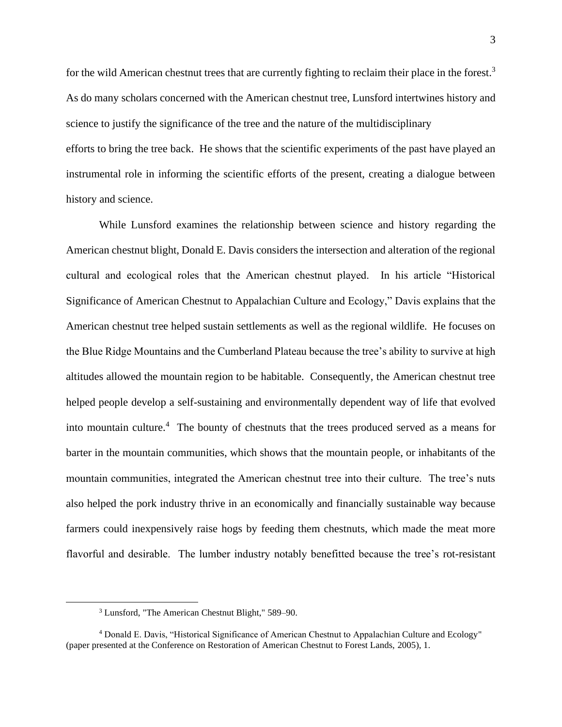for the wild American chestnut trees that are currently fighting to reclaim their place in the forest.<sup>3</sup> As do many scholars concerned with the American chestnut tree, Lunsford intertwines history and science to justify the significance of the tree and the nature of the multidisciplinary efforts to bring the tree back. He shows that the scientific experiments of the past have played an instrumental role in informing the scientific efforts of the present, creating a dialogue between history and science.

While Lunsford examines the relationship between science and history regarding the American chestnut blight, Donald E. Davis considers the intersection and alteration of the regional cultural and ecological roles that the American chestnut played. In his article "Historical Significance of American Chestnut to Appalachian Culture and Ecology," Davis explains that the American chestnut tree helped sustain settlements as well as the regional wildlife. He focuses on the Blue Ridge Mountains and the Cumberland Plateau because the tree's ability to survive at high altitudes allowed the mountain region to be habitable. Consequently, the American chestnut tree helped people develop a self-sustaining and environmentally dependent way of life that evolved into mountain culture.<sup>4</sup> The bounty of chestnuts that the trees produced served as a means for barter in the mountain communities, which shows that the mountain people, or inhabitants of the mountain communities, integrated the American chestnut tree into their culture. The tree's nuts also helped the pork industry thrive in an economically and financially sustainable way because farmers could inexpensively raise hogs by feeding them chestnuts, which made the meat more flavorful and desirable. The lumber industry notably benefitted because the tree's rot-resistant

<sup>3</sup> Lunsford, "The American Chestnut Blight," 589–90.

<sup>4</sup> Donald E. Davis, "Historical Significance of American Chestnut to Appalachian Culture and Ecology" (paper presented at the Conference on Restoration of American Chestnut to Forest Lands, 2005), 1.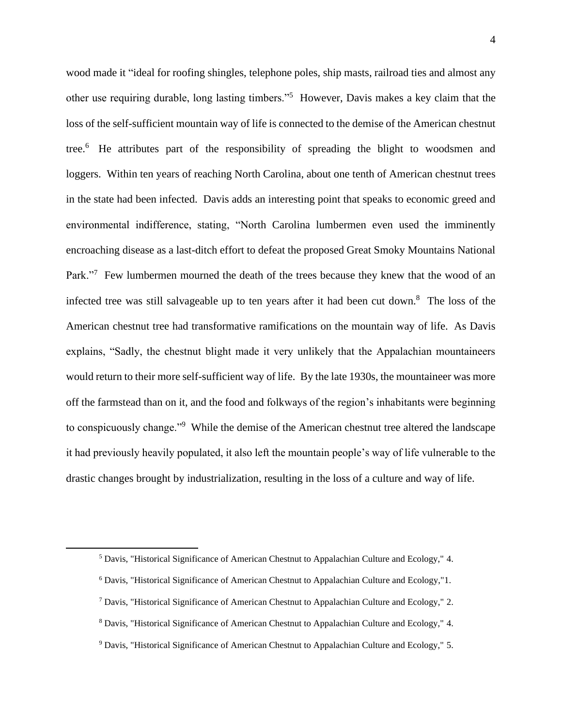wood made it "ideal for roofing shingles, telephone poles, ship masts, railroad ties and almost any other use requiring durable, long lasting timbers."<sup>5</sup> However, Davis makes a key claim that the loss of the self-sufficient mountain way of life is connected to the demise of the American chestnut tree.<sup>6</sup> He attributes part of the responsibility of spreading the blight to woodsmen and loggers. Within ten years of reaching North Carolina, about one tenth of American chestnut trees in the state had been infected. Davis adds an interesting point that speaks to economic greed and environmental indifference, stating, "North Carolina lumbermen even used the imminently encroaching disease as a last-ditch effort to defeat the proposed Great Smoky Mountains National Park."<sup>7</sup> Few lumbermen mourned the death of the trees because they knew that the wood of an infected tree was still salvageable up to ten years after it had been cut down.<sup>8</sup> The loss of the American chestnut tree had transformative ramifications on the mountain way of life. As Davis explains, "Sadly, the chestnut blight made it very unlikely that the Appalachian mountaineers would return to their more self-sufficient way of life. By the late 1930s, the mountaineer was more off the farmstead than on it, and the food and folkways of the region's inhabitants were beginning to conspicuously change."<sup>9</sup> While the demise of the American chestnut tree altered the landscape it had previously heavily populated, it also left the mountain people's way of life vulnerable to the drastic changes brought by industrialization, resulting in the loss of a culture and way of life.

<sup>5</sup> Davis, "Historical Significance of American Chestnut to Appalachian Culture and Ecology," 4.

<sup>6</sup> Davis, "Historical Significance of American Chestnut to Appalachian Culture and Ecology,"1.

<sup>7</sup> Davis, "Historical Significance of American Chestnut to Appalachian Culture and Ecology," 2.

<sup>8</sup> Davis, "Historical Significance of American Chestnut to Appalachian Culture and Ecology," 4.

<sup>9</sup> Davis, "Historical Significance of American Chestnut to Appalachian Culture and Ecology," 5.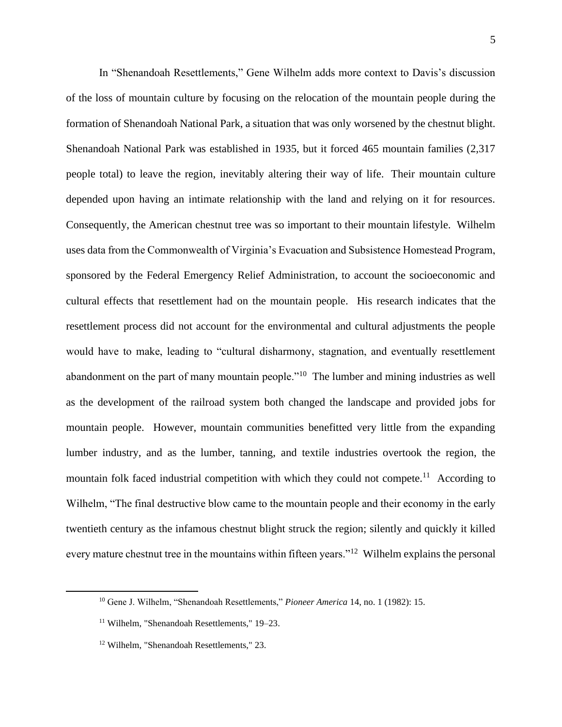In "Shenandoah Resettlements," Gene Wilhelm adds more context to Davis's discussion of the loss of mountain culture by focusing on the relocation of the mountain people during the formation of Shenandoah National Park, a situation that was only worsened by the chestnut blight. Shenandoah National Park was established in 1935, but it forced 465 mountain families (2,317 people total) to leave the region, inevitably altering their way of life. Their mountain culture depended upon having an intimate relationship with the land and relying on it for resources. Consequently, the American chestnut tree was so important to their mountain lifestyle. Wilhelm uses data from the Commonwealth of Virginia's Evacuation and Subsistence Homestead Program, sponsored by the Federal Emergency Relief Administration, to account the socioeconomic and cultural effects that resettlement had on the mountain people. His research indicates that the resettlement process did not account for the environmental and cultural adjustments the people would have to make, leading to "cultural disharmony, stagnation, and eventually resettlement abandonment on the part of many mountain people."<sup>10</sup> The lumber and mining industries as well as the development of the railroad system both changed the landscape and provided jobs for mountain people. However, mountain communities benefitted very little from the expanding lumber industry, and as the lumber, tanning, and textile industries overtook the region, the mountain folk faced industrial competition with which they could not compete.<sup>11</sup> According to Wilhelm, "The final destructive blow came to the mountain people and their economy in the early twentieth century as the infamous chestnut blight struck the region; silently and quickly it killed every mature chestnut tree in the mountains within fifteen years."<sup>12</sup> Wilhelm explains the personal

<sup>10</sup> Gene J. Wilhelm, "Shenandoah Resettlements," *Pioneer America* 14, no. 1 (1982): 15.

<sup>11</sup> Wilhelm, "Shenandoah Resettlements," 19–23.

<sup>12</sup> Wilhelm, "Shenandoah Resettlements," 23.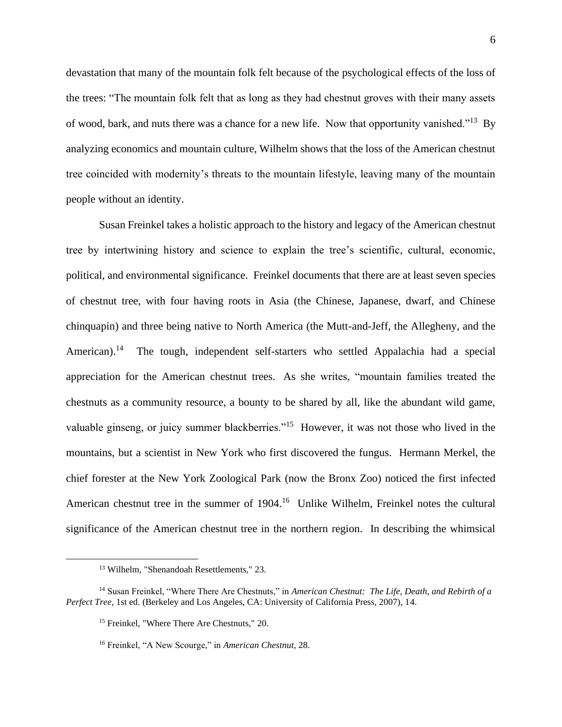devastation that many of the mountain folk felt because of the psychological effects of the loss of the trees: "The mountain folk felt that as long as they had chestnut groves with their many assets of wood, bark, and nuts there was a chance for a new life. Now that opportunity vanished."<sup>13</sup> By analyzing economics and mountain culture, Wilhelm shows that the loss of the American chestnut tree coincided with modernity's threats to the mountain lifestyle, leaving many of the mountain people without an identity.

Susan Freinkel takes a holistic approach to the history and legacy of the American chestnut tree by intertwining history and science to explain the tree's scientific, cultural, economic, political, and environmental significance. Freinkel documents that there are at least seven species of chestnut tree, with four having roots in Asia (the Chinese, Japanese, dwarf, and Chinese chinquapin) and three being native to North America (the Mutt-and-Jeff, the Allegheny, and the American).<sup>14</sup> The tough, independent self-starters who settled Appalachia had a special appreciation for the American chestnut trees. As she writes, "mountain families treated the chestnuts as a community resource, a bounty to be shared by all, like the abundant wild game, valuable ginseng, or juicy summer blackberries."<sup>15</sup> However, it was not those who lived in the mountains, but a scientist in New York who first discovered the fungus. Hermann Merkel, the chief forester at the New York Zoological Park (now the Bronx Zoo) noticed the first infected American chestnut tree in the summer of 1904.<sup>16</sup> Unlike Wilhelm, Freinkel notes the cultural significance of the American chestnut tree in the northern region. In describing the whimsical

<sup>13</sup> Wilhelm, "Shenandoah Resettlements," 23.

<sup>14</sup> Susan Freinkel, "Where There Are Chestnuts," in *American Chestnut: The Life, Death, and Rebirth of a Perfect Tree*, 1st ed. (Berkeley and Los Angeles, CA: University of California Press, 2007), 14.

<sup>15</sup> Freinkel, "Where There Are Chestnuts," 20.

<sup>16</sup> Freinkel, "A New Scourge," in *American Chestnut*, 28.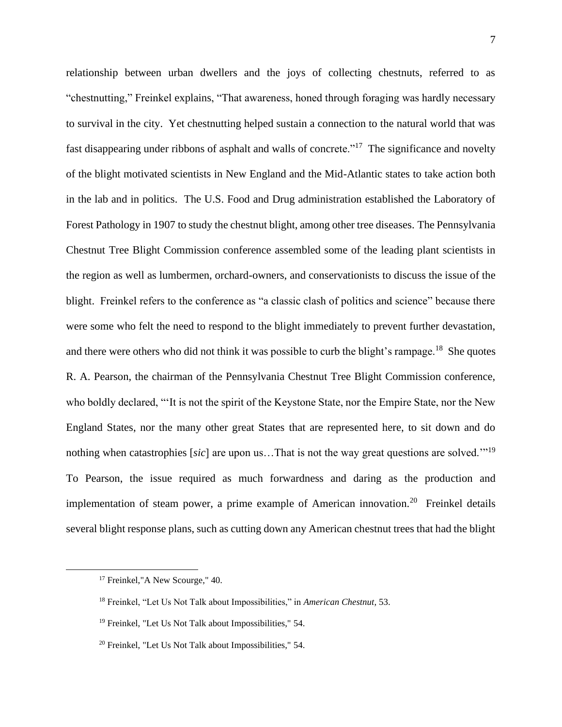relationship between urban dwellers and the joys of collecting chestnuts, referred to as "chestnutting," Freinkel explains, "That awareness, honed through foraging was hardly necessary to survival in the city. Yet chestnutting helped sustain a connection to the natural world that was fast disappearing under ribbons of asphalt and walls of concrete."<sup>17</sup> The significance and novelty of the blight motivated scientists in New England and the Mid-Atlantic states to take action both in the lab and in politics. The U.S. Food and Drug administration established the Laboratory of Forest Pathology in 1907 to study the chestnut blight, among other tree diseases. The Pennsylvania Chestnut Tree Blight Commission conference assembled some of the leading plant scientists in the region as well as lumbermen, orchard-owners, and conservationists to discuss the issue of the blight. Freinkel refers to the conference as "a classic clash of politics and science" because there were some who felt the need to respond to the blight immediately to prevent further devastation, and there were others who did not think it was possible to curb the blight's rampage.<sup>18</sup> She quotes R. A. Pearson, the chairman of the Pennsylvania Chestnut Tree Blight Commission conference, who boldly declared, "'It is not the spirit of the Keystone State, nor the Empire State, nor the New England States, nor the many other great States that are represented here, to sit down and do nothing when catastrophies [*sic*] are upon us…That is not the way great questions are solved.'"<sup>19</sup> To Pearson, the issue required as much forwardness and daring as the production and implementation of steam power, a prime example of American innovation.<sup>20</sup> Freinkel details several blight response plans, such as cutting down any American chestnut trees that had the blight

<sup>&</sup>lt;sup>17</sup> Freinkel,"A New Scourge," 40.

<sup>18</sup> Freinkel, "Let Us Not Talk about Impossibilities," in *American Chestnut,* 53.

<sup>19</sup> Freinkel, "Let Us Not Talk about Impossibilities," 54.

<sup>20</sup> Freinkel, "Let Us Not Talk about Impossibilities," 54.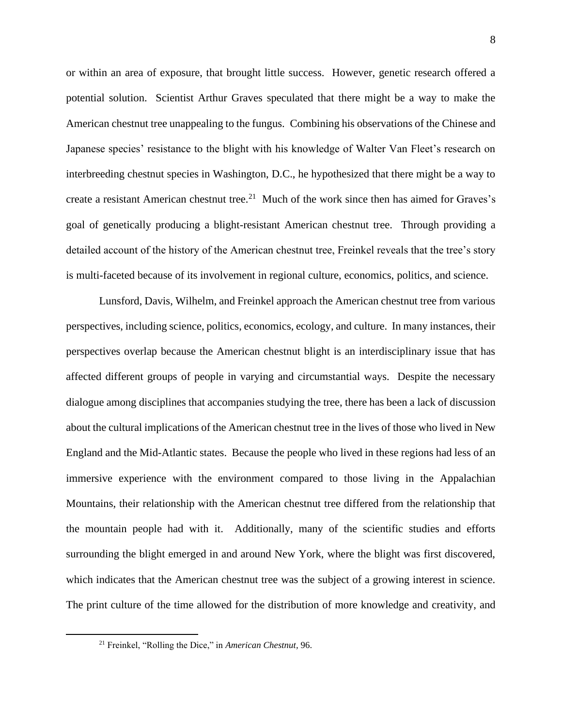or within an area of exposure, that brought little success. However, genetic research offered a potential solution. Scientist Arthur Graves speculated that there might be a way to make the American chestnut tree unappealing to the fungus. Combining his observations of the Chinese and Japanese species' resistance to the blight with his knowledge of Walter Van Fleet's research on interbreeding chestnut species in Washington, D.C., he hypothesized that there might be a way to create a resistant American chestnut tree.<sup>21</sup> Much of the work since then has aimed for Graves's goal of genetically producing a blight-resistant American chestnut tree. Through providing a detailed account of the history of the American chestnut tree, Freinkel reveals that the tree's story is multi-faceted because of its involvement in regional culture, economics, politics, and science.

Lunsford, Davis, Wilhelm, and Freinkel approach the American chestnut tree from various perspectives, including science, politics, economics, ecology, and culture. In many instances, their perspectives overlap because the American chestnut blight is an interdisciplinary issue that has affected different groups of people in varying and circumstantial ways. Despite the necessary dialogue among disciplines that accompanies studying the tree, there has been a lack of discussion about the cultural implications of the American chestnut tree in the lives of those who lived in New England and the Mid-Atlantic states. Because the people who lived in these regions had less of an immersive experience with the environment compared to those living in the Appalachian Mountains, their relationship with the American chestnut tree differed from the relationship that the mountain people had with it. Additionally, many of the scientific studies and efforts surrounding the blight emerged in and around New York, where the blight was first discovered, which indicates that the American chestnut tree was the subject of a growing interest in science. The print culture of the time allowed for the distribution of more knowledge and creativity, and

<sup>21</sup> Freinkel, "Rolling the Dice," in *American Chestnut,* 96.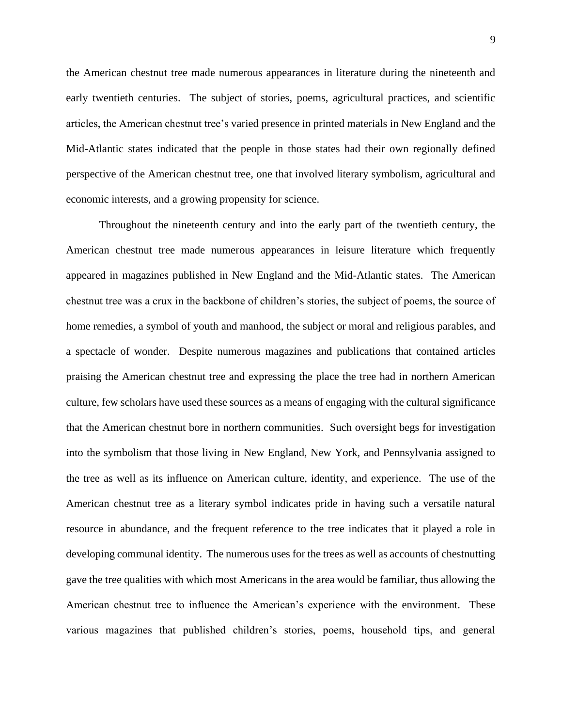the American chestnut tree made numerous appearances in literature during the nineteenth and early twentieth centuries. The subject of stories, poems, agricultural practices, and scientific articles, the American chestnut tree's varied presence in printed materials in New England and the Mid-Atlantic states indicated that the people in those states had their own regionally defined perspective of the American chestnut tree, one that involved literary symbolism, agricultural and economic interests, and a growing propensity for science.

Throughout the nineteenth century and into the early part of the twentieth century, the American chestnut tree made numerous appearances in leisure literature which frequently appeared in magazines published in New England and the Mid-Atlantic states. The American chestnut tree was a crux in the backbone of children's stories, the subject of poems, the source of home remedies, a symbol of youth and manhood, the subject or moral and religious parables, and a spectacle of wonder. Despite numerous magazines and publications that contained articles praising the American chestnut tree and expressing the place the tree had in northern American culture, few scholars have used these sources as a means of engaging with the cultural significance that the American chestnut bore in northern communities. Such oversight begs for investigation into the symbolism that those living in New England, New York, and Pennsylvania assigned to the tree as well as its influence on American culture, identity, and experience. The use of the American chestnut tree as a literary symbol indicates pride in having such a versatile natural resource in abundance, and the frequent reference to the tree indicates that it played a role in developing communal identity. The numerous uses for the trees as well as accounts of chestnutting gave the tree qualities with which most Americans in the area would be familiar, thus allowing the American chestnut tree to influence the American's experience with the environment. These various magazines that published children's stories, poems, household tips, and general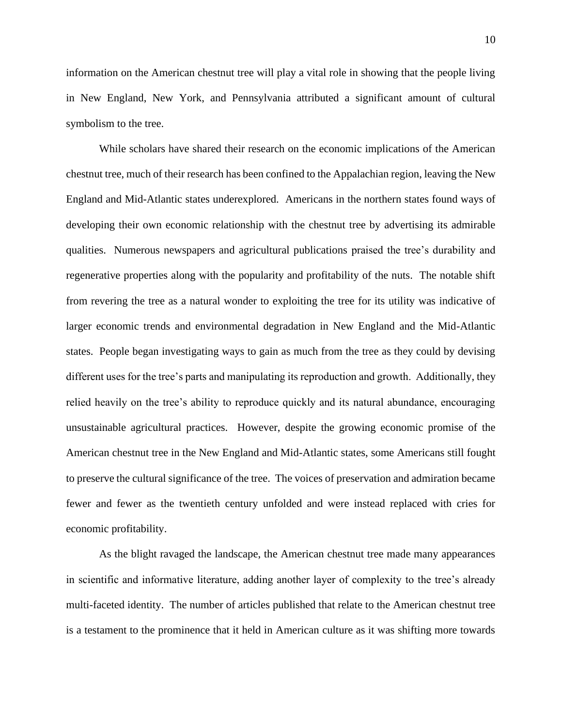information on the American chestnut tree will play a vital role in showing that the people living in New England, New York, and Pennsylvania attributed a significant amount of cultural symbolism to the tree.

While scholars have shared their research on the economic implications of the American chestnut tree, much of their research has been confined to the Appalachian region, leaving the New England and Mid-Atlantic states underexplored. Americans in the northern states found ways of developing their own economic relationship with the chestnut tree by advertising its admirable qualities. Numerous newspapers and agricultural publications praised the tree's durability and regenerative properties along with the popularity and profitability of the nuts. The notable shift from revering the tree as a natural wonder to exploiting the tree for its utility was indicative of larger economic trends and environmental degradation in New England and the Mid-Atlantic states. People began investigating ways to gain as much from the tree as they could by devising different uses for the tree's parts and manipulating its reproduction and growth. Additionally, they relied heavily on the tree's ability to reproduce quickly and its natural abundance, encouraging unsustainable agricultural practices. However, despite the growing economic promise of the American chestnut tree in the New England and Mid-Atlantic states, some Americans still fought to preserve the cultural significance of the tree. The voices of preservation and admiration became fewer and fewer as the twentieth century unfolded and were instead replaced with cries for economic profitability.

As the blight ravaged the landscape, the American chestnut tree made many appearances in scientific and informative literature, adding another layer of complexity to the tree's already multi-faceted identity. The number of articles published that relate to the American chestnut tree is a testament to the prominence that it held in American culture as it was shifting more towards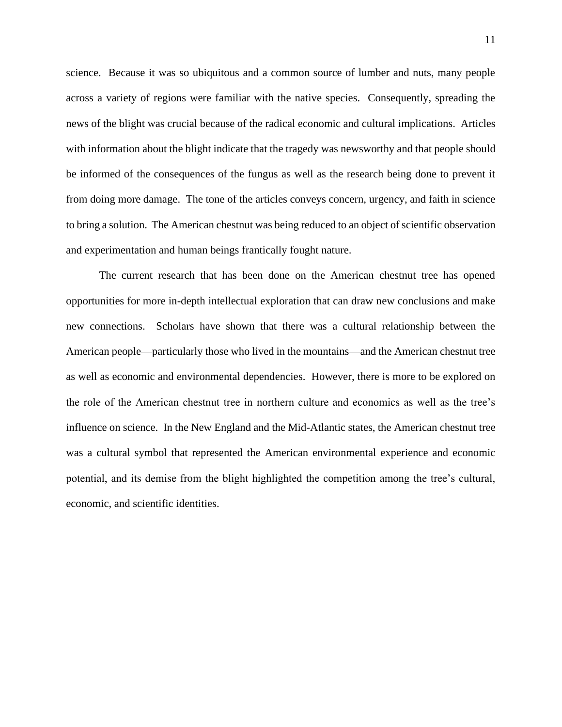science. Because it was so ubiquitous and a common source of lumber and nuts, many people across a variety of regions were familiar with the native species. Consequently, spreading the news of the blight was crucial because of the radical economic and cultural implications. Articles with information about the blight indicate that the tragedy was newsworthy and that people should be informed of the consequences of the fungus as well as the research being done to prevent it from doing more damage. The tone of the articles conveys concern, urgency, and faith in science to bring a solution. The American chestnut was being reduced to an object of scientific observation and experimentation and human beings frantically fought nature.

The current research that has been done on the American chestnut tree has opened opportunities for more in-depth intellectual exploration that can draw new conclusions and make new connections. Scholars have shown that there was a cultural relationship between the American people—particularly those who lived in the mountains—and the American chestnut tree as well as economic and environmental dependencies. However, there is more to be explored on the role of the American chestnut tree in northern culture and economics as well as the tree's influence on science. In the New England and the Mid-Atlantic states, the American chestnut tree was a cultural symbol that represented the American environmental experience and economic potential, and its demise from the blight highlighted the competition among the tree's cultural, economic, and scientific identities.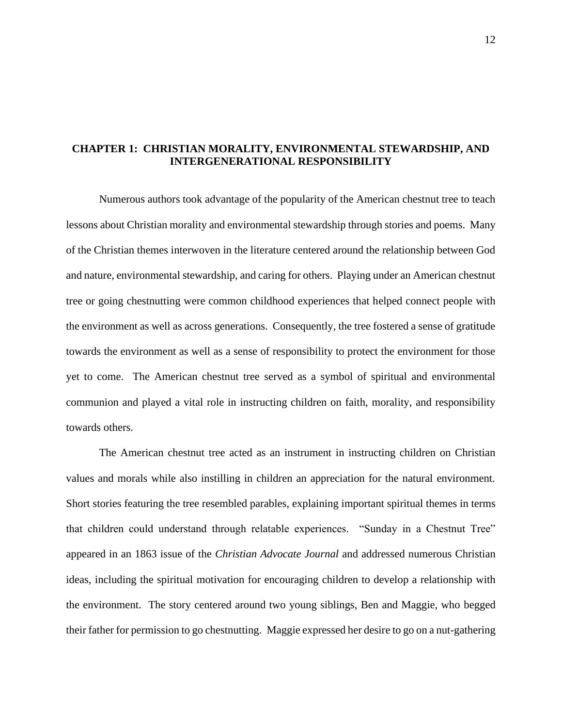### **CHAPTER 1: CHRISTIAN MORALITY, ENVIRONMENTAL STEWARDSHIP, AND INTERGENERATIONAL RESPONSIBILITY**

Numerous authors took advantage of the popularity of the American chestnut tree to teach lessons about Christian morality and environmental stewardship through stories and poems. Many of the Christian themes interwoven in the literature centered around the relationship between God and nature, environmental stewardship, and caring for others. Playing under an American chestnut tree or going chestnutting were common childhood experiences that helped connect people with the environment as well as across generations. Consequently, the tree fostered a sense of gratitude towards the environment as well as a sense of responsibility to protect the environment for those yet to come. The American chestnut tree served as a symbol of spiritual and environmental communion and played a vital role in instructing children on faith, morality, and responsibility towards others.

The American chestnut tree acted as an instrument in instructing children on Christian values and morals while also instilling in children an appreciation for the natural environment. Short stories featuring the tree resembled parables, explaining important spiritual themes in terms that children could understand through relatable experiences. "Sunday in a Chestnut Tree" appeared in an 1863 issue of the *Christian Advocate Journal* and addressed numerous Christian ideas, including the spiritual motivation for encouraging children to develop a relationship with the environment. The story centered around two young siblings, Ben and Maggie, who begged their father for permission to go chestnutting. Maggie expressed her desire to go on a nut-gathering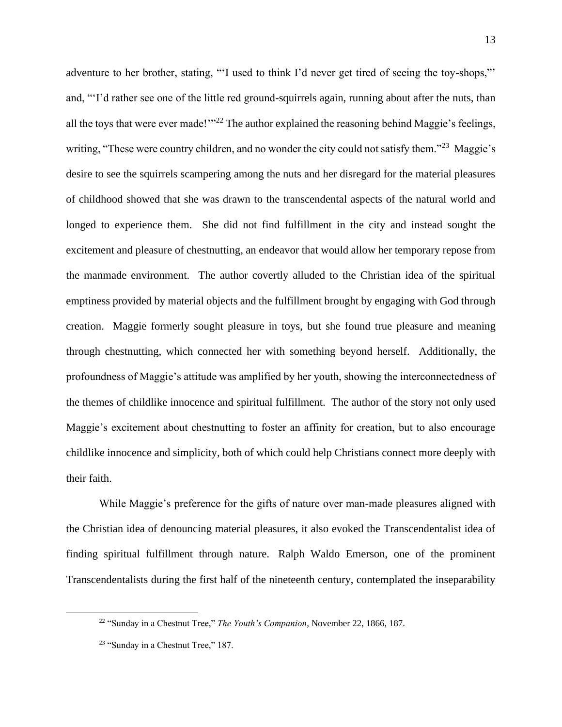adventure to her brother, stating, "'I used to think I'd never get tired of seeing the toy-shops,"' and, "'I'd rather see one of the little red ground-squirrels again, running about after the nuts, than all the toys that were ever made!"<sup>22</sup> The author explained the reasoning behind Maggie's feelings, writing, "These were country children, and no wonder the city could not satisfy them."<sup>23</sup> Maggie's desire to see the squirrels scampering among the nuts and her disregard for the material pleasures of childhood showed that she was drawn to the transcendental aspects of the natural world and longed to experience them. She did not find fulfillment in the city and instead sought the excitement and pleasure of chestnutting, an endeavor that would allow her temporary repose from the manmade environment. The author covertly alluded to the Christian idea of the spiritual emptiness provided by material objects and the fulfillment brought by engaging with God through creation. Maggie formerly sought pleasure in toys, but she found true pleasure and meaning through chestnutting, which connected her with something beyond herself. Additionally, the profoundness of Maggie's attitude was amplified by her youth, showing the interconnectedness of the themes of childlike innocence and spiritual fulfillment. The author of the story not only used Maggie's excitement about chestnutting to foster an affinity for creation, but to also encourage childlike innocence and simplicity, both of which could help Christians connect more deeply with their faith.

While Maggie's preference for the gifts of nature over man-made pleasures aligned with the Christian idea of denouncing material pleasures, it also evoked the Transcendentalist idea of finding spiritual fulfillment through nature. Ralph Waldo Emerson, one of the prominent Transcendentalists during the first half of the nineteenth century, contemplated the inseparability

<sup>22</sup> "Sunday in a Chestnut Tree," *The Youth's Companion*, November 22, 1866, 187.

<sup>&</sup>lt;sup>23</sup> "Sunday in a Chestnut Tree," 187.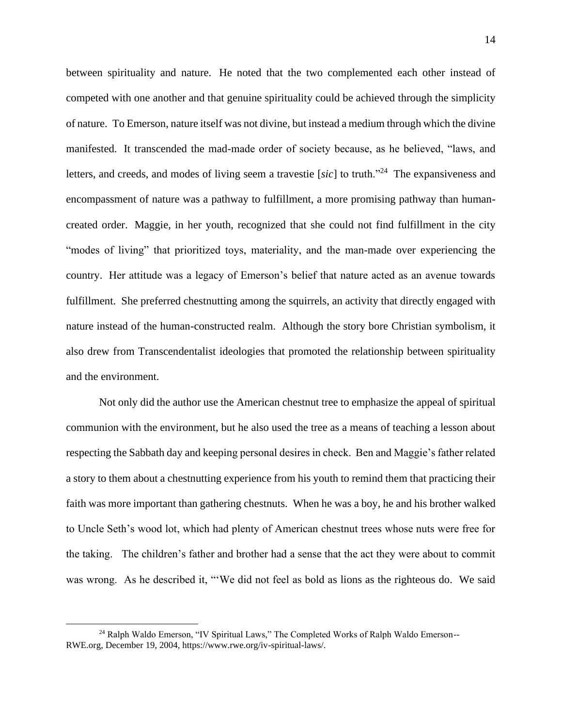between spirituality and nature. He noted that the two complemented each other instead of competed with one another and that genuine spirituality could be achieved through the simplicity of nature. To Emerson, nature itself was not divine, but instead a medium through which the divine manifested. It transcended the mad-made order of society because, as he believed, "laws, and letters, and creeds, and modes of living seem a travestie [sic] to truth.<sup>224</sup> The expansiveness and encompassment of nature was a pathway to fulfillment, a more promising pathway than humancreated order. Maggie, in her youth, recognized that she could not find fulfillment in the city "modes of living" that prioritized toys, materiality, and the man-made over experiencing the country. Her attitude was a legacy of Emerson's belief that nature acted as an avenue towards fulfillment. She preferred chestnutting among the squirrels, an activity that directly engaged with nature instead of the human-constructed realm. Although the story bore Christian symbolism, it also drew from Transcendentalist ideologies that promoted the relationship between spirituality and the environment.

Not only did the author use the American chestnut tree to emphasize the appeal of spiritual communion with the environment, but he also used the tree as a means of teaching a lesson about respecting the Sabbath day and keeping personal desires in check. Ben and Maggie's father related a story to them about a chestnutting experience from his youth to remind them that practicing their faith was more important than gathering chestnuts. When he was a boy, he and his brother walked to Uncle Seth's wood lot, which had plenty of American chestnut trees whose nuts were free for the taking. The children's father and brother had a sense that the act they were about to commit was wrong. As he described it, "'We did not feel as bold as lions as the righteous do. We said

<sup>24</sup> Ralph Waldo Emerson, "IV Spiritual Laws," The Completed Works of Ralph Waldo Emerson-- RWE.org, December 19, 2004, https://www.rwe.org/iv-spiritual-laws/.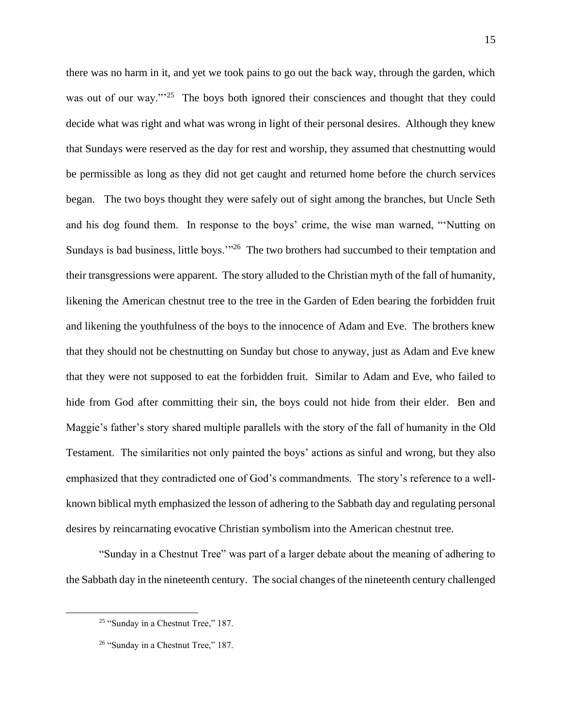there was no harm in it, and yet we took pains to go out the back way, through the garden, which was out of our way."<sup>25</sup> The boys both ignored their consciences and thought that they could decide what was right and what was wrong in light of their personal desires. Although they knew that Sundays were reserved as the day for rest and worship, they assumed that chestnutting would be permissible as long as they did not get caught and returned home before the church services began. The two boys thought they were safely out of sight among the branches, but Uncle Seth and his dog found them. In response to the boys' crime, the wise man warned, "'Nutting on Sundays is bad business, little boys."<sup>26</sup> The two brothers had succumbed to their temptation and their transgressions were apparent. The story alluded to the Christian myth of the fall of humanity, likening the American chestnut tree to the tree in the Garden of Eden bearing the forbidden fruit and likening the youthfulness of the boys to the innocence of Adam and Eve. The brothers knew that they should not be chestnutting on Sunday but chose to anyway, just as Adam and Eve knew that they were not supposed to eat the forbidden fruit. Similar to Adam and Eve, who failed to hide from God after committing their sin, the boys could not hide from their elder. Ben and Maggie's father's story shared multiple parallels with the story of the fall of humanity in the Old Testament. The similarities not only painted the boys' actions as sinful and wrong, but they also emphasized that they contradicted one of God's commandments. The story's reference to a wellknown biblical myth emphasized the lesson of adhering to the Sabbath day and regulating personal desires by reincarnating evocative Christian symbolism into the American chestnut tree.

"Sunday in a Chestnut Tree" was part of a larger debate about the meaning of adhering to the Sabbath day in the nineteenth century. The social changes of the nineteenth century challenged

<sup>&</sup>lt;sup>25</sup> "Sunday in a Chestnut Tree," 187.

<sup>&</sup>lt;sup>26</sup> "Sunday in a Chestnut Tree," 187.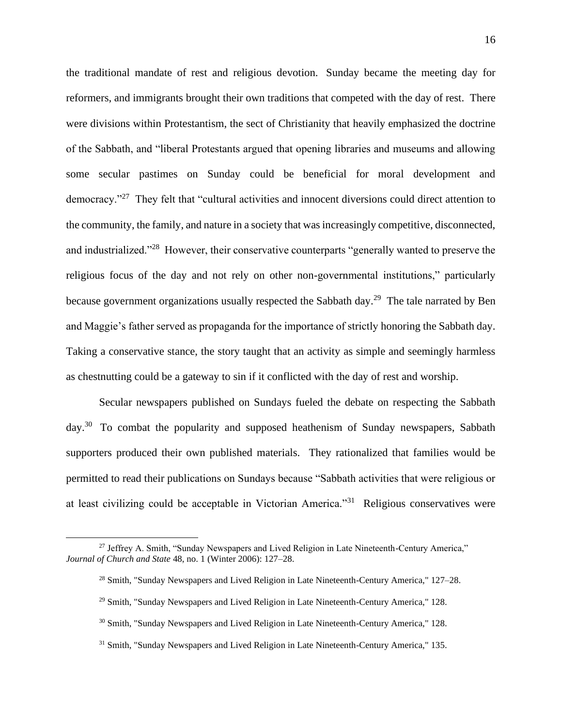the traditional mandate of rest and religious devotion. Sunday became the meeting day for reformers, and immigrants brought their own traditions that competed with the day of rest. There were divisions within Protestantism, the sect of Christianity that heavily emphasized the doctrine of the Sabbath, and "liberal Protestants argued that opening libraries and museums and allowing some secular pastimes on Sunday could be beneficial for moral development and democracy."<sup>27</sup> They felt that "cultural activities and innocent diversions could direct attention to the community, the family, and nature in a society that was increasingly competitive, disconnected, and industrialized."<sup>28</sup> However, their conservative counterparts "generally wanted to preserve the religious focus of the day and not rely on other non-governmental institutions," particularly because government organizations usually respected the Sabbath day.<sup>29</sup> The tale narrated by Ben and Maggie's father served as propaganda for the importance of strictly honoring the Sabbath day. Taking a conservative stance, the story taught that an activity as simple and seemingly harmless as chestnutting could be a gateway to sin if it conflicted with the day of rest and worship.

Secular newspapers published on Sundays fueled the debate on respecting the Sabbath day.<sup>30</sup> To combat the popularity and supposed heathenism of Sunday newspapers, Sabbath supporters produced their own published materials. They rationalized that families would be permitted to read their publications on Sundays because "Sabbath activities that were religious or at least civilizing could be acceptable in Victorian America."<sup>31</sup> Religious conservatives were

<sup>&</sup>lt;sup>27</sup> Jeffrey A. Smith, "Sunday Newspapers and Lived Religion in Late Nineteenth-Century America," *Journal of Church and State* 48, no. 1 (Winter 2006): 127–28.

<sup>28</sup> Smith, "Sunday Newspapers and Lived Religion in Late Nineteenth-Century America," 127–28.

<sup>&</sup>lt;sup>29</sup> Smith, "Sunday Newspapers and Lived Religion in Late Nineteenth-Century America," 128.

<sup>30</sup> Smith, "Sunday Newspapers and Lived Religion in Late Nineteenth-Century America," 128.

<sup>&</sup>lt;sup>31</sup> Smith, "Sunday Newspapers and Lived Religion in Late Nineteenth-Century America," 135.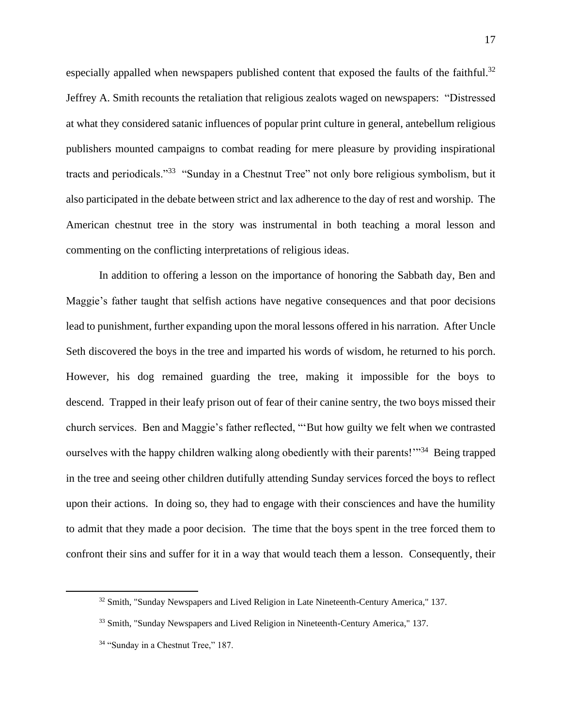especially appalled when newspapers published content that exposed the faults of the faithful.<sup>32</sup> Jeffrey A. Smith recounts the retaliation that religious zealots waged on newspapers: "Distressed at what they considered satanic influences of popular print culture in general, antebellum religious publishers mounted campaigns to combat reading for mere pleasure by providing inspirational tracts and periodicals."<sup>33</sup> "Sunday in a Chestnut Tree" not only bore religious symbolism, but it also participated in the debate between strict and lax adherence to the day of rest and worship. The American chestnut tree in the story was instrumental in both teaching a moral lesson and commenting on the conflicting interpretations of religious ideas.

In addition to offering a lesson on the importance of honoring the Sabbath day, Ben and Maggie's father taught that selfish actions have negative consequences and that poor decisions lead to punishment, further expanding upon the moral lessons offered in his narration. After Uncle Seth discovered the boys in the tree and imparted his words of wisdom, he returned to his porch. However, his dog remained guarding the tree, making it impossible for the boys to descend. Trapped in their leafy prison out of fear of their canine sentry, the two boys missed their church services. Ben and Maggie's father reflected, "'But how guilty we felt when we contrasted ourselves with the happy children walking along obediently with their parents!"<sup>34</sup> Being trapped in the tree and seeing other children dutifully attending Sunday services forced the boys to reflect upon their actions. In doing so, they had to engage with their consciences and have the humility to admit that they made a poor decision. The time that the boys spent in the tree forced them to confront their sins and suffer for it in a way that would teach them a lesson. Consequently, their

<sup>&</sup>lt;sup>32</sup> Smith, "Sunday Newspapers and Lived Religion in Late Nineteenth-Century America," 137.

<sup>33</sup> Smith, "Sunday Newspapers and Lived Religion in Nineteenth-Century America," 137.

<sup>&</sup>lt;sup>34</sup> "Sunday in a Chestnut Tree," 187.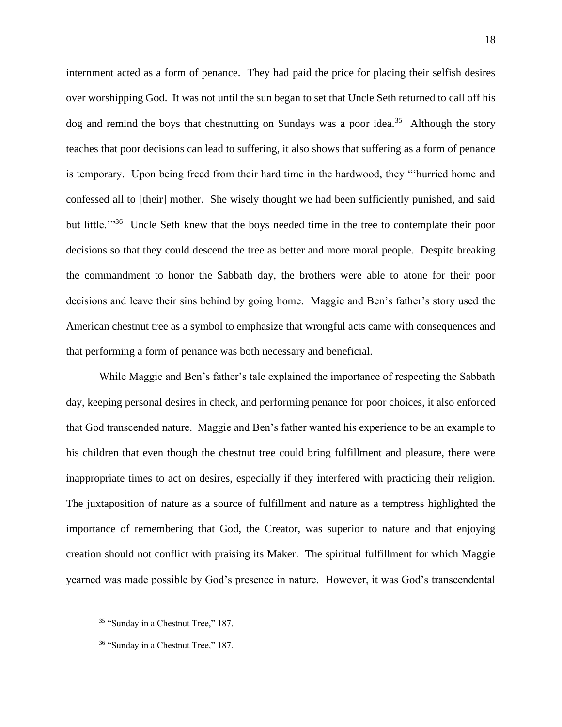internment acted as a form of penance. They had paid the price for placing their selfish desires over worshipping God. It was not until the sun began to set that Uncle Seth returned to call off his dog and remind the boys that chestnutting on Sundays was a poor idea.<sup>35</sup> Although the story teaches that poor decisions can lead to suffering, it also shows that suffering as a form of penance is temporary. Upon being freed from their hard time in the hardwood, they "'hurried home and confessed all to [their] mother. She wisely thought we had been sufficiently punished, and said but little.<sup>"36</sup> Uncle Seth knew that the boys needed time in the tree to contemplate their poor decisions so that they could descend the tree as better and more moral people. Despite breaking the commandment to honor the Sabbath day, the brothers were able to atone for their poor decisions and leave their sins behind by going home. Maggie and Ben's father's story used the American chestnut tree as a symbol to emphasize that wrongful acts came with consequences and that performing a form of penance was both necessary and beneficial.

While Maggie and Ben's father's tale explained the importance of respecting the Sabbath day, keeping personal desires in check, and performing penance for poor choices, it also enforced that God transcended nature. Maggie and Ben's father wanted his experience to be an example to his children that even though the chestnut tree could bring fulfillment and pleasure, there were inappropriate times to act on desires, especially if they interfered with practicing their religion. The juxtaposition of nature as a source of fulfillment and nature as a temptress highlighted the importance of remembering that God, the Creator, was superior to nature and that enjoying creation should not conflict with praising its Maker. The spiritual fulfillment for which Maggie yearned was made possible by God's presence in nature. However, it was God's transcendental

<sup>&</sup>lt;sup>35</sup> "Sunday in a Chestnut Tree," 187.

<sup>&</sup>lt;sup>36</sup> "Sunday in a Chestnut Tree," 187.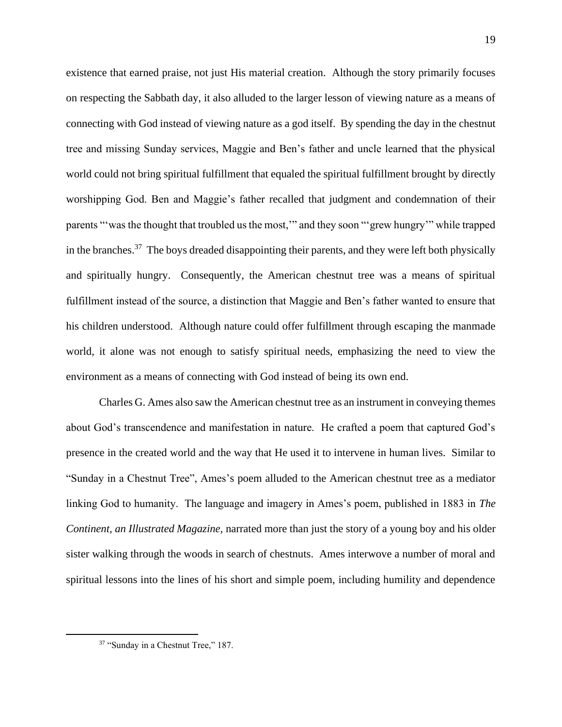existence that earned praise, not just His material creation. Although the story primarily focuses on respecting the Sabbath day, it also alluded to the larger lesson of viewing nature as a means of connecting with God instead of viewing nature as a god itself. By spending the day in the chestnut tree and missing Sunday services, Maggie and Ben's father and uncle learned that the physical world could not bring spiritual fulfillment that equaled the spiritual fulfillment brought by directly worshipping God. Ben and Maggie's father recalled that judgment and condemnation of their parents "'was the thought that troubled us the most,'" and they soon "'grew hungry'" while trapped in the branches.<sup>37</sup> The boys dreaded disappointing their parents, and they were left both physically and spiritually hungry. Consequently, the American chestnut tree was a means of spiritual fulfillment instead of the source, a distinction that Maggie and Ben's father wanted to ensure that his children understood. Although nature could offer fulfillment through escaping the manmade world, it alone was not enough to satisfy spiritual needs, emphasizing the need to view the environment as a means of connecting with God instead of being its own end.

Charles G. Ames also saw the American chestnut tree as an instrument in conveying themes about God's transcendence and manifestation in nature. He crafted a poem that captured God's presence in the created world and the way that He used it to intervene in human lives. Similar to "Sunday in a Chestnut Tree", Ames's poem alluded to the American chestnut tree as a mediator linking God to humanity. The language and imagery in Ames's poem, published in 1883 in *The Continent, an Illustrated Magazine,* narrated more than just the story of a young boy and his older sister walking through the woods in search of chestnuts. Ames interwove a number of moral and spiritual lessons into the lines of his short and simple poem, including humility and dependence

<sup>&</sup>lt;sup>37</sup> "Sunday in a Chestnut Tree," 187.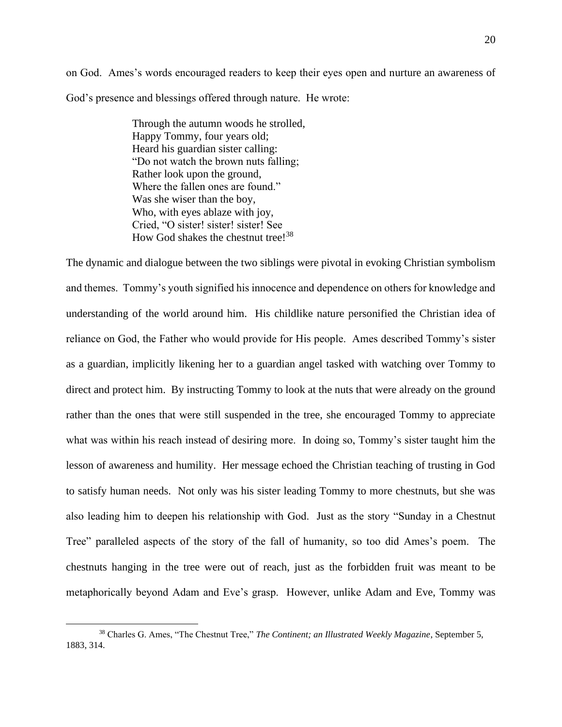on God. Ames's words encouraged readers to keep their eyes open and nurture an awareness of God's presence and blessings offered through nature. He wrote:

> Through the autumn woods he strolled, Happy Tommy, four years old; Heard his guardian sister calling: "Do not watch the brown nuts falling; Rather look upon the ground, Where the fallen ones are found." Was she wiser than the boy, Who, with eyes ablaze with joy, Cried, "O sister! sister! sister! See How God shakes the chestnut tree!<sup>38</sup>

The dynamic and dialogue between the two siblings were pivotal in evoking Christian symbolism and themes. Tommy's youth signified his innocence and dependence on others for knowledge and understanding of the world around him. His childlike nature personified the Christian idea of reliance on God, the Father who would provide for His people. Ames described Tommy's sister as a guardian, implicitly likening her to a guardian angel tasked with watching over Tommy to direct and protect him. By instructing Tommy to look at the nuts that were already on the ground rather than the ones that were still suspended in the tree, she encouraged Tommy to appreciate what was within his reach instead of desiring more. In doing so, Tommy's sister taught him the lesson of awareness and humility. Her message echoed the Christian teaching of trusting in God to satisfy human needs. Not only was his sister leading Tommy to more chestnuts, but she was also leading him to deepen his relationship with God. Just as the story "Sunday in a Chestnut Tree" paralleled aspects of the story of the fall of humanity, so too did Ames's poem. The chestnuts hanging in the tree were out of reach, just as the forbidden fruit was meant to be metaphorically beyond Adam and Eve's grasp. However, unlike Adam and Eve, Tommy was

<sup>38</sup> Charles G. Ames, "The Chestnut Tree," *The Continent; an Illustrated Weekly Magazine*, September 5, 1883, 314.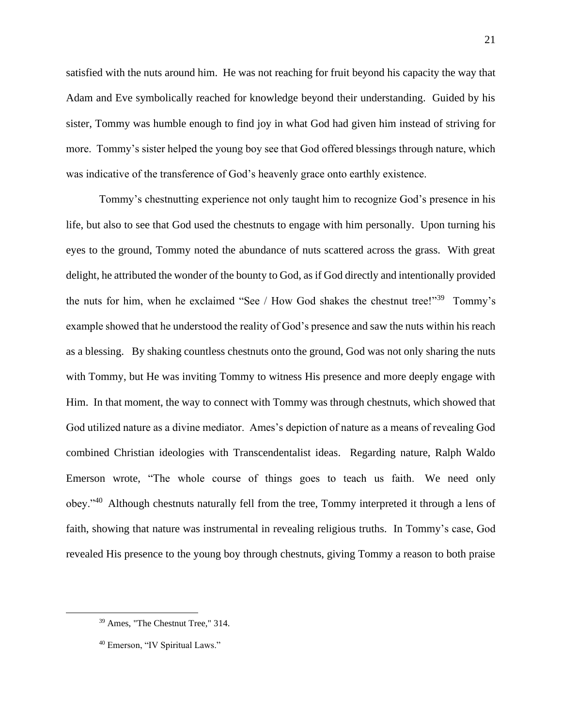satisfied with the nuts around him. He was not reaching for fruit beyond his capacity the way that Adam and Eve symbolically reached for knowledge beyond their understanding. Guided by his sister, Tommy was humble enough to find joy in what God had given him instead of striving for more. Tommy's sister helped the young boy see that God offered blessings through nature, which was indicative of the transference of God's heavenly grace onto earthly existence.

Tommy's chestnutting experience not only taught him to recognize God's presence in his life, but also to see that God used the chestnuts to engage with him personally. Upon turning his eyes to the ground, Tommy noted the abundance of nuts scattered across the grass. With great delight, he attributed the wonder of the bounty to God, as if God directly and intentionally provided the nuts for him, when he exclaimed "See / How God shakes the chestnut tree!"<sup>39</sup> Tommy's example showed that he understood the reality of God's presence and saw the nuts within his reach as a blessing. By shaking countless chestnuts onto the ground, God was not only sharing the nuts with Tommy, but He was inviting Tommy to witness His presence and more deeply engage with Him. In that moment, the way to connect with Tommy was through chestnuts, which showed that God utilized nature as a divine mediator. Ames's depiction of nature as a means of revealing God combined Christian ideologies with Transcendentalist ideas. Regarding nature, Ralph Waldo Emerson wrote, "The whole course of things goes to teach us faith. We need only obey."<sup>40</sup> Although chestnuts naturally fell from the tree, Tommy interpreted it through a lens of faith, showing that nature was instrumental in revealing religious truths. In Tommy's case, God revealed His presence to the young boy through chestnuts, giving Tommy a reason to both praise

<sup>39</sup> Ames, "The Chestnut Tree," 314.

<sup>40</sup> Emerson, "IV Spiritual Laws."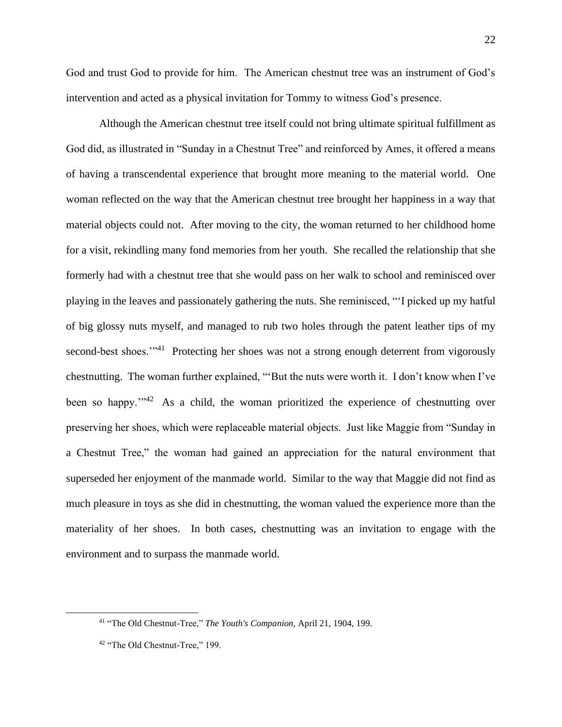God and trust God to provide for him. The American chestnut tree was an instrument of God's intervention and acted as a physical invitation for Tommy to witness God's presence.

Although the American chestnut tree itself could not bring ultimate spiritual fulfillment as God did, as illustrated in "Sunday in a Chestnut Tree" and reinforced by Ames, it offered a means of having a transcendental experience that brought more meaning to the material world. One woman reflected on the way that the American chestnut tree brought her happiness in a way that material objects could not. After moving to the city, the woman returned to her childhood home for a visit, rekindling many fond memories from her youth. She recalled the relationship that she formerly had with a chestnut tree that she would pass on her walk to school and reminisced over playing in the leaves and passionately gathering the nuts. She reminisced, "'I picked up my hatful of big glossy nuts myself, and managed to rub two holes through the patent leather tips of my second-best shoes."<sup>41</sup> Protecting her shoes was not a strong enough deterrent from vigorously chestnutting. The woman further explained, "'But the nuts were worth it. I don't know when I've been so happy."<sup>42</sup> As a child, the woman prioritized the experience of chestnutting over preserving her shoes, which were replaceable material objects. Just like Maggie from "Sunday in a Chestnut Tree," the woman had gained an appreciation for the natural environment that superseded her enjoyment of the manmade world. Similar to the way that Maggie did not find as much pleasure in toys as she did in chestnutting, the woman valued the experience more than the materiality of her shoes. In both cases, chestnutting was an invitation to engage with the environment and to surpass the manmade world.

<sup>41</sup> "The Old Chestnut-Tree," *The Youth's Companion,* April 21, 1904, 199.

<sup>42</sup> "The Old Chestnut-Tree," 199.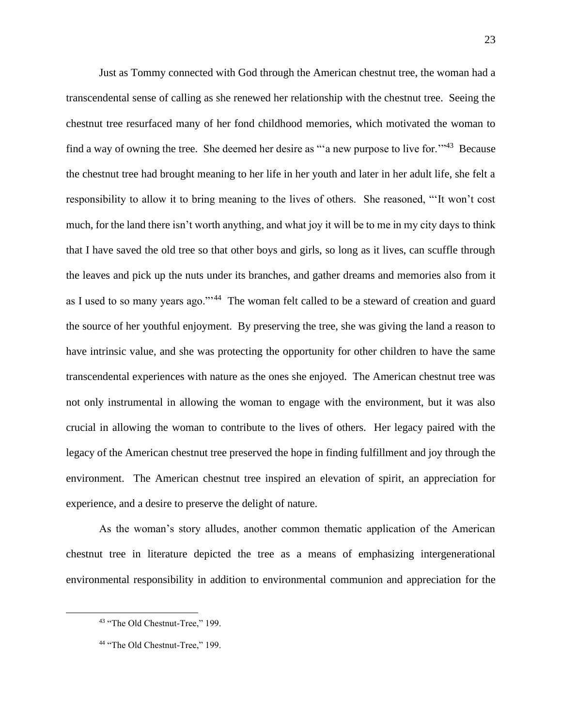Just as Tommy connected with God through the American chestnut tree, the woman had a transcendental sense of calling as she renewed her relationship with the chestnut tree. Seeing the chestnut tree resurfaced many of her fond childhood memories, which motivated the woman to find a way of owning the tree. She deemed her desire as "'a new purpose to live for.'"<sup>43</sup> Because the chestnut tree had brought meaning to her life in her youth and later in her adult life, she felt a responsibility to allow it to bring meaning to the lives of others. She reasoned, "'It won't cost much, for the land there isn't worth anything, and what joy it will be to me in my city days to think that I have saved the old tree so that other boys and girls, so long as it lives, can scuffle through the leaves and pick up the nuts under its branches, and gather dreams and memories also from it as I used to so many years ago."<sup>44</sup> The woman felt called to be a steward of creation and guard the source of her youthful enjoyment. By preserving the tree, she was giving the land a reason to have intrinsic value, and she was protecting the opportunity for other children to have the same transcendental experiences with nature as the ones she enjoyed. The American chestnut tree was not only instrumental in allowing the woman to engage with the environment, but it was also crucial in allowing the woman to contribute to the lives of others. Her legacy paired with the legacy of the American chestnut tree preserved the hope in finding fulfillment and joy through the environment. The American chestnut tree inspired an elevation of spirit, an appreciation for experience, and a desire to preserve the delight of nature.

As the woman's story alludes, another common thematic application of the American chestnut tree in literature depicted the tree as a means of emphasizing intergenerational environmental responsibility in addition to environmental communion and appreciation for the

<sup>43</sup> "The Old Chestnut-Tree," 199.

<sup>44</sup> "The Old Chestnut-Tree," 199.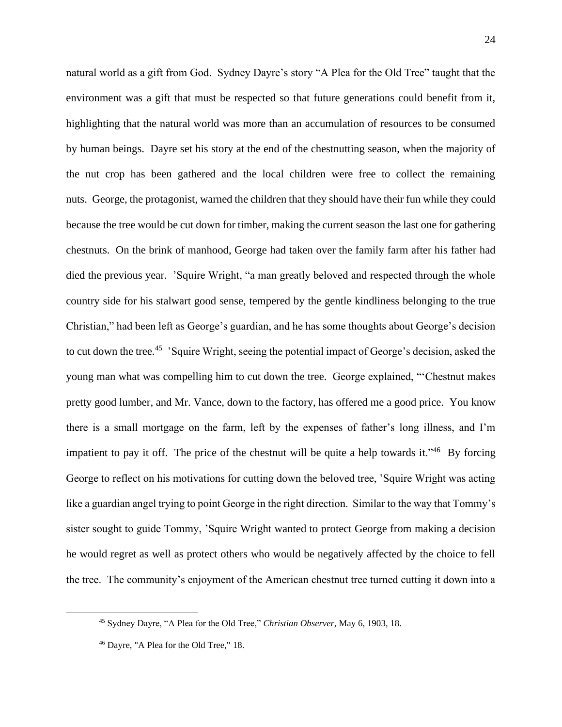natural world as a gift from God. Sydney Dayre's story "A Plea for the Old Tree" taught that the environment was a gift that must be respected so that future generations could benefit from it, highlighting that the natural world was more than an accumulation of resources to be consumed by human beings. Dayre set his story at the end of the chestnutting season, when the majority of the nut crop has been gathered and the local children were free to collect the remaining nuts. George, the protagonist, warned the children that they should have their fun while they could because the tree would be cut down for timber, making the current season the last one for gathering chestnuts. On the brink of manhood, George had taken over the family farm after his father had died the previous year. 'Squire Wright, "a man greatly beloved and respected through the whole country side for his stalwart good sense, tempered by the gentle kindliness belonging to the true Christian," had been left as George's guardian, and he has some thoughts about George's decision to cut down the tree.<sup>45</sup> 'Squire Wright, seeing the potential impact of George's decision, asked the young man what was compelling him to cut down the tree. George explained, "'Chestnut makes pretty good lumber, and Mr. Vance, down to the factory, has offered me a good price. You know there is a small mortgage on the farm, left by the expenses of father's long illness, and I'm impatient to pay it off. The price of the chestnut will be quite a help towards it."<sup>46</sup> By forcing George to reflect on his motivations for cutting down the beloved tree, 'Squire Wright was acting like a guardian angel trying to point George in the right direction. Similar to the way that Tommy's sister sought to guide Tommy, 'Squire Wright wanted to protect George from making a decision he would regret as well as protect others who would be negatively affected by the choice to fell the tree. The community's enjoyment of the American chestnut tree turned cutting it down into a

<sup>45</sup> Sydney Dayre, "A Plea for the Old Tree," *Christian Observer*, May 6, 1903, 18.

<sup>46</sup> Dayre, "A Plea for the Old Tree," 18.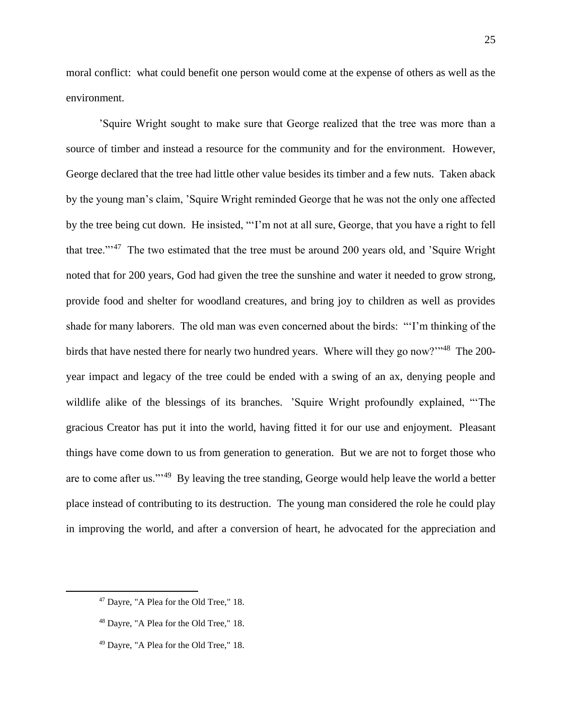moral conflict: what could benefit one person would come at the expense of others as well as the environment.

'Squire Wright sought to make sure that George realized that the tree was more than a source of timber and instead a resource for the community and for the environment. However, George declared that the tree had little other value besides its timber and a few nuts. Taken aback by the young man's claim, 'Squire Wright reminded George that he was not the only one affected by the tree being cut down. He insisted, "'I'm not at all sure, George, that you have a right to fell that tree."'<sup>47</sup> The two estimated that the tree must be around 200 years old, and 'Squire Wright noted that for 200 years, God had given the tree the sunshine and water it needed to grow strong, provide food and shelter for woodland creatures, and bring joy to children as well as provides shade for many laborers. The old man was even concerned about the birds: "'I'm thinking of the birds that have nested there for nearly two hundred years. Where will they go now?"<sup>48</sup> The 200year impact and legacy of the tree could be ended with a swing of an ax, denying people and wildlife alike of the blessings of its branches. 'Squire Wright profoundly explained, "'The gracious Creator has put it into the world, having fitted it for our use and enjoyment. Pleasant things have come down to us from generation to generation. But we are not to forget those who are to come after us."'<sup>49</sup> By leaving the tree standing, George would help leave the world a better place instead of contributing to its destruction. The young man considered the role he could play in improving the world, and after a conversion of heart, he advocated for the appreciation and

<sup>47</sup> Dayre, "A Plea for the Old Tree," 18.

<sup>48</sup> Dayre, "A Plea for the Old Tree," 18.

<sup>49</sup> Dayre, "A Plea for the Old Tree," 18.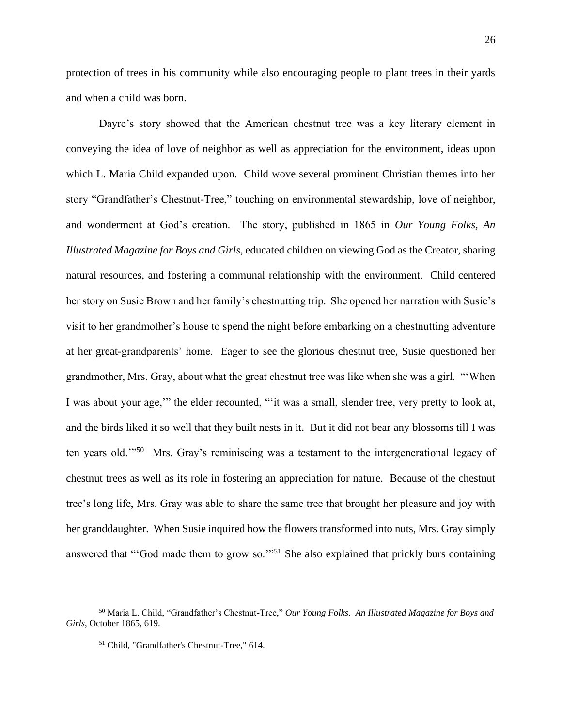protection of trees in his community while also encouraging people to plant trees in their yards and when a child was born.

Dayre's story showed that the American chestnut tree was a key literary element in conveying the idea of love of neighbor as well as appreciation for the environment, ideas upon which L. Maria Child expanded upon. Child wove several prominent Christian themes into her story "Grandfather's Chestnut-Tree," touching on environmental stewardship, love of neighbor, and wonderment at God's creation. The story, published in 1865 in *Our Young Folks, An Illustrated Magazine for Boys and Girls*, educated children on viewing God as the Creator, sharing natural resources, and fostering a communal relationship with the environment. Child centered her story on Susie Brown and her family's chestnutting trip. She opened her narration with Susie's visit to her grandmother's house to spend the night before embarking on a chestnutting adventure at her great-grandparents' home. Eager to see the glorious chestnut tree, Susie questioned her grandmother, Mrs. Gray, about what the great chestnut tree was like when she was a girl. "'When I was about your age,'" the elder recounted, "'it was a small, slender tree, very pretty to look at, and the birds liked it so well that they built nests in it. But it did not bear any blossoms till I was ten years old."<sup>50</sup> Mrs. Gray's reminiscing was a testament to the intergenerational legacy of chestnut trees as well as its role in fostering an appreciation for nature. Because of the chestnut tree's long life, Mrs. Gray was able to share the same tree that brought her pleasure and joy with her granddaughter. When Susie inquired how the flowers transformed into nuts, Mrs. Gray simply answered that "'God made them to grow so."<sup>51</sup> She also explained that prickly burs containing

<sup>50</sup> Maria L. Child, "Grandfather's Chestnut-Tree," *Our Young Folks. An Illustrated Magazine for Boys and Girls*, October 1865, 619.

<sup>51</sup> Child, "Grandfather's Chestnut-Tree," 614.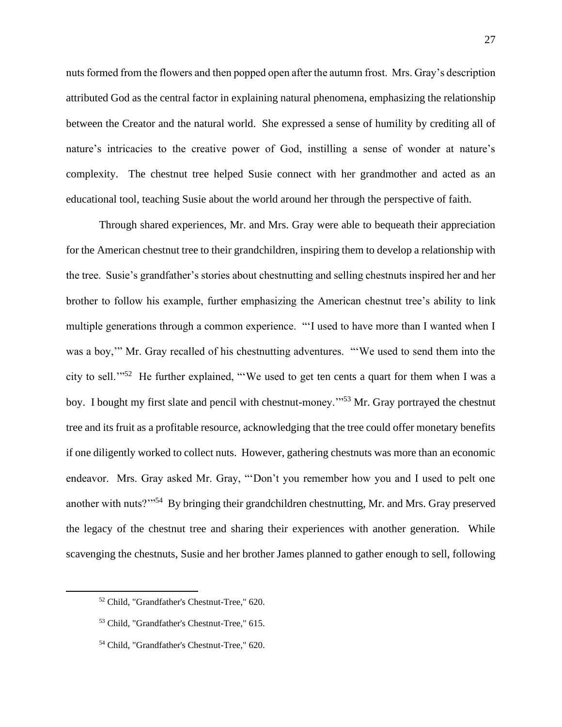nuts formed from the flowers and then popped open after the autumn frost. Mrs. Gray's description attributed God as the central factor in explaining natural phenomena, emphasizing the relationship between the Creator and the natural world. She expressed a sense of humility by crediting all of nature's intricacies to the creative power of God, instilling a sense of wonder at nature's complexity. The chestnut tree helped Susie connect with her grandmother and acted as an educational tool, teaching Susie about the world around her through the perspective of faith.

Through shared experiences, Mr. and Mrs. Gray were able to bequeath their appreciation for the American chestnut tree to their grandchildren, inspiring them to develop a relationship with the tree. Susie's grandfather's stories about chestnutting and selling chestnuts inspired her and her brother to follow his example, further emphasizing the American chestnut tree's ability to link multiple generations through a common experience. "'I used to have more than I wanted when I was a boy,'" Mr. Gray recalled of his chestnutting adventures. "'We used to send them into the city to sell."<sup>52</sup> He further explained, "We used to get ten cents a quart for them when I was a boy. I bought my first slate and pencil with chestnut-money.'"<sup>53</sup> Mr. Gray portrayed the chestnut tree and its fruit as a profitable resource, acknowledging that the tree could offer monetary benefits if one diligently worked to collect nuts. However, gathering chestnuts was more than an economic endeavor. Mrs. Gray asked Mr. Gray, "'Don't you remember how you and I used to pelt one another with nuts?"<sup>54</sup> By bringing their grandchildren chestnutting, Mr. and Mrs. Gray preserved the legacy of the chestnut tree and sharing their experiences with another generation. While scavenging the chestnuts, Susie and her brother James planned to gather enough to sell, following

<sup>52</sup> Child, "Grandfather's Chestnut-Tree," 620.

<sup>53</sup> Child, "Grandfather's Chestnut-Tree," 615.

<sup>54</sup> Child, "Grandfather's Chestnut-Tree," 620.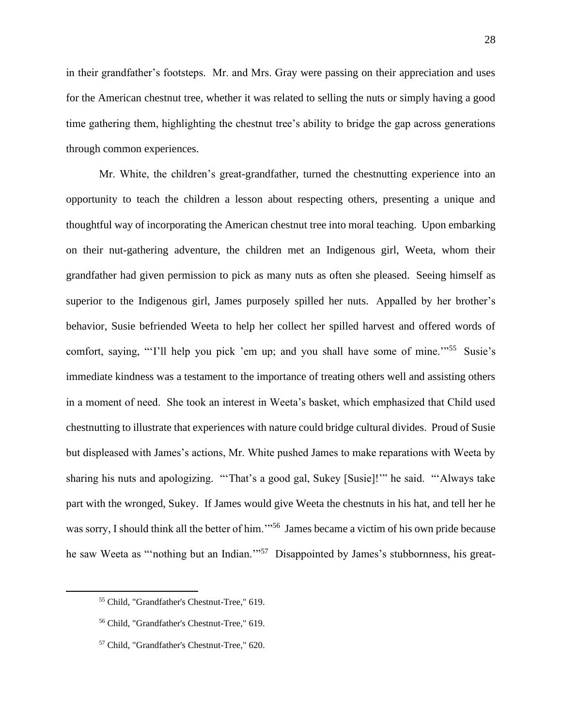in their grandfather's footsteps. Mr. and Mrs. Gray were passing on their appreciation and uses for the American chestnut tree, whether it was related to selling the nuts or simply having a good time gathering them, highlighting the chestnut tree's ability to bridge the gap across generations through common experiences.

Mr. White, the children's great-grandfather, turned the chestnutting experience into an opportunity to teach the children a lesson about respecting others, presenting a unique and thoughtful way of incorporating the American chestnut tree into moral teaching. Upon embarking on their nut-gathering adventure, the children met an Indigenous girl, Weeta, whom their grandfather had given permission to pick as many nuts as often she pleased. Seeing himself as superior to the Indigenous girl, James purposely spilled her nuts. Appalled by her brother's behavior, Susie befriended Weeta to help her collect her spilled harvest and offered words of comfort, saying, "'I'll help you pick 'em up; and you shall have some of mine."<sup>55</sup> Susie's immediate kindness was a testament to the importance of treating others well and assisting others in a moment of need. She took an interest in Weeta's basket, which emphasized that Child used chestnutting to illustrate that experiences with nature could bridge cultural divides. Proud of Susie but displeased with James's actions, Mr. White pushed James to make reparations with Weeta by sharing his nuts and apologizing. "'That's a good gal, Sukey [Susie]!'" he said. "'Always take part with the wronged, Sukey. If James would give Weeta the chestnuts in his hat, and tell her he was sorry, I should think all the better of him."<sup>56</sup> James became a victim of his own pride because he saw Weeta as "nothing but an Indian."<sup>57</sup> Disappointed by James's stubbornness, his great-

<sup>55</sup> Child, "Grandfather's Chestnut-Tree," 619.

<sup>56</sup> Child, "Grandfather's Chestnut-Tree," 619.

<sup>57</sup> Child, "Grandfather's Chestnut-Tree," 620.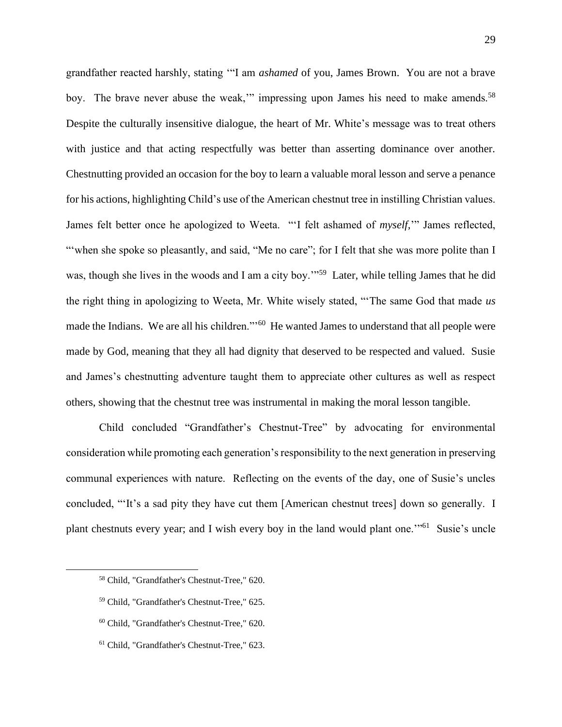grandfather reacted harshly, stating '"I am *ashamed* of you, James Brown. You are not a brave boy. The brave never abuse the weak," impressing upon James his need to make amends.<sup>58</sup> Despite the culturally insensitive dialogue, the heart of Mr. White's message was to treat others with justice and that acting respectfully was better than asserting dominance over another. Chestnutting provided an occasion for the boy to learn a valuable moral lesson and serve a penance for his actions, highlighting Child's use of the American chestnut tree in instilling Christian values. James felt better once he apologized to Weeta. "'I felt ashamed of *myself,*'" James reflected, ""when she spoke so pleasantly, and said, "Me no care"; for I felt that she was more polite than I was, though she lives in the woods and I am a city boy."<sup>59</sup> Later, while telling James that he did the right thing in apologizing to Weeta, Mr. White wisely stated, "'The same God that made *us*  made the Indians. We are all his children."<sup>60</sup> He wanted James to understand that all people were made by God, meaning that they all had dignity that deserved to be respected and valued. Susie and James's chestnutting adventure taught them to appreciate other cultures as well as respect others, showing that the chestnut tree was instrumental in making the moral lesson tangible.

Child concluded "Grandfather's Chestnut-Tree" by advocating for environmental consideration while promoting each generation's responsibility to the next generation in preserving communal experiences with nature. Reflecting on the events of the day, one of Susie's uncles concluded, "'It's a sad pity they have cut them [American chestnut trees] down so generally. I plant chestnuts every year; and I wish every boy in the land would plant one."<sup>61</sup> Susie's uncle

- <sup>59</sup> Child, "Grandfather's Chestnut-Tree," 625.
- <sup>60</sup> Child, "Grandfather's Chestnut-Tree," 620.
- <sup>61</sup> Child, "Grandfather's Chestnut-Tree," 623.

<sup>58</sup> Child, "Grandfather's Chestnut-Tree," 620.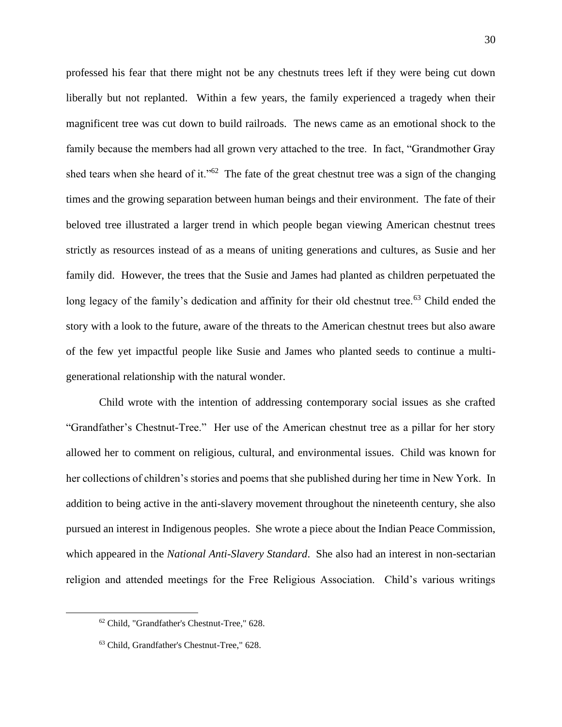professed his fear that there might not be any chestnuts trees left if they were being cut down liberally but not replanted. Within a few years, the family experienced a tragedy when their magnificent tree was cut down to build railroads. The news came as an emotional shock to the family because the members had all grown very attached to the tree. In fact, "Grandmother Gray shed tears when she heard of it." $62$  The fate of the great chestnut tree was a sign of the changing times and the growing separation between human beings and their environment. The fate of their beloved tree illustrated a larger trend in which people began viewing American chestnut trees strictly as resources instead of as a means of uniting generations and cultures, as Susie and her family did. However, the trees that the Susie and James had planted as children perpetuated the long legacy of the family's dedication and affinity for their old chestnut tree.<sup>63</sup> Child ended the story with a look to the future, aware of the threats to the American chestnut trees but also aware of the few yet impactful people like Susie and James who planted seeds to continue a multigenerational relationship with the natural wonder.

Child wrote with the intention of addressing contemporary social issues as she crafted "Grandfather's Chestnut-Tree." Her use of the American chestnut tree as a pillar for her story allowed her to comment on religious, cultural, and environmental issues. Child was known for her collections of children's stories and poems that she published during her time in New York. In addition to being active in the anti-slavery movement throughout the nineteenth century, she also pursued an interest in Indigenous peoples. She wrote a piece about the Indian Peace Commission, which appeared in the *National Anti-Slavery Standard*. She also had an interest in non-sectarian religion and attended meetings for the Free Religious Association. Child's various writings

<sup>62</sup> Child, "Grandfather's Chestnut-Tree," 628.

<sup>63</sup> Child, Grandfather's Chestnut-Tree," 628.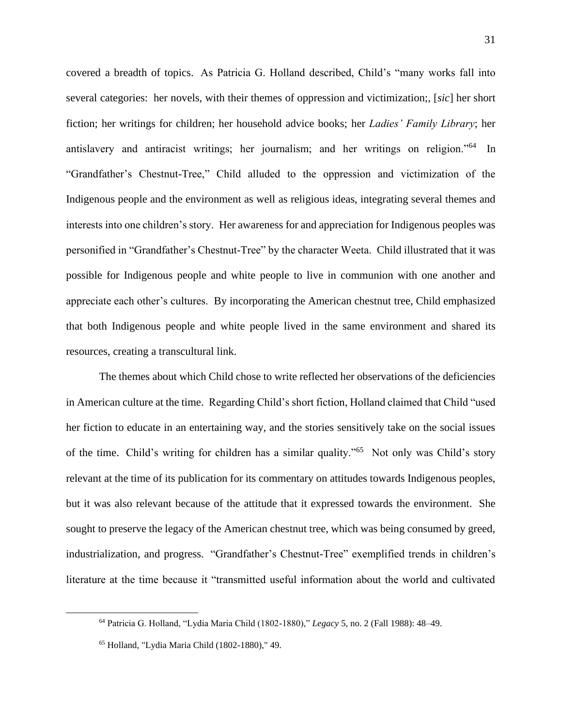covered a breadth of topics. As Patricia G. Holland described, Child's "many works fall into several categories: her novels, with their themes of oppression and victimization;, [*sic*] her short fiction; her writings for children; her household advice books; her *Ladies' Family Library*; her antislavery and antiracist writings; her journalism; and her writings on religion."<sup>64</sup> In "Grandfather's Chestnut-Tree," Child alluded to the oppression and victimization of the Indigenous people and the environment as well as religious ideas, integrating several themes and interests into one children's story. Her awareness for and appreciation for Indigenous peoples was personified in "Grandfather's Chestnut-Tree" by the character Weeta. Child illustrated that it was possible for Indigenous people and white people to live in communion with one another and appreciate each other's cultures. By incorporating the American chestnut tree, Child emphasized that both Indigenous people and white people lived in the same environment and shared its resources, creating a transcultural link.

The themes about which Child chose to write reflected her observations of the deficiencies in American culture at the time. Regarding Child's short fiction, Holland claimed that Child "used her fiction to educate in an entertaining way, and the stories sensitively take on the social issues of the time. Child's writing for children has a similar quality."<sup>65</sup> Not only was Child's story relevant at the time of its publication for its commentary on attitudes towards Indigenous peoples, but it was also relevant because of the attitude that it expressed towards the environment. She sought to preserve the legacy of the American chestnut tree, which was being consumed by greed, industrialization, and progress. "Grandfather's Chestnut-Tree" exemplified trends in children's literature at the time because it "transmitted useful information about the world and cultivated

<sup>64</sup> Patricia G. Holland, "Lydia Maria Child (1802-1880)," *Legacy* 5, no. 2 (Fall 1988): 48–49.

<sup>65</sup> Holland, "Lydia Maria Child (1802-1880)," 49.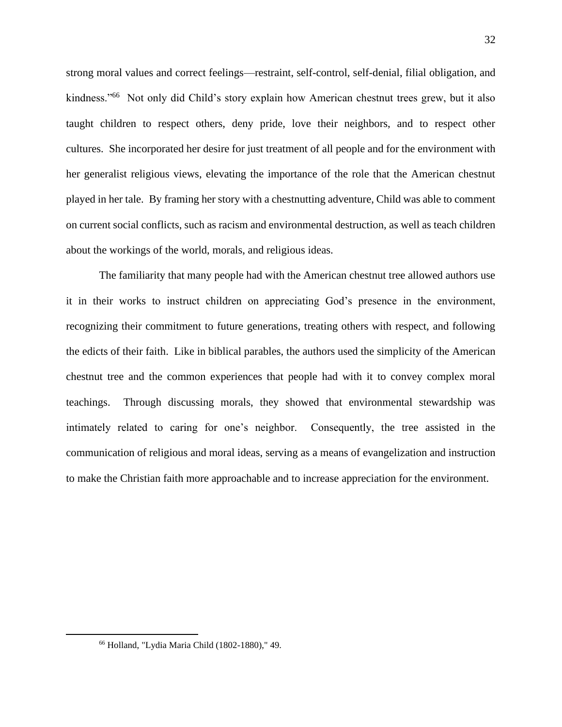strong moral values and correct feelings—restraint, self-control, self-denial, filial obligation, and kindness."<sup>66</sup> Not only did Child's story explain how American chestnut trees grew, but it also taught children to respect others, deny pride, love their neighbors, and to respect other cultures. She incorporated her desire for just treatment of all people and for the environment with her generalist religious views, elevating the importance of the role that the American chestnut played in her tale. By framing her story with a chestnutting adventure, Child was able to comment on current social conflicts, such as racism and environmental destruction, as well as teach children about the workings of the world, morals, and religious ideas.

The familiarity that many people had with the American chestnut tree allowed authors use it in their works to instruct children on appreciating God's presence in the environment, recognizing their commitment to future generations, treating others with respect, and following the edicts of their faith. Like in biblical parables, the authors used the simplicity of the American chestnut tree and the common experiences that people had with it to convey complex moral teachings. Through discussing morals, they showed that environmental stewardship was intimately related to caring for one's neighbor. Consequently, the tree assisted in the communication of religious and moral ideas, serving as a means of evangelization and instruction to make the Christian faith more approachable and to increase appreciation for the environment.

<sup>66</sup> Holland, "Lydia Maria Child (1802-1880)," 49.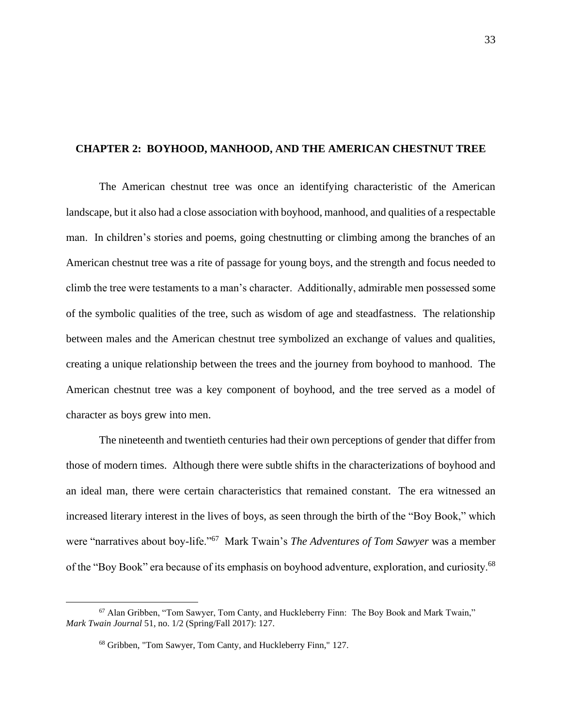## **CHAPTER 2: BOYHOOD, MANHOOD, AND THE AMERICAN CHESTNUT TREE**

The American chestnut tree was once an identifying characteristic of the American landscape, but it also had a close association with boyhood, manhood, and qualities of a respectable man. In children's stories and poems, going chestnutting or climbing among the branches of an American chestnut tree was a rite of passage for young boys, and the strength and focus needed to climb the tree were testaments to a man's character. Additionally, admirable men possessed some of the symbolic qualities of the tree, such as wisdom of age and steadfastness. The relationship between males and the American chestnut tree symbolized an exchange of values and qualities, creating a unique relationship between the trees and the journey from boyhood to manhood. The American chestnut tree was a key component of boyhood, and the tree served as a model of character as boys grew into men.

The nineteenth and twentieth centuries had their own perceptions of gender that differ from those of modern times. Although there were subtle shifts in the characterizations of boyhood and an ideal man, there were certain characteristics that remained constant. The era witnessed an increased literary interest in the lives of boys, as seen through the birth of the "Boy Book," which were "narratives about boy-life."<sup>67</sup> Mark Twain's *The Adventures of Tom Sawyer* was a member of the "Boy Book" era because of its emphasis on boyhood adventure, exploration, and curiosity.<sup>68</sup>

<sup>67</sup> Alan Gribben, "Tom Sawyer, Tom Canty, and Huckleberry Finn: The Boy Book and Mark Twain," *Mark Twain Journal* 51, no. 1/2 (Spring/Fall 2017): 127.

<sup>68</sup> Gribben, "Tom Sawyer, Tom Canty, and Huckleberry Finn," 127.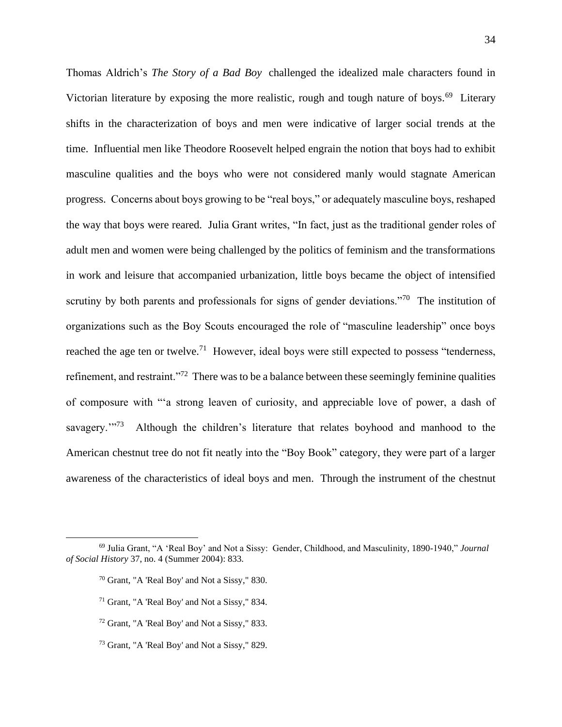Thomas Aldrich's *The Story of a Bad Boy* challenged the idealized male characters found in Victorian literature by exposing the more realistic, rough and tough nature of boys.<sup>69</sup> Literary shifts in the characterization of boys and men were indicative of larger social trends at the time. Influential men like Theodore Roosevelt helped engrain the notion that boys had to exhibit masculine qualities and the boys who were not considered manly would stagnate American progress. Concerns about boys growing to be "real boys," or adequately masculine boys, reshaped the way that boys were reared. Julia Grant writes, "In fact, just as the traditional gender roles of adult men and women were being challenged by the politics of feminism and the transformations in work and leisure that accompanied urbanization, little boys became the object of intensified scrutiny by both parents and professionals for signs of gender deviations."<sup>70</sup> The institution of organizations such as the Boy Scouts encouraged the role of "masculine leadership" once boys reached the age ten or twelve.<sup>71</sup> However, ideal boys were still expected to possess "tenderness, refinement, and restraint."<sup>72</sup> There was to be a balance between these seemingly feminine qualities of composure with "'a strong leaven of curiosity, and appreciable love of power, a dash of savagery."<sup>73</sup> Although the children's literature that relates boyhood and manhood to the American chestnut tree do not fit neatly into the "Boy Book" category, they were part of a larger awareness of the characteristics of ideal boys and men. Through the instrument of the chestnut

- <sup>71</sup> Grant, "A 'Real Boy' and Not a Sissy," 834.
- <sup>72</sup> Grant, "A 'Real Boy' and Not a Sissy," 833.
- <sup>73</sup> Grant, "A 'Real Boy' and Not a Sissy," 829.

<sup>69</sup> Julia Grant, "A 'Real Boy' and Not a Sissy: Gender, Childhood, and Masculinity, 1890-1940," *Journal of Social History* 37, no. 4 (Summer 2004): 833.

<sup>70</sup> Grant, "A 'Real Boy' and Not a Sissy," 830.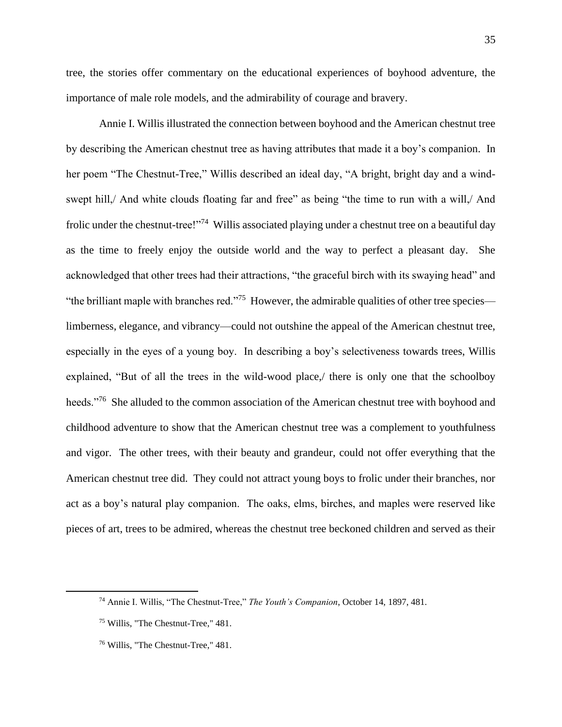tree, the stories offer commentary on the educational experiences of boyhood adventure, the importance of male role models, and the admirability of courage and bravery.

Annie I. Willis illustrated the connection between boyhood and the American chestnut tree by describing the American chestnut tree as having attributes that made it a boy's companion. In her poem "The Chestnut-Tree," Willis described an ideal day, "A bright, bright day and a windswept hill,/ And white clouds floating far and free" as being "the time to run with a will,/ And frolic under the chestnut-tree!"<sup>74</sup> Willis associated playing under a chestnut tree on a beautiful day as the time to freely enjoy the outside world and the way to perfect a pleasant day. She acknowledged that other trees had their attractions, "the graceful birch with its swaying head" and "the brilliant maple with branches red."<sup>75</sup> However, the admirable qualities of other tree species limberness, elegance, and vibrancy—could not outshine the appeal of the American chestnut tree, especially in the eyes of a young boy. In describing a boy's selectiveness towards trees, Willis explained, "But of all the trees in the wild-wood place,/ there is only one that the schoolboy heeds."<sup>76</sup> She alluded to the common association of the American chestnut tree with boyhood and childhood adventure to show that the American chestnut tree was a complement to youthfulness and vigor. The other trees, with their beauty and grandeur, could not offer everything that the American chestnut tree did. They could not attract young boys to frolic under their branches, nor act as a boy's natural play companion. The oaks, elms, birches, and maples were reserved like pieces of art, trees to be admired, whereas the chestnut tree beckoned children and served as their

<sup>74</sup> Annie I. Willis, "The Chestnut-Tree," *The Youth's Companion*, October 14, 1897, 481.

<sup>75</sup> Willis, "The Chestnut-Tree," 481.

<sup>76</sup> Willis, "The Chestnut-Tree," 481.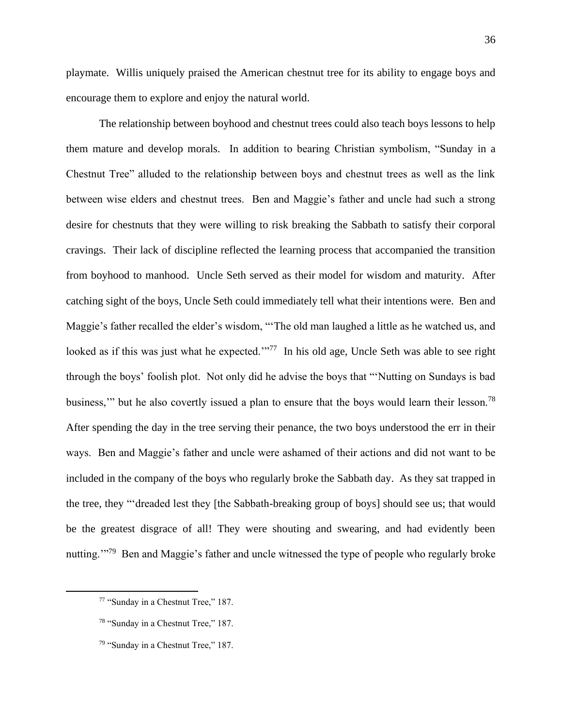playmate. Willis uniquely praised the American chestnut tree for its ability to engage boys and encourage them to explore and enjoy the natural world.

The relationship between boyhood and chestnut trees could also teach boys lessons to help them mature and develop morals. In addition to bearing Christian symbolism, "Sunday in a Chestnut Tree" alluded to the relationship between boys and chestnut trees as well as the link between wise elders and chestnut trees. Ben and Maggie's father and uncle had such a strong desire for chestnuts that they were willing to risk breaking the Sabbath to satisfy their corporal cravings. Their lack of discipline reflected the learning process that accompanied the transition from boyhood to manhood. Uncle Seth served as their model for wisdom and maturity. After catching sight of the boys, Uncle Seth could immediately tell what their intentions were. Ben and Maggie's father recalled the elder's wisdom, "'The old man laughed a little as he watched us, and looked as if this was just what he expected."<sup>77</sup> In his old age, Uncle Seth was able to see right through the boys' foolish plot. Not only did he advise the boys that "'Nutting on Sundays is bad business," but he also covertly issued a plan to ensure that the boys would learn their lesson.<sup>78</sup> After spending the day in the tree serving their penance, the two boys understood the err in their ways. Ben and Maggie's father and uncle were ashamed of their actions and did not want to be included in the company of the boys who regularly broke the Sabbath day. As they sat trapped in the tree, they "'dreaded lest they [the Sabbath-breaking group of boys] should see us; that would be the greatest disgrace of all! They were shouting and swearing, and had evidently been nutting."<sup>79</sup> Ben and Maggie's father and uncle witnessed the type of people who regularly broke

<sup>77</sup> "Sunday in a Chestnut Tree," 187.

<sup>78</sup> "Sunday in a Chestnut Tree," 187.

<sup>79</sup> "Sunday in a Chestnut Tree," 187.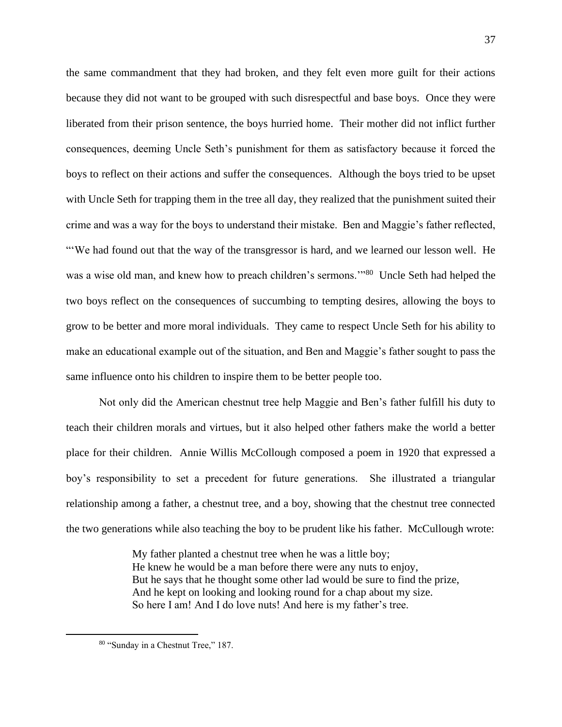the same commandment that they had broken, and they felt even more guilt for their actions because they did not want to be grouped with such disrespectful and base boys. Once they were liberated from their prison sentence, the boys hurried home. Their mother did not inflict further consequences, deeming Uncle Seth's punishment for them as satisfactory because it forced the boys to reflect on their actions and suffer the consequences. Although the boys tried to be upset with Uncle Seth for trapping them in the tree all day, they realized that the punishment suited their crime and was a way for the boys to understand their mistake. Ben and Maggie's father reflected, "'We had found out that the way of the transgressor is hard, and we learned our lesson well. He was a wise old man, and knew how to preach children's sermons."<sup>80</sup> Uncle Seth had helped the two boys reflect on the consequences of succumbing to tempting desires, allowing the boys to grow to be better and more moral individuals. They came to respect Uncle Seth for his ability to make an educational example out of the situation, and Ben and Maggie's father sought to pass the same influence onto his children to inspire them to be better people too.

Not only did the American chestnut tree help Maggie and Ben's father fulfill his duty to teach their children morals and virtues, but it also helped other fathers make the world a better place for their children. Annie Willis McCollough composed a poem in 1920 that expressed a boy's responsibility to set a precedent for future generations. She illustrated a triangular relationship among a father, a chestnut tree, and a boy, showing that the chestnut tree connected the two generations while also teaching the boy to be prudent like his father. McCullough wrote:

> My father planted a chestnut tree when he was a little boy; He knew he would be a man before there were any nuts to enjoy, But he says that he thought some other lad would be sure to find the prize, And he kept on looking and looking round for a chap about my size. So here I am! And I do love nuts! And here is my father's tree.

<sup>80</sup> "Sunday in a Chestnut Tree," 187.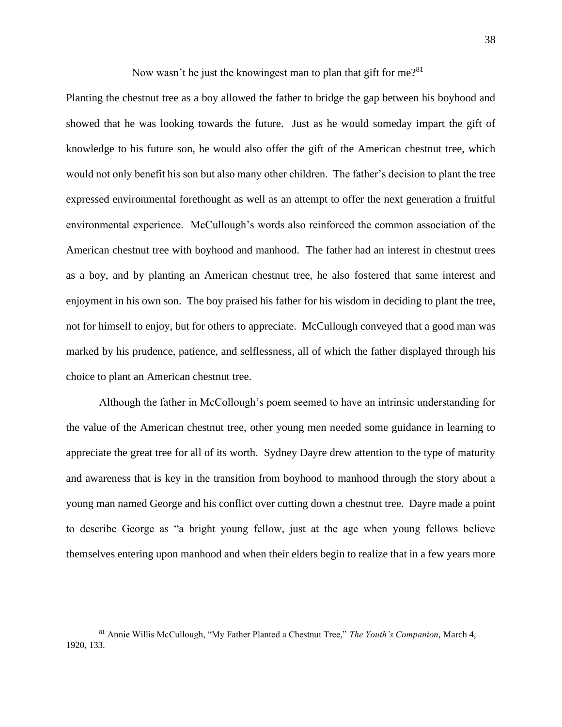Now wasn't he just the knowingest man to plan that gift for me?<sup>81</sup>

Planting the chestnut tree as a boy allowed the father to bridge the gap between his boyhood and showed that he was looking towards the future. Just as he would someday impart the gift of knowledge to his future son, he would also offer the gift of the American chestnut tree, which would not only benefit his son but also many other children. The father's decision to plant the tree expressed environmental forethought as well as an attempt to offer the next generation a fruitful environmental experience. McCullough's words also reinforced the common association of the American chestnut tree with boyhood and manhood. The father had an interest in chestnut trees as a boy, and by planting an American chestnut tree, he also fostered that same interest and enjoyment in his own son. The boy praised his father for his wisdom in deciding to plant the tree, not for himself to enjoy, but for others to appreciate. McCullough conveyed that a good man was marked by his prudence, patience, and selflessness, all of which the father displayed through his choice to plant an American chestnut tree.

Although the father in McCollough's poem seemed to have an intrinsic understanding for the value of the American chestnut tree, other young men needed some guidance in learning to appreciate the great tree for all of its worth. Sydney Dayre drew attention to the type of maturity and awareness that is key in the transition from boyhood to manhood through the story about a young man named George and his conflict over cutting down a chestnut tree. Dayre made a point to describe George as "a bright young fellow, just at the age when young fellows believe themselves entering upon manhood and when their elders begin to realize that in a few years more

<sup>81</sup> Annie Willis McCullough, "My Father Planted a Chestnut Tree," *The Youth's Companion*, March 4, 1920, 133.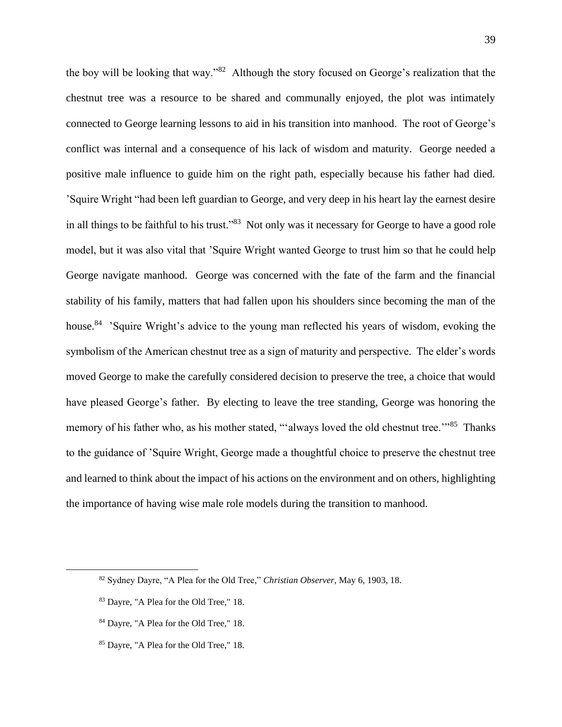the boy will be looking that way."<sup>82</sup> Although the story focused on George's realization that the chestnut tree was a resource to be shared and communally enjoyed, the plot was intimately connected to George learning lessons to aid in his transition into manhood. The root of George's conflict was internal and a consequence of his lack of wisdom and maturity. George needed a positive male influence to guide him on the right path, especially because his father had died. 'Squire Wright "had been left guardian to George, and very deep in his heart lay the earnest desire in all things to be faithful to his trust."<sup>83</sup> Not only was it necessary for George to have a good role model, but it was also vital that 'Squire Wright wanted George to trust him so that he could help George navigate manhood. George was concerned with the fate of the farm and the financial stability of his family, matters that had fallen upon his shoulders since becoming the man of the house.<sup>84</sup> 'Squire Wright's advice to the young man reflected his years of wisdom, evoking the symbolism of the American chestnut tree as a sign of maturity and perspective. The elder's words moved George to make the carefully considered decision to preserve the tree, a choice that would have pleased George's father. By electing to leave the tree standing, George was honoring the memory of his father who, as his mother stated, "always loved the old chestnut tree."<sup>85</sup> Thanks to the guidance of 'Squire Wright, George made a thoughtful choice to preserve the chestnut tree and learned to think about the impact of his actions on the environment and on others, highlighting the importance of having wise male role models during the transition to manhood.

<sup>82</sup> Sydney Dayre, "A Plea for the Old Tree," *Christian Observer*, May 6, 1903, 18.

<sup>83</sup> Dayre, "A Plea for the Old Tree," 18.

<sup>84</sup> Dayre, "A Plea for the Old Tree," 18.

<sup>85</sup> Dayre, "A Plea for the Old Tree," 18.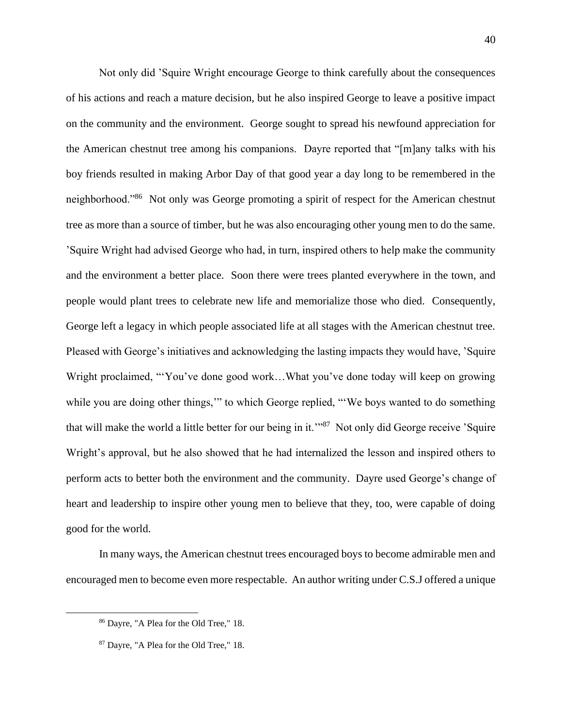Not only did 'Squire Wright encourage George to think carefully about the consequences of his actions and reach a mature decision, but he also inspired George to leave a positive impact on the community and the environment. George sought to spread his newfound appreciation for the American chestnut tree among his companions. Dayre reported that "[m]any talks with his boy friends resulted in making Arbor Day of that good year a day long to be remembered in the neighborhood."<sup>86</sup> Not only was George promoting a spirit of respect for the American chestnut tree as more than a source of timber, but he was also encouraging other young men to do the same. 'Squire Wright had advised George who had, in turn, inspired others to help make the community and the environment a better place. Soon there were trees planted everywhere in the town, and people would plant trees to celebrate new life and memorialize those who died. Consequently, George left a legacy in which people associated life at all stages with the American chestnut tree. Pleased with George's initiatives and acknowledging the lasting impacts they would have, 'Squire Wright proclaimed, "'You've done good work...What you've done today will keep on growing while you are doing other things," to which George replied, "We boys wanted to do something that will make the world a little better for our being in it."<sup>87</sup> Not only did George receive 'Squire Wright's approval, but he also showed that he had internalized the lesson and inspired others to perform acts to better both the environment and the community. Dayre used George's change of heart and leadership to inspire other young men to believe that they, too, were capable of doing good for the world.

In many ways, the American chestnut trees encouraged boys to become admirable men and encouraged men to become even more respectable. An author writing under C.S.J offered a unique

<sup>86</sup> Dayre, "A Plea for the Old Tree," 18.

<sup>87</sup> Dayre, "A Plea for the Old Tree," 18.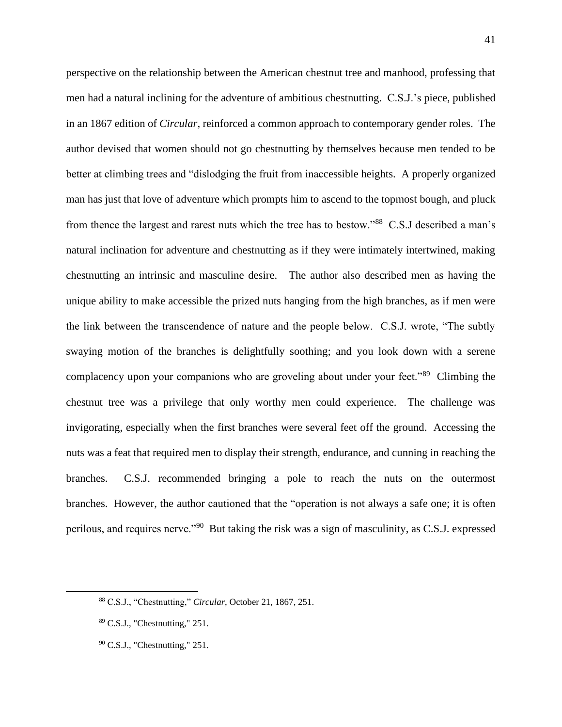perspective on the relationship between the American chestnut tree and manhood, professing that men had a natural inclining for the adventure of ambitious chestnutting. C.S.J.'s piece, published in an 1867 edition of *Circular*, reinforced a common approach to contemporary gender roles. The author devised that women should not go chestnutting by themselves because men tended to be better at climbing trees and "dislodging the fruit from inaccessible heights. A properly organized man has just that love of adventure which prompts him to ascend to the topmost bough, and pluck from thence the largest and rarest nuts which the tree has to bestow."<sup>88</sup> C.S.J described a man's natural inclination for adventure and chestnutting as if they were intimately intertwined, making chestnutting an intrinsic and masculine desire. The author also described men as having the unique ability to make accessible the prized nuts hanging from the high branches, as if men were the link between the transcendence of nature and the people below. C.S.J. wrote, "The subtly swaying motion of the branches is delightfully soothing; and you look down with a serene complacency upon your companions who are groveling about under your feet."<sup>89</sup> Climbing the chestnut tree was a privilege that only worthy men could experience. The challenge was invigorating, especially when the first branches were several feet off the ground. Accessing the nuts was a feat that required men to display their strength, endurance, and cunning in reaching the branches. C.S.J. recommended bringing a pole to reach the nuts on the outermost branches. However, the author cautioned that the "operation is not always a safe one; it is often perilous, and requires nerve."<sup>90</sup> But taking the risk was a sign of masculinity, as C.S.J. expressed

<sup>88</sup> C.S.J., "Chestnutting," *Circular*, October 21, 1867, 251.

<sup>89</sup> C.S.J., "Chestnutting," 251.

 $90$  C.S.J., "Chestnutting," 251.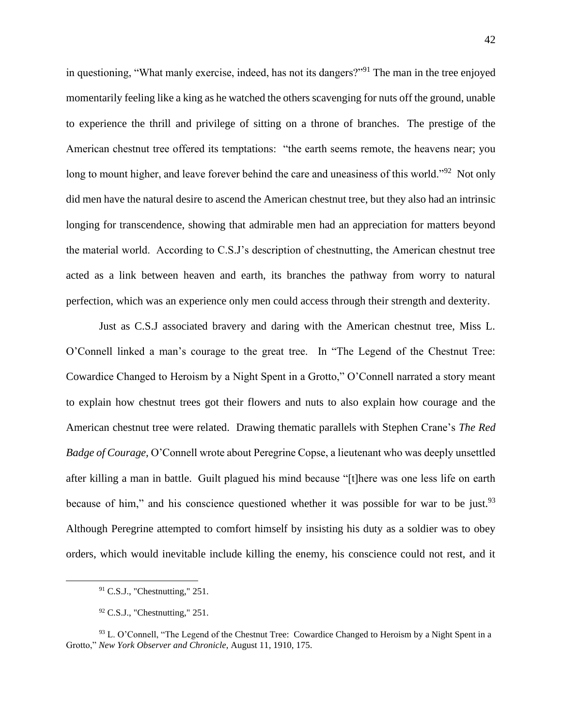in questioning, "What manly exercise, indeed, has not its dangers?"<sup>91</sup> The man in the tree enjoyed momentarily feeling like a king as he watched the others scavenging for nuts off the ground, unable to experience the thrill and privilege of sitting on a throne of branches. The prestige of the American chestnut tree offered its temptations: "the earth seems remote, the heavens near; you long to mount higher, and leave forever behind the care and uneasiness of this world."<sup>92</sup> Not only did men have the natural desire to ascend the American chestnut tree, but they also had an intrinsic longing for transcendence, showing that admirable men had an appreciation for matters beyond the material world. According to C.S.J's description of chestnutting, the American chestnut tree acted as a link between heaven and earth, its branches the pathway from worry to natural perfection, which was an experience only men could access through their strength and dexterity.

Just as C.S.J associated bravery and daring with the American chestnut tree, Miss L. O'Connell linked a man's courage to the great tree. In "The Legend of the Chestnut Tree: Cowardice Changed to Heroism by a Night Spent in a Grotto," O'Connell narrated a story meant to explain how chestnut trees got their flowers and nuts to also explain how courage and the American chestnut tree were related. Drawing thematic parallels with Stephen Crane's *The Red Badge of Courage,* O'Connell wrote about Peregrine Copse, a lieutenant who was deeply unsettled after killing a man in battle. Guilt plagued his mind because "[t]here was one less life on earth because of him," and his conscience questioned whether it was possible for war to be just. $93$ Although Peregrine attempted to comfort himself by insisting his duty as a soldier was to obey orders, which would inevitable include killing the enemy, his conscience could not rest, and it

 $91$  C.S.J., "Chestnutting," 251.

 $92$  C.S.J., "Chestnutting," 251.

<sup>&</sup>lt;sup>93</sup> L. O'Connell, "The Legend of the Chestnut Tree: Cowardice Changed to Heroism by a Night Spent in a Grotto," *New York Observer and Chronicle*, August 11, 1910, 175.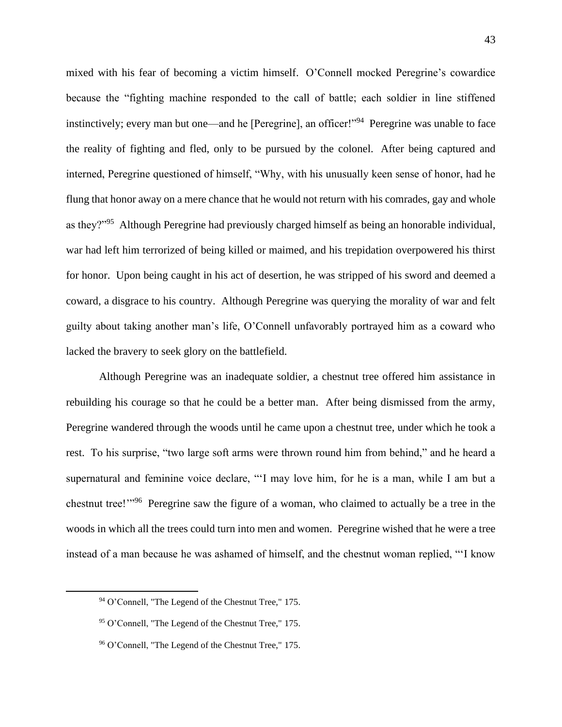mixed with his fear of becoming a victim himself. O'Connell mocked Peregrine's cowardice because the "fighting machine responded to the call of battle; each soldier in line stiffened instinctively; every man but one—and he [Peregrine], an officer!"<sup>94</sup> Peregrine was unable to face the reality of fighting and fled, only to be pursued by the colonel. After being captured and interned, Peregrine questioned of himself, "Why, with his unusually keen sense of honor, had he flung that honor away on a mere chance that he would not return with his comrades, gay and whole as they?"<sup>95</sup> Although Peregrine had previously charged himself as being an honorable individual, war had left him terrorized of being killed or maimed, and his trepidation overpowered his thirst for honor. Upon being caught in his act of desertion, he was stripped of his sword and deemed a coward, a disgrace to his country. Although Peregrine was querying the morality of war and felt guilty about taking another man's life, O'Connell unfavorably portrayed him as a coward who lacked the bravery to seek glory on the battlefield.

Although Peregrine was an inadequate soldier, a chestnut tree offered him assistance in rebuilding his courage so that he could be a better man. After being dismissed from the army, Peregrine wandered through the woods until he came upon a chestnut tree, under which he took a rest. To his surprise, "two large soft arms were thrown round him from behind," and he heard a supernatural and feminine voice declare, "'I may love him, for he is a man, while I am but a chestnut tree!'"<sup>96</sup> Peregrine saw the figure of a woman, who claimed to actually be a tree in the woods in which all the trees could turn into men and women. Peregrine wished that he were a tree instead of a man because he was ashamed of himself, and the chestnut woman replied, "'I know

<sup>94</sup> O'Connell, "The Legend of the Chestnut Tree," 175.

<sup>95</sup> O'Connell, "The Legend of the Chestnut Tree," 175.

<sup>96</sup> O'Connell, "The Legend of the Chestnut Tree," 175.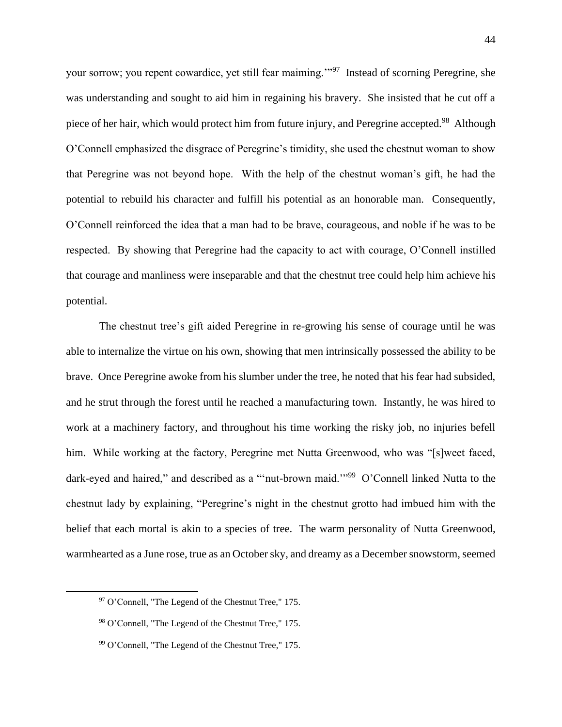your sorrow; you repent cowardice, yet still fear maiming."<sup>97</sup> Instead of scorning Peregrine, she was understanding and sought to aid him in regaining his bravery. She insisted that he cut off a piece of her hair, which would protect him from future injury, and Peregrine accepted.<sup>98</sup> Although O'Connell emphasized the disgrace of Peregrine's timidity, she used the chestnut woman to show that Peregrine was not beyond hope. With the help of the chestnut woman's gift, he had the potential to rebuild his character and fulfill his potential as an honorable man. Consequently, O'Connell reinforced the idea that a man had to be brave, courageous, and noble if he was to be respected. By showing that Peregrine had the capacity to act with courage, O'Connell instilled that courage and manliness were inseparable and that the chestnut tree could help him achieve his potential.

The chestnut tree's gift aided Peregrine in re-growing his sense of courage until he was able to internalize the virtue on his own, showing that men intrinsically possessed the ability to be brave. Once Peregrine awoke from his slumber under the tree, he noted that his fear had subsided, and he strut through the forest until he reached a manufacturing town. Instantly, he was hired to work at a machinery factory, and throughout his time working the risky job, no injuries befell him. While working at the factory, Peregrine met Nutta Greenwood, who was "[s]weet faced, dark-eyed and haired," and described as a "'nut-brown maid."<sup>99</sup> O'Connell linked Nutta to the chestnut lady by explaining, "Peregrine's night in the chestnut grotto had imbued him with the belief that each mortal is akin to a species of tree. The warm personality of Nutta Greenwood, warmhearted as a June rose, true as an October sky, and dreamy as a December snowstorm, seemed

<sup>97</sup> O'Connell, "The Legend of the Chestnut Tree," 175.

<sup>98</sup> O'Connell, "The Legend of the Chestnut Tree," 175.

<sup>99</sup> O'Connell, "The Legend of the Chestnut Tree," 175.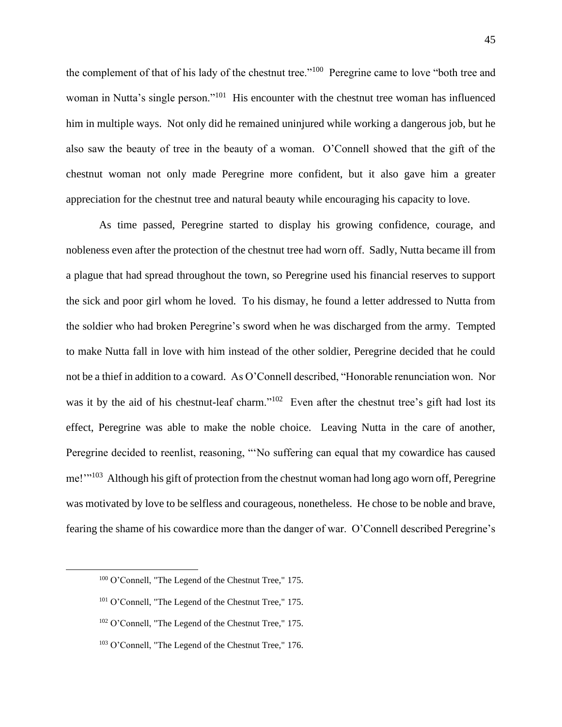the complement of that of his lady of the chestnut tree."<sup>100</sup> Peregrine came to love "both tree and woman in Nutta's single person."<sup>101</sup> His encounter with the chestnut tree woman has influenced him in multiple ways. Not only did he remained uninjured while working a dangerous job, but he also saw the beauty of tree in the beauty of a woman. O'Connell showed that the gift of the chestnut woman not only made Peregrine more confident, but it also gave him a greater appreciation for the chestnut tree and natural beauty while encouraging his capacity to love.

As time passed, Peregrine started to display his growing confidence, courage, and nobleness even after the protection of the chestnut tree had worn off. Sadly, Nutta became ill from a plague that had spread throughout the town, so Peregrine used his financial reserves to support the sick and poor girl whom he loved. To his dismay, he found a letter addressed to Nutta from the soldier who had broken Peregrine's sword when he was discharged from the army. Tempted to make Nutta fall in love with him instead of the other soldier, Peregrine decided that he could not be a thief in addition to a coward. As O'Connell described, "Honorable renunciation won. Nor was it by the aid of his chestnut-leaf charm."<sup>102</sup> Even after the chestnut tree's gift had lost its effect, Peregrine was able to make the noble choice. Leaving Nutta in the care of another, Peregrine decided to reenlist, reasoning, "'No suffering can equal that my cowardice has caused me!"<sup>103</sup> Although his gift of protection from the chestnut woman had long ago worn off, Peregrine was motivated by love to be selfless and courageous, nonetheless. He chose to be noble and brave, fearing the shame of his cowardice more than the danger of war. O'Connell described Peregrine's

<sup>100</sup> O'Connell, "The Legend of the Chestnut Tree," 175.

<sup>101</sup> O'Connell, "The Legend of the Chestnut Tree," 175.

<sup>102</sup> O'Connell, "The Legend of the Chestnut Tree," 175.

<sup>&</sup>lt;sup>103</sup> O'Connell, "The Legend of the Chestnut Tree," 176.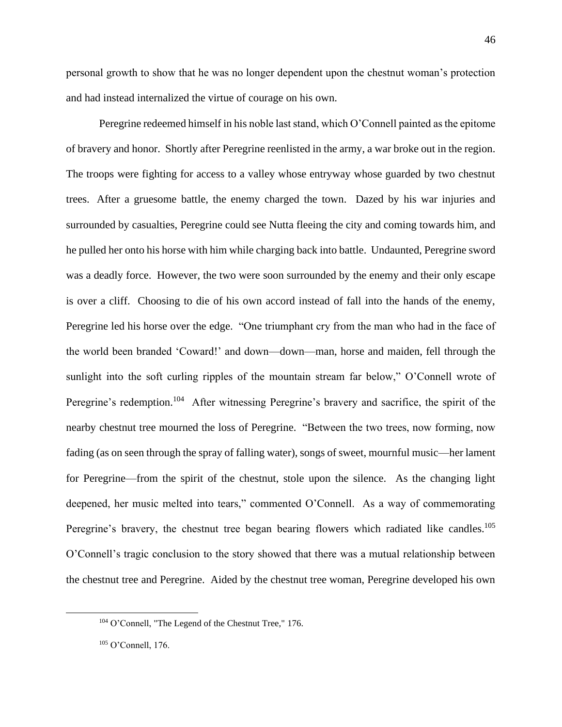personal growth to show that he was no longer dependent upon the chestnut woman's protection and had instead internalized the virtue of courage on his own.

Peregrine redeemed himself in his noble last stand, which O'Connell painted as the epitome of bravery and honor. Shortly after Peregrine reenlisted in the army, a war broke out in the region. The troops were fighting for access to a valley whose entryway whose guarded by two chestnut trees. After a gruesome battle, the enemy charged the town. Dazed by his war injuries and surrounded by casualties, Peregrine could see Nutta fleeing the city and coming towards him, and he pulled her onto his horse with him while charging back into battle. Undaunted, Peregrine sword was a deadly force. However, the two were soon surrounded by the enemy and their only escape is over a cliff. Choosing to die of his own accord instead of fall into the hands of the enemy, Peregrine led his horse over the edge. "One triumphant cry from the man who had in the face of the world been branded 'Coward!' and down—down—man, horse and maiden, fell through the sunlight into the soft curling ripples of the mountain stream far below," O'Connell wrote of Peregrine's redemption.<sup>104</sup> After witnessing Peregrine's bravery and sacrifice, the spirit of the nearby chestnut tree mourned the loss of Peregrine. "Between the two trees, now forming, now fading (as on seen through the spray of falling water), songs of sweet, mournful music—her lament for Peregrine—from the spirit of the chestnut, stole upon the silence. As the changing light deepened, her music melted into tears," commented O'Connell. As a way of commemorating Peregrine's bravery, the chestnut tree began bearing flowers which radiated like candles.<sup>105</sup> O'Connell's tragic conclusion to the story showed that there was a mutual relationship between the chestnut tree and Peregrine. Aided by the chestnut tree woman, Peregrine developed his own

<sup>104</sup> O'Connell, "The Legend of the Chestnut Tree," 176.

<sup>105</sup> O'Connell, 176.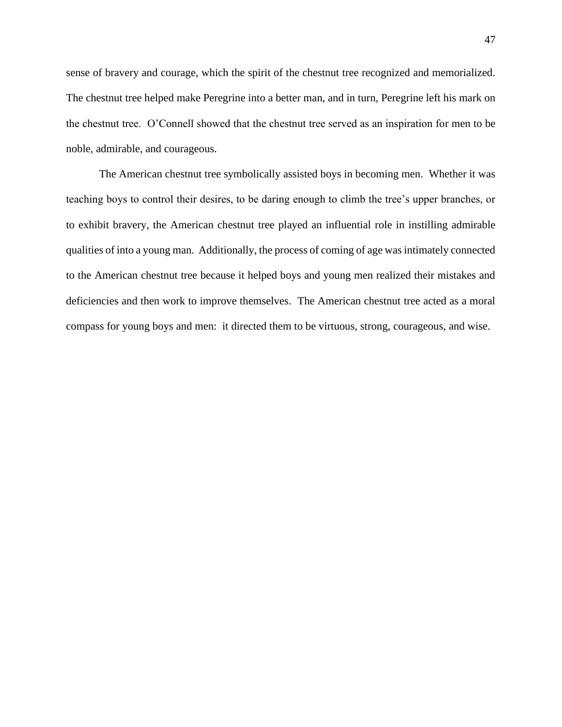sense of bravery and courage, which the spirit of the chestnut tree recognized and memorialized. The chestnut tree helped make Peregrine into a better man, and in turn, Peregrine left his mark on the chestnut tree. O'Connell showed that the chestnut tree served as an inspiration for men to be noble, admirable, and courageous.

The American chestnut tree symbolically assisted boys in becoming men. Whether it was teaching boys to control their desires, to be daring enough to climb the tree's upper branches, or to exhibit bravery, the American chestnut tree played an influential role in instilling admirable qualities of into a young man. Additionally, the process of coming of age was intimately connected to the American chestnut tree because it helped boys and young men realized their mistakes and deficiencies and then work to improve themselves. The American chestnut tree acted as a moral compass for young boys and men: it directed them to be virtuous, strong, courageous, and wise.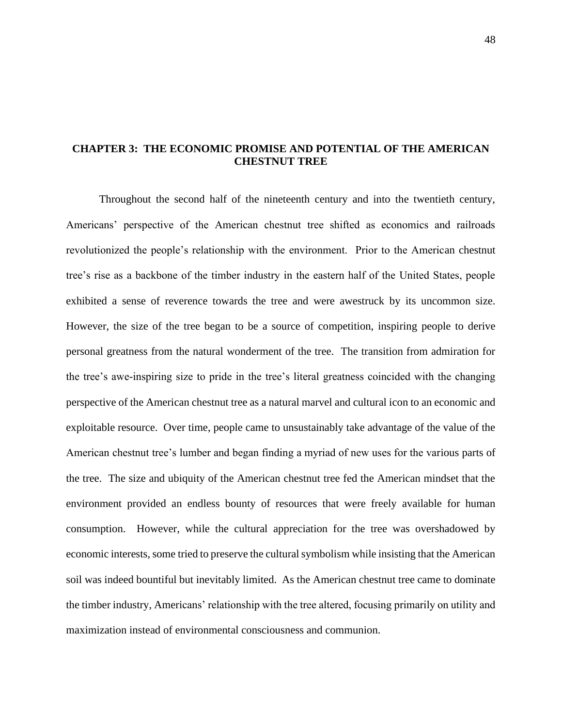## **CHAPTER 3: THE ECONOMIC PROMISE AND POTENTIAL OF THE AMERICAN CHESTNUT TREE**

Throughout the second half of the nineteenth century and into the twentieth century, Americans' perspective of the American chestnut tree shifted as economics and railroads revolutionized the people's relationship with the environment. Prior to the American chestnut tree's rise as a backbone of the timber industry in the eastern half of the United States, people exhibited a sense of reverence towards the tree and were awestruck by its uncommon size. However, the size of the tree began to be a source of competition, inspiring people to derive personal greatness from the natural wonderment of the tree. The transition from admiration for the tree's awe-inspiring size to pride in the tree's literal greatness coincided with the changing perspective of the American chestnut tree as a natural marvel and cultural icon to an economic and exploitable resource. Over time, people came to unsustainably take advantage of the value of the American chestnut tree's lumber and began finding a myriad of new uses for the various parts of the tree. The size and ubiquity of the American chestnut tree fed the American mindset that the environment provided an endless bounty of resources that were freely available for human consumption. However, while the cultural appreciation for the tree was overshadowed by economic interests, some tried to preserve the cultural symbolism while insisting that the American soil was indeed bountiful but inevitably limited. As the American chestnut tree came to dominate the timber industry, Americans' relationship with the tree altered, focusing primarily on utility and maximization instead of environmental consciousness and communion.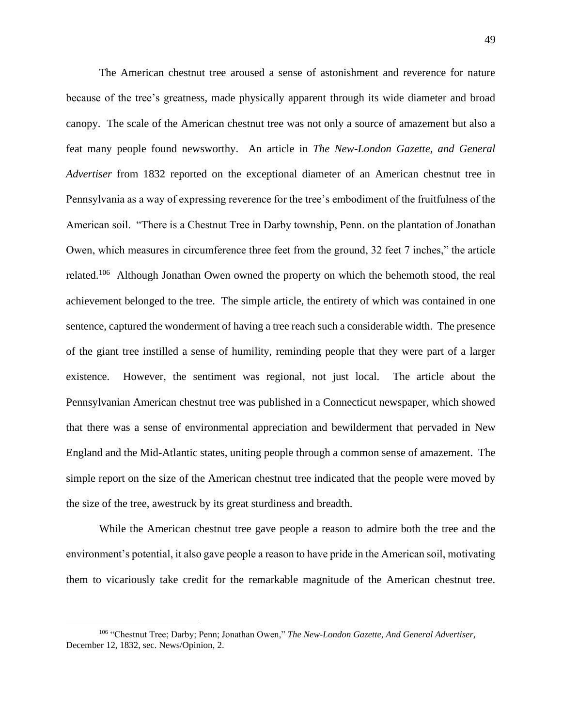The American chestnut tree aroused a sense of astonishment and reverence for nature because of the tree's greatness, made physically apparent through its wide diameter and broad canopy. The scale of the American chestnut tree was not only a source of amazement but also a feat many people found newsworthy. An article in *The New-London Gazette, and General Advertiser* from 1832 reported on the exceptional diameter of an American chestnut tree in Pennsylvania as a way of expressing reverence for the tree's embodiment of the fruitfulness of the American soil. "There is a Chestnut Tree in Darby township, Penn. on the plantation of Jonathan Owen, which measures in circumference three feet from the ground, 32 feet 7 inches," the article related.<sup>106</sup> Although Jonathan Owen owned the property on which the behemoth stood, the real achievement belonged to the tree. The simple article, the entirety of which was contained in one sentence, captured the wonderment of having a tree reach such a considerable width. The presence of the giant tree instilled a sense of humility, reminding people that they were part of a larger existence. However, the sentiment was regional, not just local. The article about the Pennsylvanian American chestnut tree was published in a Connecticut newspaper, which showed that there was a sense of environmental appreciation and bewilderment that pervaded in New England and the Mid-Atlantic states, uniting people through a common sense of amazement. The simple report on the size of the American chestnut tree indicated that the people were moved by the size of the tree, awestruck by its great sturdiness and breadth.

While the American chestnut tree gave people a reason to admire both the tree and the environment's potential, it also gave people a reason to have pride in the American soil, motivating them to vicariously take credit for the remarkable magnitude of the American chestnut tree.

<sup>106</sup> "Chestnut Tree; Darby; Penn; Jonathan Owen," *The New-London Gazette, And General Advertiser*, December 12, 1832, sec. News/Opinion, 2.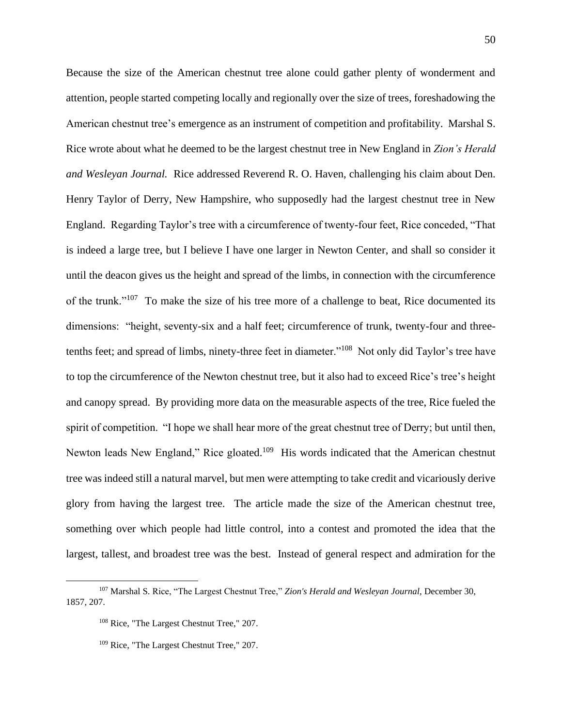Because the size of the American chestnut tree alone could gather plenty of wonderment and attention, people started competing locally and regionally over the size of trees, foreshadowing the American chestnut tree's emergence as an instrument of competition and profitability. Marshal S. Rice wrote about what he deemed to be the largest chestnut tree in New England in *Zion's Herald and Wesleyan Journal.* Rice addressed Reverend R. O. Haven, challenging his claim about Den. Henry Taylor of Derry, New Hampshire, who supposedly had the largest chestnut tree in New England. Regarding Taylor's tree with a circumference of twenty-four feet, Rice conceded, "That is indeed a large tree, but I believe I have one larger in Newton Center, and shall so consider it until the deacon gives us the height and spread of the limbs, in connection with the circumference of the trunk."<sup>107</sup> To make the size of his tree more of a challenge to beat, Rice documented its dimensions: "height, seventy-six and a half feet; circumference of trunk, twenty-four and threetenths feet; and spread of limbs, ninety-three feet in diameter."<sup>108</sup> Not only did Taylor's tree have to top the circumference of the Newton chestnut tree, but it also had to exceed Rice's tree's height and canopy spread. By providing more data on the measurable aspects of the tree, Rice fueled the spirit of competition. "I hope we shall hear more of the great chestnut tree of Derry; but until then, Newton leads New England," Rice gloated.<sup>109</sup> His words indicated that the American chestnut tree was indeed still a natural marvel, but men were attempting to take credit and vicariously derive glory from having the largest tree. The article made the size of the American chestnut tree, something over which people had little control, into a contest and promoted the idea that the largest, tallest, and broadest tree was the best. Instead of general respect and admiration for the

<sup>107</sup> Marshal S. Rice, "The Largest Chestnut Tree," *Zion's Herald and Wesleyan Journal,* December 30, 1857, 207.

<sup>108</sup> Rice, "The Largest Chestnut Tree," 207.

<sup>&</sup>lt;sup>109</sup> Rice, "The Largest Chestnut Tree," 207.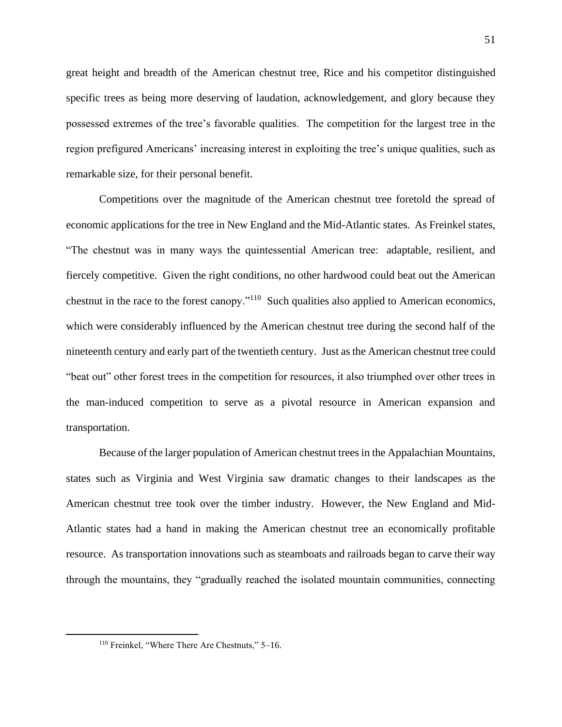great height and breadth of the American chestnut tree, Rice and his competitor distinguished specific trees as being more deserving of laudation, acknowledgement, and glory because they possessed extremes of the tree's favorable qualities. The competition for the largest tree in the region prefigured Americans' increasing interest in exploiting the tree's unique qualities, such as remarkable size, for their personal benefit.

Competitions over the magnitude of the American chestnut tree foretold the spread of economic applications for the tree in New England and the Mid-Atlantic states. As Freinkel states, "The chestnut was in many ways the quintessential American tree: adaptable, resilient, and fiercely competitive. Given the right conditions, no other hardwood could beat out the American chestnut in the race to the forest canopy."<sup>110</sup> Such qualities also applied to American economics, which were considerably influenced by the American chestnut tree during the second half of the nineteenth century and early part of the twentieth century. Just as the American chestnut tree could "beat out" other forest trees in the competition for resources, it also triumphed over other trees in the man-induced competition to serve as a pivotal resource in American expansion and transportation.

Because of the larger population of American chestnut trees in the Appalachian Mountains, states such as Virginia and West Virginia saw dramatic changes to their landscapes as the American chestnut tree took over the timber industry. However, the New England and Mid-Atlantic states had a hand in making the American chestnut tree an economically profitable resource. As transportation innovations such as steamboats and railroads began to carve their way through the mountains, they "gradually reached the isolated mountain communities, connecting

<sup>110</sup> Freinkel, "Where There Are Chestnuts," 5–16.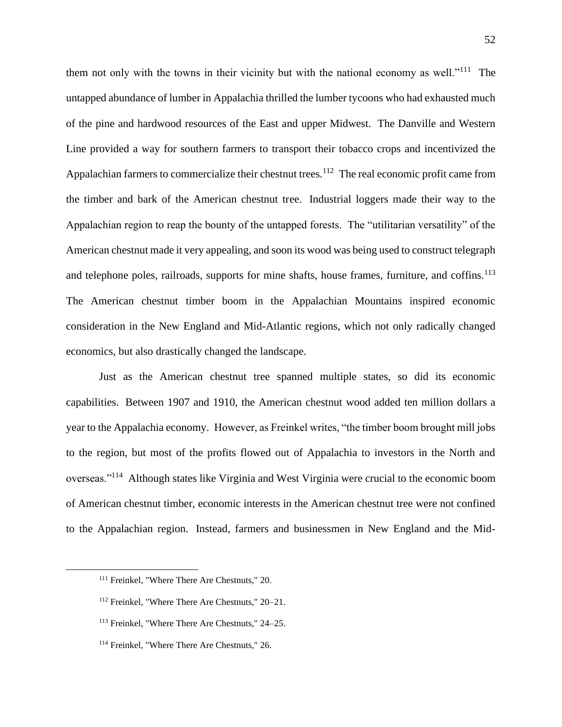them not only with the towns in their vicinity but with the national economy as well."<sup>111</sup> The untapped abundance of lumber in Appalachia thrilled the lumber tycoons who had exhausted much of the pine and hardwood resources of the East and upper Midwest. The Danville and Western Line provided a way for southern farmers to transport their tobacco crops and incentivized the Appalachian farmers to commercialize their chestnut trees.<sup>112</sup> The real economic profit came from the timber and bark of the American chestnut tree. Industrial loggers made their way to the Appalachian region to reap the bounty of the untapped forests. The "utilitarian versatility" of the American chestnut made it very appealing, and soon its wood was being used to construct telegraph and telephone poles, railroads, supports for mine shafts, house frames, furniture, and coffins.<sup>113</sup> The American chestnut timber boom in the Appalachian Mountains inspired economic consideration in the New England and Mid-Atlantic regions, which not only radically changed economics, but also drastically changed the landscape.

Just as the American chestnut tree spanned multiple states, so did its economic capabilities. Between 1907 and 1910, the American chestnut wood added ten million dollars a year to the Appalachia economy. However, as Freinkel writes, "the timber boom brought mill jobs to the region, but most of the profits flowed out of Appalachia to investors in the North and overseas."<sup>114</sup> Although states like Virginia and West Virginia were crucial to the economic boom of American chestnut timber, economic interests in the American chestnut tree were not confined to the Appalachian region. Instead, farmers and businessmen in New England and the Mid-

<sup>111</sup> Freinkel, "Where There Are Chestnuts," 20.

<sup>112</sup> Freinkel, "Where There Are Chestnuts," 20–21.

<sup>113</sup> Freinkel, "Where There Are Chestnuts," 24–25.

<sup>114</sup> Freinkel, "Where There Are Chestnuts," 26.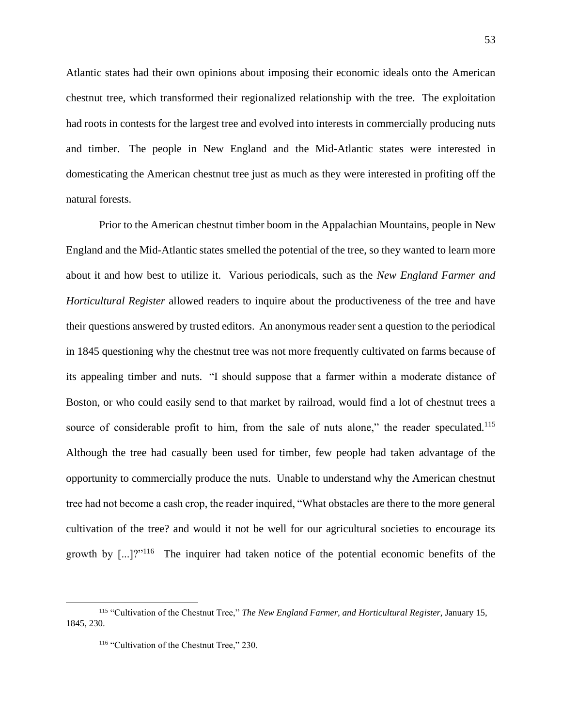Atlantic states had their own opinions about imposing their economic ideals onto the American chestnut tree, which transformed their regionalized relationship with the tree. The exploitation had roots in contests for the largest tree and evolved into interests in commercially producing nuts and timber. The people in New England and the Mid-Atlantic states were interested in domesticating the American chestnut tree just as much as they were interested in profiting off the natural forests.

Prior to the American chestnut timber boom in the Appalachian Mountains, people in New England and the Mid-Atlantic states smelled the potential of the tree, so they wanted to learn more about it and how best to utilize it. Various periodicals, such as the *New England Farmer and Horticultural Register* allowed readers to inquire about the productiveness of the tree and have their questions answered by trusted editors. An anonymous reader sent a question to the periodical in 1845 questioning why the chestnut tree was not more frequently cultivated on farms because of its appealing timber and nuts. "I should suppose that a farmer within a moderate distance of Boston, or who could easily send to that market by railroad, would find a lot of chestnut trees a source of considerable profit to him, from the sale of nuts alone," the reader speculated.<sup>115</sup> Although the tree had casually been used for timber, few people had taken advantage of the opportunity to commercially produce the nuts. Unable to understand why the American chestnut tree had not become a cash crop, the reader inquired, "What obstacles are there to the more general cultivation of the tree? and would it not be well for our agricultural societies to encourage its growth by  $\left[\ldots\right]$ <sup>2"116</sup> The inquirer had taken notice of the potential economic benefits of the

<sup>115</sup> "Cultivation of the Chestnut Tree," *The New England Farmer, and Horticultural Register*, January 15, 1845, 230.

<sup>&</sup>lt;sup>116</sup> "Cultivation of the Chestnut Tree," 230.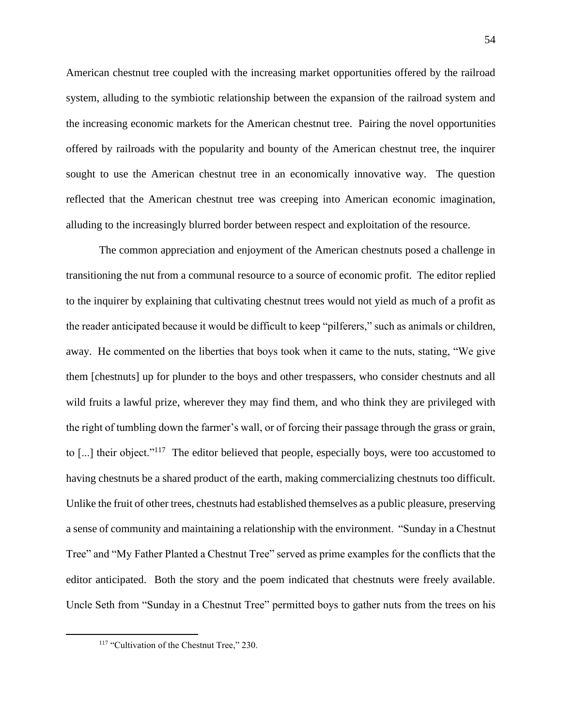American chestnut tree coupled with the increasing market opportunities offered by the railroad system, alluding to the symbiotic relationship between the expansion of the railroad system and the increasing economic markets for the American chestnut tree. Pairing the novel opportunities offered by railroads with the popularity and bounty of the American chestnut tree, the inquirer sought to use the American chestnut tree in an economically innovative way. The question reflected that the American chestnut tree was creeping into American economic imagination, alluding to the increasingly blurred border between respect and exploitation of the resource.

The common appreciation and enjoyment of the American chestnuts posed a challenge in transitioning the nut from a communal resource to a source of economic profit. The editor replied to the inquirer by explaining that cultivating chestnut trees would not yield as much of a profit as the reader anticipated because it would be difficult to keep "pilferers," such as animals or children, away. He commented on the liberties that boys took when it came to the nuts, stating, "We give them [chestnuts] up for plunder to the boys and other trespassers, who consider chestnuts and all wild fruits a lawful prize, wherever they may find them, and who think they are privileged with the right of tumbling down the farmer's wall, or of forcing their passage through the grass or grain, to [...] their object."<sup>117</sup> The editor believed that people, especially boys, were too accustomed to having chestnuts be a shared product of the earth, making commercializing chestnuts too difficult. Unlike the fruit of other trees, chestnuts had established themselves as a public pleasure, preserving a sense of community and maintaining a relationship with the environment. "Sunday in a Chestnut Tree" and "My Father Planted a Chestnut Tree" served as prime examples for the conflicts that the editor anticipated. Both the story and the poem indicated that chestnuts were freely available. Uncle Seth from "Sunday in a Chestnut Tree" permitted boys to gather nuts from the trees on his

<sup>&</sup>lt;sup>117</sup> "Cultivation of the Chestnut Tree," 230.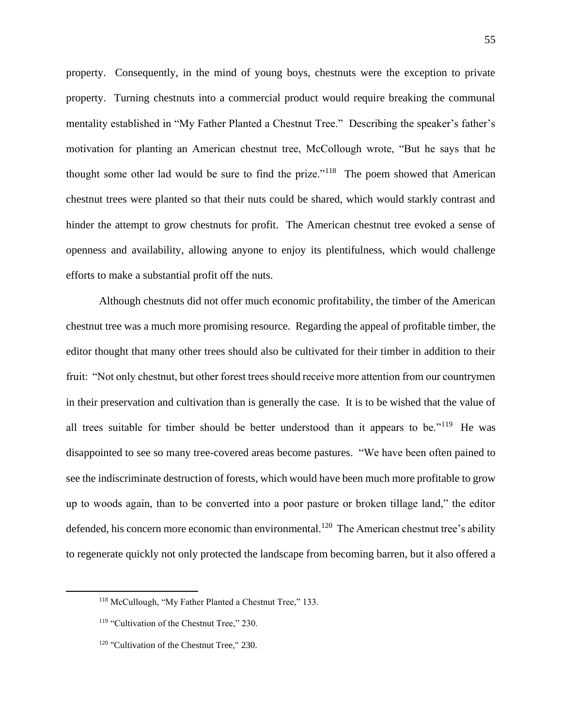property. Consequently, in the mind of young boys, chestnuts were the exception to private property. Turning chestnuts into a commercial product would require breaking the communal mentality established in "My Father Planted a Chestnut Tree." Describing the speaker's father's motivation for planting an American chestnut tree, McCollough wrote, "But he says that he thought some other lad would be sure to find the prize."<sup>118</sup> The poem showed that American chestnut trees were planted so that their nuts could be shared, which would starkly contrast and hinder the attempt to grow chestnuts for profit. The American chestnut tree evoked a sense of openness and availability, allowing anyone to enjoy its plentifulness, which would challenge efforts to make a substantial profit off the nuts.

Although chestnuts did not offer much economic profitability, the timber of the American chestnut tree was a much more promising resource. Regarding the appeal of profitable timber, the editor thought that many other trees should also be cultivated for their timber in addition to their fruit: "Not only chestnut, but other forest trees should receive more attention from our countrymen in their preservation and cultivation than is generally the case. It is to be wished that the value of all trees suitable for timber should be better understood than it appears to be."<sup>119</sup> He was disappointed to see so many tree-covered areas become pastures. "We have been often pained to see the indiscriminate destruction of forests, which would have been much more profitable to grow up to woods again, than to be converted into a poor pasture or broken tillage land," the editor defended, his concern more economic than environmental.<sup>120</sup> The American chestnut tree's ability to regenerate quickly not only protected the landscape from becoming barren, but it also offered a

<sup>118</sup> McCullough, "My Father Planted a Chestnut Tree," 133.

<sup>&</sup>lt;sup>119</sup> "Cultivation of the Chestnut Tree," 230.

<sup>&</sup>lt;sup>120</sup> "Cultivation of the Chestnut Tree," 230.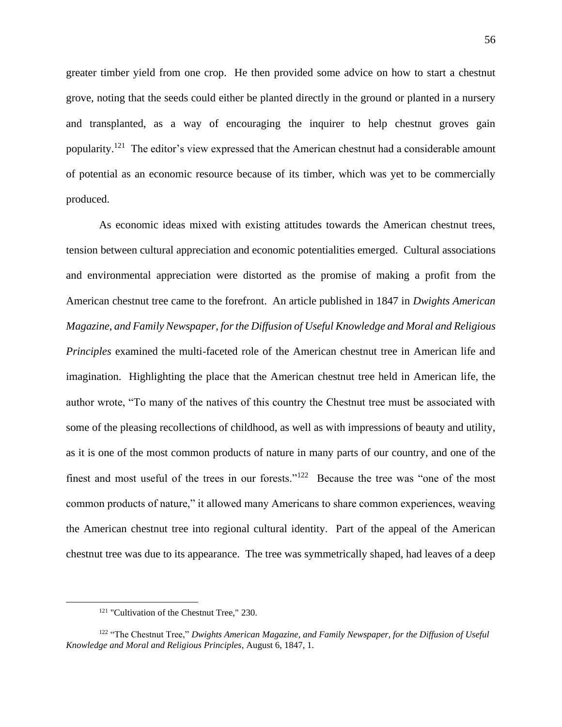greater timber yield from one crop. He then provided some advice on how to start a chestnut grove, noting that the seeds could either be planted directly in the ground or planted in a nursery and transplanted, as a way of encouraging the inquirer to help chestnut groves gain popularity.<sup>121</sup> The editor's view expressed that the American chestnut had a considerable amount of potential as an economic resource because of its timber, which was yet to be commercially produced.

As economic ideas mixed with existing attitudes towards the American chestnut trees, tension between cultural appreciation and economic potentialities emerged. Cultural associations and environmental appreciation were distorted as the promise of making a profit from the American chestnut tree came to the forefront. An article published in 1847 in *Dwights American Magazine, and Family Newspaper, for the Diffusion of Useful Knowledge and Moral and Religious Principles* examined the multi-faceted role of the American chestnut tree in American life and imagination. Highlighting the place that the American chestnut tree held in American life, the author wrote, "To many of the natives of this country the Chestnut tree must be associated with some of the pleasing recollections of childhood, as well as with impressions of beauty and utility, as it is one of the most common products of nature in many parts of our country, and one of the finest and most useful of the trees in our forests." $122$  Because the tree was "one of the most common products of nature," it allowed many Americans to share common experiences, weaving the American chestnut tree into regional cultural identity. Part of the appeal of the American chestnut tree was due to its appearance. The tree was symmetrically shaped, had leaves of a deep

<sup>&</sup>lt;sup>121</sup> "Cultivation of the Chestnut Tree," 230.

<sup>122</sup> "The Chestnut Tree," *Dwights American Magazine, and Family Newspaper, for the Diffusion of Useful Knowledge and Moral and Religious Principles*, August 6, 1847, 1.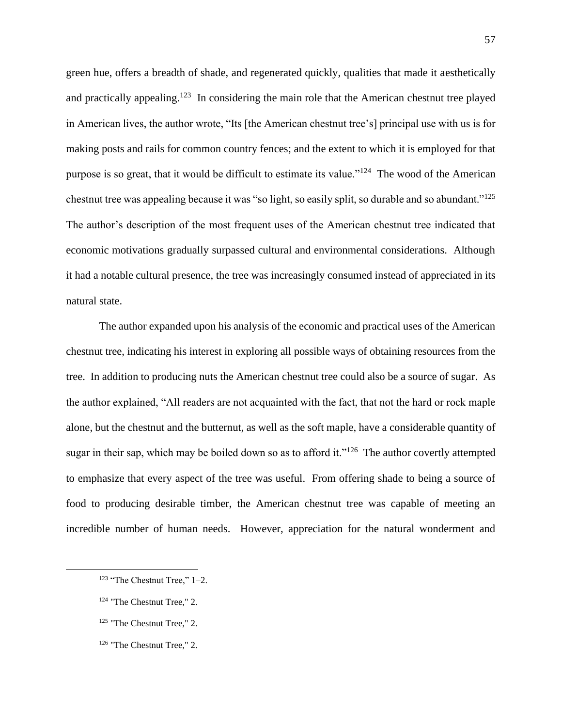green hue, offers a breadth of shade, and regenerated quickly, qualities that made it aesthetically and practically appealing.<sup>123</sup> In considering the main role that the American chestnut tree played in American lives, the author wrote, "Its [the American chestnut tree's] principal use with us is for making posts and rails for common country fences; and the extent to which it is employed for that purpose is so great, that it would be difficult to estimate its value."<sup>124</sup> The wood of the American chestnut tree was appealing because it was "so light, so easily split, so durable and so abundant."<sup>125</sup> The author's description of the most frequent uses of the American chestnut tree indicated that economic motivations gradually surpassed cultural and environmental considerations. Although it had a notable cultural presence, the tree was increasingly consumed instead of appreciated in its natural state.

The author expanded upon his analysis of the economic and practical uses of the American chestnut tree, indicating his interest in exploring all possible ways of obtaining resources from the tree. In addition to producing nuts the American chestnut tree could also be a source of sugar. As the author explained, "All readers are not acquainted with the fact, that not the hard or rock maple alone, but the chestnut and the butternut, as well as the soft maple, have a considerable quantity of sugar in their sap, which may be boiled down so as to afford it."<sup>126</sup> The author covertly attempted to emphasize that every aspect of the tree was useful. From offering shade to being a source of food to producing desirable timber, the American chestnut tree was capable of meeting an incredible number of human needs. However, appreciation for the natural wonderment and

<sup>126</sup> "The Chestnut Tree," 2.

 $123$  "The Chestnut Tree," 1–2.

<sup>124</sup> "The Chestnut Tree," 2.

<sup>125</sup> "The Chestnut Tree," 2.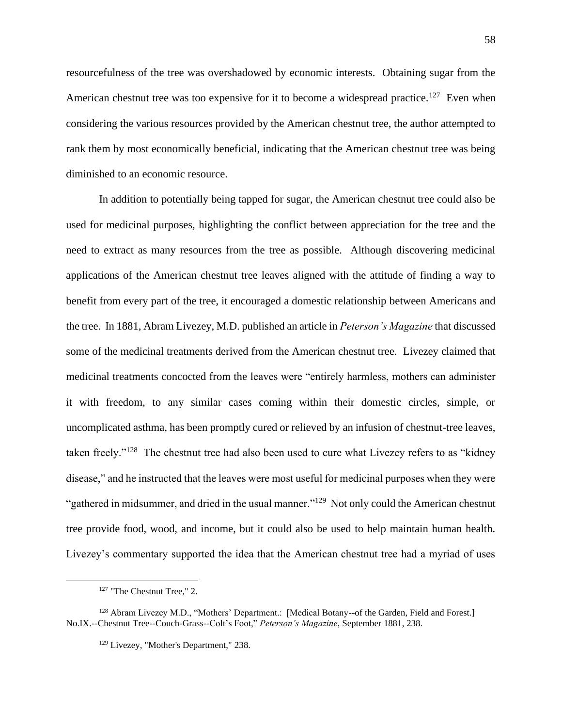resourcefulness of the tree was overshadowed by economic interests. Obtaining sugar from the American chestnut tree was too expensive for it to become a widespread practice.<sup>127</sup> Even when considering the various resources provided by the American chestnut tree, the author attempted to rank them by most economically beneficial, indicating that the American chestnut tree was being diminished to an economic resource.

In addition to potentially being tapped for sugar, the American chestnut tree could also be used for medicinal purposes, highlighting the conflict between appreciation for the tree and the need to extract as many resources from the tree as possible. Although discovering medicinal applications of the American chestnut tree leaves aligned with the attitude of finding a way to benefit from every part of the tree, it encouraged a domestic relationship between Americans and the tree. In 1881, Abram Livezey, M.D. published an article in *Peterson's Magazine* that discussed some of the medicinal treatments derived from the American chestnut tree. Livezey claimed that medicinal treatments concocted from the leaves were "entirely harmless, mothers can administer it with freedom, to any similar cases coming within their domestic circles, simple, or uncomplicated asthma, has been promptly cured or relieved by an infusion of chestnut-tree leaves, taken freely."<sup>128</sup> The chestnut tree had also been used to cure what Livezey refers to as "kidney disease," and he instructed that the leaves were most useful for medicinal purposes when they were "gathered in midsummer, and dried in the usual manner."<sup>129</sup> Not only could the American chestnut tree provide food, wood, and income, but it could also be used to help maintain human health. Livezey's commentary supported the idea that the American chestnut tree had a myriad of uses

<sup>127</sup> "The Chestnut Tree," 2.

<sup>128</sup> Abram Livezey M.D., "Mothers' Department.: [Medical Botany--of the Garden, Field and Forest.] No.IX.--Chestnut Tree--Couch-Grass--Colt's Foot," *Peterson's Magazine*, September 1881, 238.

<sup>129</sup> Livezey, "Mother's Department," 238.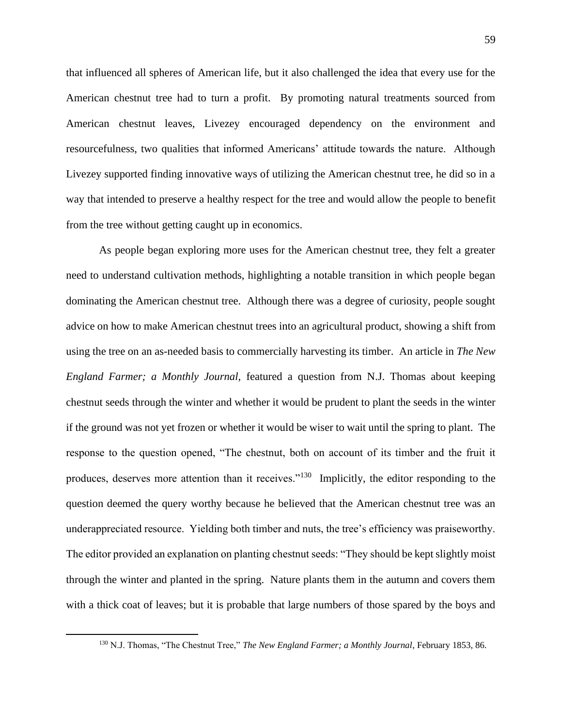that influenced all spheres of American life, but it also challenged the idea that every use for the American chestnut tree had to turn a profit. By promoting natural treatments sourced from American chestnut leaves, Livezey encouraged dependency on the environment and resourcefulness, two qualities that informed Americans' attitude towards the nature. Although Livezey supported finding innovative ways of utilizing the American chestnut tree, he did so in a way that intended to preserve a healthy respect for the tree and would allow the people to benefit from the tree without getting caught up in economics.

As people began exploring more uses for the American chestnut tree, they felt a greater need to understand cultivation methods, highlighting a notable transition in which people began dominating the American chestnut tree. Although there was a degree of curiosity, people sought advice on how to make American chestnut trees into an agricultural product, showing a shift from using the tree on an as-needed basis to commercially harvesting its timber. An article in *The New England Farmer; a Monthly Journal,* featured a question from N.J. Thomas about keeping chestnut seeds through the winter and whether it would be prudent to plant the seeds in the winter if the ground was not yet frozen or whether it would be wiser to wait until the spring to plant. The response to the question opened, "The chestnut, both on account of its timber and the fruit it produces, deserves more attention than it receives."<sup>130</sup> Implicitly, the editor responding to the question deemed the query worthy because he believed that the American chestnut tree was an underappreciated resource. Yielding both timber and nuts, the tree's efficiency was praiseworthy. The editor provided an explanation on planting chestnut seeds: "They should be kept slightly moist through the winter and planted in the spring. Nature plants them in the autumn and covers them with a thick coat of leaves; but it is probable that large numbers of those spared by the boys and

<sup>130</sup> N.J. Thomas, "The Chestnut Tree," *The New England Farmer; a Monthly Journal*, February 1853, 86.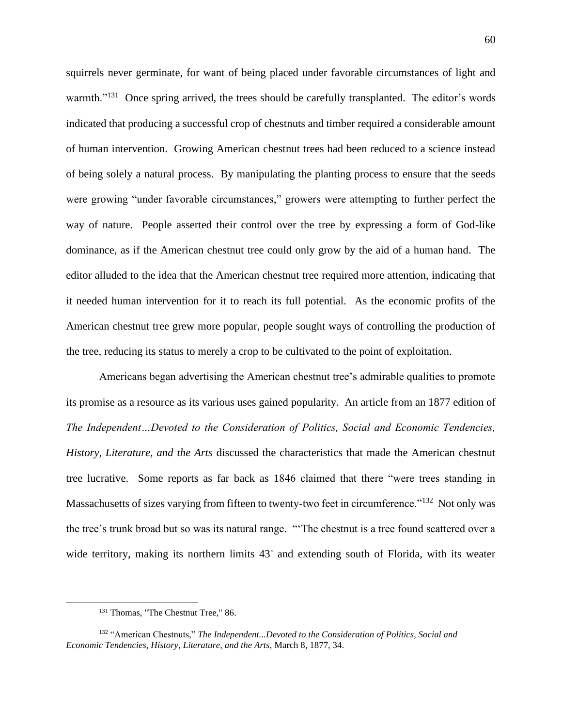squirrels never germinate, for want of being placed under favorable circumstances of light and warmth."<sup>131</sup> Once spring arrived, the trees should be carefully transplanted. The editor's words indicated that producing a successful crop of chestnuts and timber required a considerable amount of human intervention. Growing American chestnut trees had been reduced to a science instead of being solely a natural process. By manipulating the planting process to ensure that the seeds were growing "under favorable circumstances," growers were attempting to further perfect the way of nature. People asserted their control over the tree by expressing a form of God-like dominance, as if the American chestnut tree could only grow by the aid of a human hand. The editor alluded to the idea that the American chestnut tree required more attention, indicating that it needed human intervention for it to reach its full potential. As the economic profits of the American chestnut tree grew more popular, people sought ways of controlling the production of the tree, reducing its status to merely a crop to be cultivated to the point of exploitation.

Americans began advertising the American chestnut tree's admirable qualities to promote its promise as a resource as its various uses gained popularity. An article from an 1877 edition of *The Independent…Devoted to the Consideration of Politics, Social and Economic Tendencies, History, Literature, and the Arts* discussed the characteristics that made the American chestnut tree lucrative. Some reports as far back as 1846 claimed that there "were trees standing in Massachusetts of sizes varying from fifteen to twenty-two feet in circumference."<sup>132</sup> Not only was the tree's trunk broad but so was its natural range. "'The chestnut is a tree found scattered over a wide territory, making its northern limits 43° and extending south of Florida, with its weater

<sup>&</sup>lt;sup>131</sup> Thomas, "The Chestnut Tree," 86.

<sup>132</sup> "American Chestnuts," *The Independent...Devoted to the Consideration of Politics, Social and Economic Tendencies, History, Literature, and the Arts*, March 8, 1877, 34.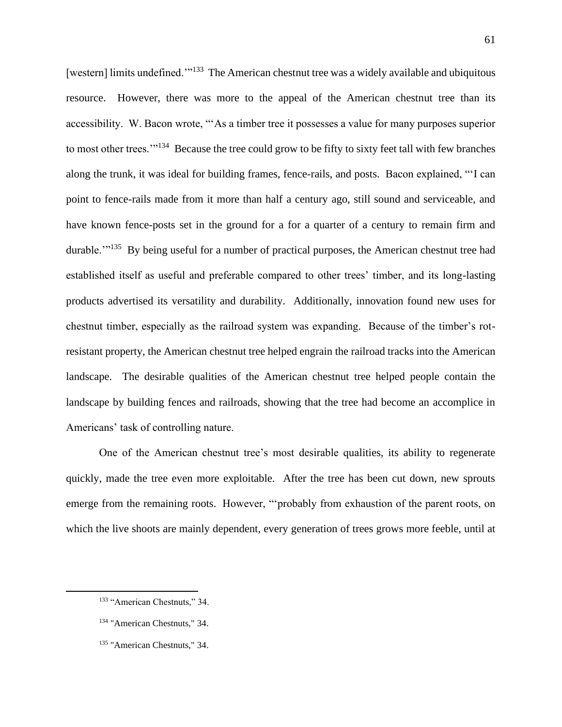[western] limits undefined."<sup>133</sup> The American chestnut tree was a widely available and ubiquitous resource. However, there was more to the appeal of the American chestnut tree than its accessibility. W. Bacon wrote, "'As a timber tree it possesses a value for many purposes superior to most other trees."<sup>134</sup> Because the tree could grow to be fifty to sixty feet tall with few branches along the trunk, it was ideal for building frames, fence-rails, and posts. Bacon explained, "'I can point to fence-rails made from it more than half a century ago, still sound and serviceable, and have known fence-posts set in the ground for a for a quarter of a century to remain firm and durable."<sup>135</sup> By being useful for a number of practical purposes, the American chestnut tree had established itself as useful and preferable compared to other trees' timber, and its long-lasting products advertised its versatility and durability. Additionally, innovation found new uses for chestnut timber, especially as the railroad system was expanding. Because of the timber's rotresistant property, the American chestnut tree helped engrain the railroad tracks into the American landscape. The desirable qualities of the American chestnut tree helped people contain the landscape by building fences and railroads, showing that the tree had become an accomplice in Americans' task of controlling nature.

One of the American chestnut tree's most desirable qualities, its ability to regenerate quickly, made the tree even more exploitable. After the tree has been cut down, new sprouts emerge from the remaining roots. However, "'probably from exhaustion of the parent roots, on which the live shoots are mainly dependent, every generation of trees grows more feeble, until at

<sup>133</sup> "American Chestnuts," 34.

<sup>134</sup> "American Chestnuts," 34.

<sup>135</sup> "American Chestnuts," 34.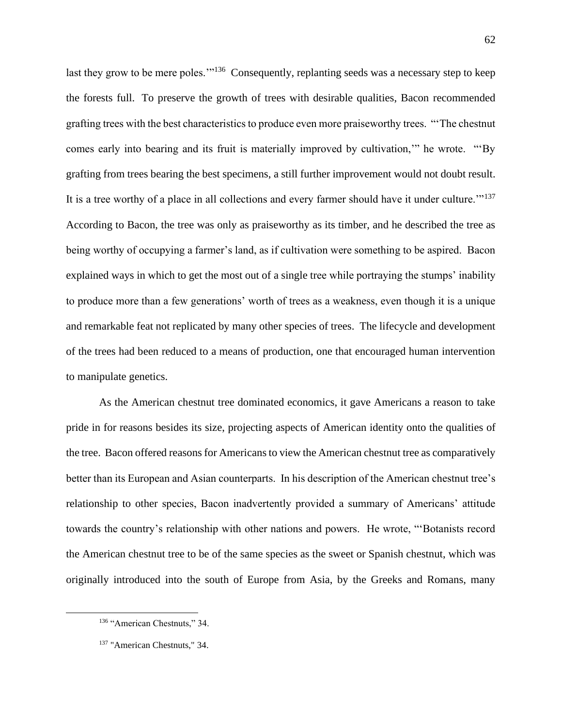last they grow to be mere poles."<sup>136</sup> Consequently, replanting seeds was a necessary step to keep the forests full. To preserve the growth of trees with desirable qualities, Bacon recommended grafting trees with the best characteristics to produce even more praiseworthy trees. "'The chestnut comes early into bearing and its fruit is materially improved by cultivation,'" he wrote. "'By grafting from trees bearing the best specimens, a still further improvement would not doubt result. It is a tree worthy of a place in all collections and every farmer should have it under culture."<sup>137</sup> According to Bacon, the tree was only as praiseworthy as its timber, and he described the tree as being worthy of occupying a farmer's land, as if cultivation were something to be aspired. Bacon explained ways in which to get the most out of a single tree while portraying the stumps' inability to produce more than a few generations' worth of trees as a weakness, even though it is a unique and remarkable feat not replicated by many other species of trees. The lifecycle and development of the trees had been reduced to a means of production, one that encouraged human intervention to manipulate genetics.

As the American chestnut tree dominated economics, it gave Americans a reason to take pride in for reasons besides its size, projecting aspects of American identity onto the qualities of the tree. Bacon offered reasons for Americans to view the American chestnut tree as comparatively better than its European and Asian counterparts. In his description of the American chestnut tree's relationship to other species, Bacon inadvertently provided a summary of Americans' attitude towards the country's relationship with other nations and powers. He wrote, "'Botanists record the American chestnut tree to be of the same species as the sweet or Spanish chestnut, which was originally introduced into the south of Europe from Asia, by the Greeks and Romans, many

<sup>136 &</sup>quot;American Chestnuts," 34.

<sup>137</sup> "American Chestnuts," 34.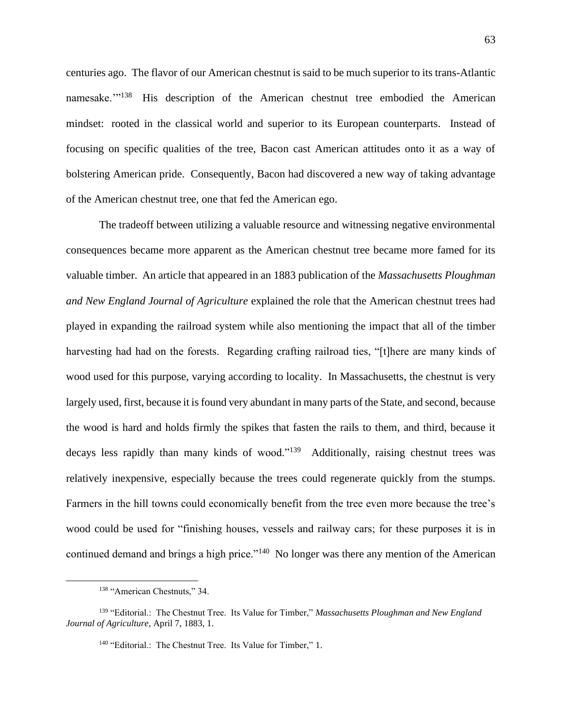centuries ago. The flavor of our American chestnut is said to be much superior to its trans-Atlantic namesake."<sup>138</sup> His description of the American chestnut tree embodied the American mindset: rooted in the classical world and superior to its European counterparts. Instead of focusing on specific qualities of the tree, Bacon cast American attitudes onto it as a way of bolstering American pride. Consequently, Bacon had discovered a new way of taking advantage of the American chestnut tree, one that fed the American ego.

The tradeoff between utilizing a valuable resource and witnessing negative environmental consequences became more apparent as the American chestnut tree became more famed for its valuable timber. An article that appeared in an 1883 publication of the *Massachusetts Ploughman and New England Journal of Agriculture* explained the role that the American chestnut trees had played in expanding the railroad system while also mentioning the impact that all of the timber harvesting had had on the forests. Regarding crafting railroad ties, "[t]here are many kinds of wood used for this purpose, varying according to locality. In Massachusetts, the chestnut is very largely used, first, because it is found very abundant in many parts of the State, and second, because the wood is hard and holds firmly the spikes that fasten the rails to them, and third, because it decays less rapidly than many kinds of wood."<sup>139</sup> Additionally, raising chestnut trees was relatively inexpensive, especially because the trees could regenerate quickly from the stumps. Farmers in the hill towns could economically benefit from the tree even more because the tree's wood could be used for "finishing houses, vessels and railway cars; for these purposes it is in continued demand and brings a high price."<sup>140</sup> No longer was there any mention of the American

<sup>138</sup> "American Chestnuts," 34.

<sup>139</sup> "Editorial.: The Chestnut Tree. Its Value for Timber," *Massachusetts Ploughman and New England Journal of Agriculture*, April 7, 1883, 1.

<sup>&</sup>lt;sup>140</sup> "Editorial.: The Chestnut Tree. Its Value for Timber," 1.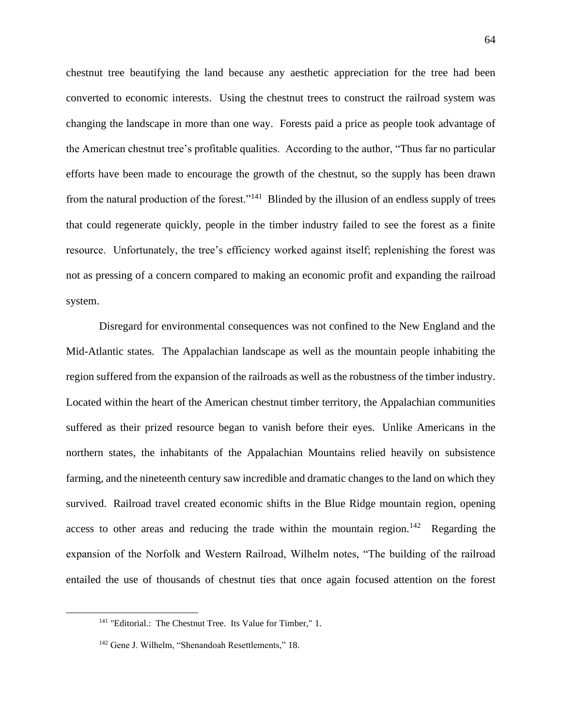chestnut tree beautifying the land because any aesthetic appreciation for the tree had been converted to economic interests. Using the chestnut trees to construct the railroad system was changing the landscape in more than one way. Forests paid a price as people took advantage of the American chestnut tree's profitable qualities. According to the author, "Thus far no particular efforts have been made to encourage the growth of the chestnut, so the supply has been drawn from the natural production of the forest."<sup>141</sup> Blinded by the illusion of an endless supply of trees that could regenerate quickly, people in the timber industry failed to see the forest as a finite resource. Unfortunately, the tree's efficiency worked against itself; replenishing the forest was not as pressing of a concern compared to making an economic profit and expanding the railroad system.

Disregard for environmental consequences was not confined to the New England and the Mid-Atlantic states. The Appalachian landscape as well as the mountain people inhabiting the region suffered from the expansion of the railroads as well as the robustness of the timber industry. Located within the heart of the American chestnut timber territory, the Appalachian communities suffered as their prized resource began to vanish before their eyes. Unlike Americans in the northern states, the inhabitants of the Appalachian Mountains relied heavily on subsistence farming, and the nineteenth century saw incredible and dramatic changes to the land on which they survived. Railroad travel created economic shifts in the Blue Ridge mountain region, opening access to other areas and reducing the trade within the mountain region.<sup>142</sup> Regarding the expansion of the Norfolk and Western Railroad, Wilhelm notes, "The building of the railroad entailed the use of thousands of chestnut ties that once again focused attention on the forest

<sup>&</sup>lt;sup>141</sup> "Editorial.: The Chestnut Tree. Its Value for Timber," 1.

<sup>&</sup>lt;sup>142</sup> Gene J. Wilhelm, "Shenandoah Resettlements," 18.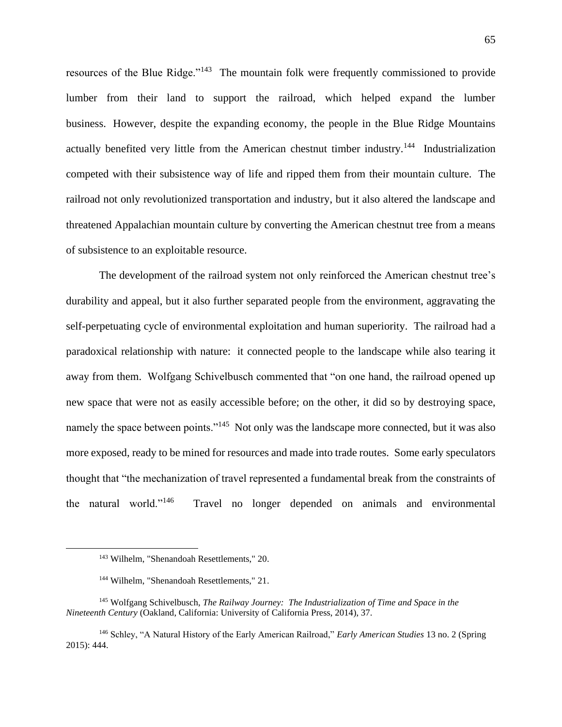resources of the Blue Ridge."<sup>143</sup> The mountain folk were frequently commissioned to provide lumber from their land to support the railroad, which helped expand the lumber business. However, despite the expanding economy, the people in the Blue Ridge Mountains actually benefited very little from the American chestnut timber industry.<sup>144</sup> Industrialization competed with their subsistence way of life and ripped them from their mountain culture. The railroad not only revolutionized transportation and industry, but it also altered the landscape and threatened Appalachian mountain culture by converting the American chestnut tree from a means of subsistence to an exploitable resource.

The development of the railroad system not only reinforced the American chestnut tree's durability and appeal, but it also further separated people from the environment, aggravating the self-perpetuating cycle of environmental exploitation and human superiority. The railroad had a paradoxical relationship with nature: it connected people to the landscape while also tearing it away from them. Wolfgang Schivelbusch commented that "on one hand, the railroad opened up new space that were not as easily accessible before; on the other, it did so by destroying space, namely the space between points."<sup>145</sup> Not only was the landscape more connected, but it was also more exposed, ready to be mined for resources and made into trade routes. Some early speculators thought that "the mechanization of travel represented a fundamental break from the constraints of the natural world."<sup>146</sup> Travel no longer depended on animals and environmental

<sup>143</sup> Wilhelm, "Shenandoah Resettlements," 20.

<sup>144</sup> Wilhelm, "Shenandoah Resettlements," 21.

<sup>145</sup> Wolfgang Schivelbusch, *The Railway Journey: The Industrialization of Time and Space in the Nineteenth Century* (Oakland, California: University of California Press, 2014), 37.

<sup>146</sup> Schley, "A Natural History of the Early American Railroad," *Early American Studies* 13 no. 2 (Spring 2015): 444.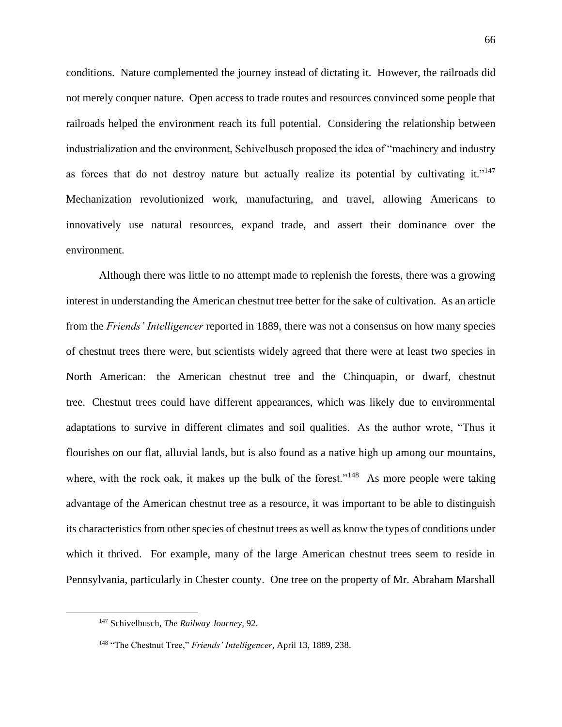conditions. Nature complemented the journey instead of dictating it. However, the railroads did not merely conquer nature. Open access to trade routes and resources convinced some people that railroads helped the environment reach its full potential. Considering the relationship between industrialization and the environment, Schivelbusch proposed the idea of "machinery and industry as forces that do not destroy nature but actually realize its potential by cultivating it."<sup>147</sup> Mechanization revolutionized work, manufacturing, and travel, allowing Americans to innovatively use natural resources, expand trade, and assert their dominance over the environment.

Although there was little to no attempt made to replenish the forests, there was a growing interest in understanding the American chestnut tree better for the sake of cultivation. As an article from the *Friends' Intelligencer* reported in 1889, there was not a consensus on how many species of chestnut trees there were, but scientists widely agreed that there were at least two species in North American: the American chestnut tree and the Chinquapin, or dwarf, chestnut tree. Chestnut trees could have different appearances, which was likely due to environmental adaptations to survive in different climates and soil qualities. As the author wrote, "Thus it flourishes on our flat, alluvial lands, but is also found as a native high up among our mountains, where, with the rock oak, it makes up the bulk of the forest."<sup>148</sup> As more people were taking advantage of the American chestnut tree as a resource, it was important to be able to distinguish its characteristics from other species of chestnut trees as well as know the types of conditions under which it thrived. For example, many of the large American chestnut trees seem to reside in Pennsylvania, particularly in Chester county. One tree on the property of Mr. Abraham Marshall

<sup>147</sup> Schivelbusch, *The Railway Journey,* 92.

<sup>148</sup> "The Chestnut Tree," *Friends' Intelligencer*, April 13, 1889, 238.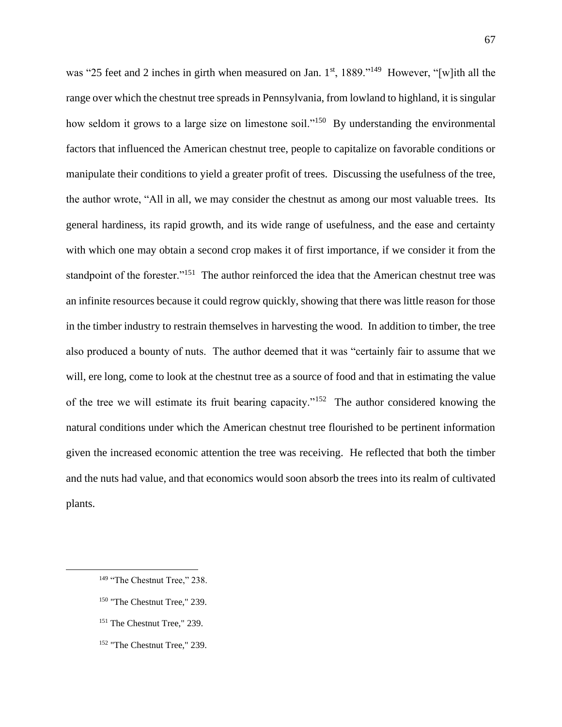was "25 feet and 2 inches in girth when measured on Jan. 1st, 1889."<sup>149</sup> However, "[w]ith all the range over which the chestnut tree spreads in Pennsylvania, from lowland to highland, it is singular how seldom it grows to a large size on limestone soil."<sup>150</sup> By understanding the environmental factors that influenced the American chestnut tree, people to capitalize on favorable conditions or manipulate their conditions to yield a greater profit of trees. Discussing the usefulness of the tree, the author wrote, "All in all, we may consider the chestnut as among our most valuable trees. Its general hardiness, its rapid growth, and its wide range of usefulness, and the ease and certainty with which one may obtain a second crop makes it of first importance, if we consider it from the standpoint of the forester."<sup>151</sup> The author reinforced the idea that the American chestnut tree was an infinite resources because it could regrow quickly, showing that there was little reason for those in the timber industry to restrain themselves in harvesting the wood. In addition to timber, the tree also produced a bounty of nuts. The author deemed that it was "certainly fair to assume that we will, ere long, come to look at the chestnut tree as a source of food and that in estimating the value of the tree we will estimate its fruit bearing capacity."<sup>152</sup> The author considered knowing the natural conditions under which the American chestnut tree flourished to be pertinent information given the increased economic attention the tree was receiving. He reflected that both the timber and the nuts had value, and that economics would soon absorb the trees into its realm of cultivated plants.

- <sup>150</sup> "The Chestnut Tree," 239.
- <sup>151</sup> The Chestnut Tree," 239.
- <sup>152</sup> "The Chestnut Tree," 239.

<sup>&</sup>lt;sup>149</sup> "The Chestnut Tree," 238.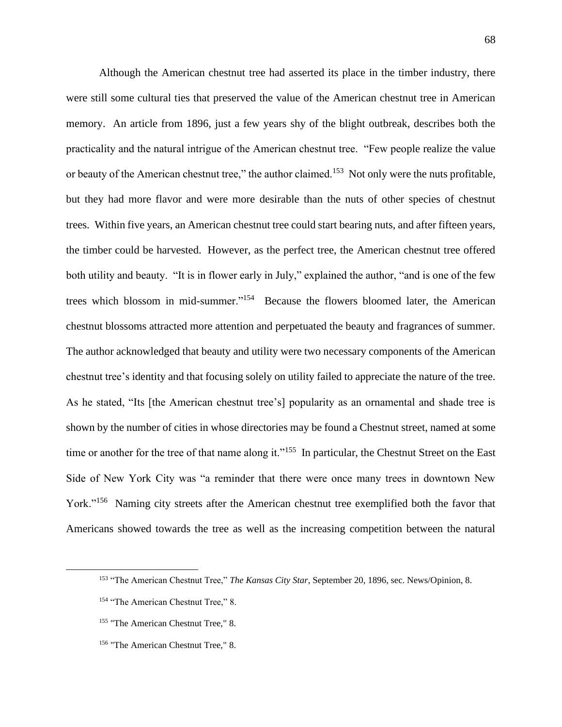Although the American chestnut tree had asserted its place in the timber industry, there were still some cultural ties that preserved the value of the American chestnut tree in American memory. An article from 1896, just a few years shy of the blight outbreak, describes both the practicality and the natural intrigue of the American chestnut tree. "Few people realize the value or beauty of the American chestnut tree," the author claimed.<sup>153</sup> Not only were the nuts profitable, but they had more flavor and were more desirable than the nuts of other species of chestnut trees. Within five years, an American chestnut tree could start bearing nuts, and after fifteen years, the timber could be harvested. However, as the perfect tree, the American chestnut tree offered both utility and beauty. "It is in flower early in July," explained the author, "and is one of the few trees which blossom in mid-summer."<sup>154</sup> Because the flowers bloomed later, the American chestnut blossoms attracted more attention and perpetuated the beauty and fragrances of summer. The author acknowledged that beauty and utility were two necessary components of the American chestnut tree's identity and that focusing solely on utility failed to appreciate the nature of the tree. As he stated, "Its [the American chestnut tree's] popularity as an ornamental and shade tree is shown by the number of cities in whose directories may be found a Chestnut street, named at some time or another for the tree of that name along it."<sup>155</sup> In particular, the Chestnut Street on the East Side of New York City was "a reminder that there were once many trees in downtown New York."<sup>156</sup> Naming city streets after the American chestnut tree exemplified both the favor that Americans showed towards the tree as well as the increasing competition between the natural

<sup>153</sup> "The American Chestnut Tree," *The Kansas City Star*, September 20, 1896, sec. News/Opinion, 8.

<sup>&</sup>lt;sup>154</sup> "The American Chestnut Tree," 8.

<sup>&</sup>lt;sup>155</sup> "The American Chestnut Tree," 8.

<sup>&</sup>lt;sup>156</sup> "The American Chestnut Tree," 8.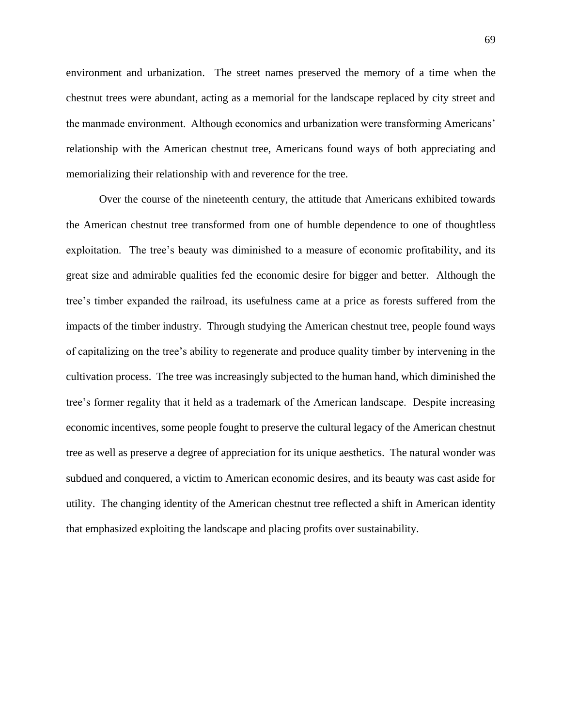environment and urbanization. The street names preserved the memory of a time when the chestnut trees were abundant, acting as a memorial for the landscape replaced by city street and the manmade environment. Although economics and urbanization were transforming Americans' relationship with the American chestnut tree, Americans found ways of both appreciating and memorializing their relationship with and reverence for the tree.

Over the course of the nineteenth century, the attitude that Americans exhibited towards the American chestnut tree transformed from one of humble dependence to one of thoughtless exploitation. The tree's beauty was diminished to a measure of economic profitability, and its great size and admirable qualities fed the economic desire for bigger and better. Although the tree's timber expanded the railroad, its usefulness came at a price as forests suffered from the impacts of the timber industry. Through studying the American chestnut tree, people found ways of capitalizing on the tree's ability to regenerate and produce quality timber by intervening in the cultivation process. The tree was increasingly subjected to the human hand, which diminished the tree's former regality that it held as a trademark of the American landscape. Despite increasing economic incentives, some people fought to preserve the cultural legacy of the American chestnut tree as well as preserve a degree of appreciation for its unique aesthetics. The natural wonder was subdued and conquered, a victim to American economic desires, and its beauty was cast aside for utility. The changing identity of the American chestnut tree reflected a shift in American identity that emphasized exploiting the landscape and placing profits over sustainability.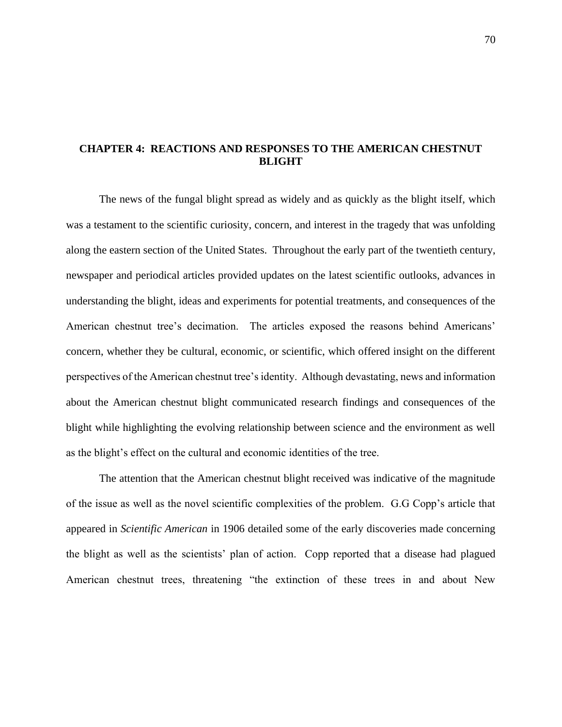## **CHAPTER 4: REACTIONS AND RESPONSES TO THE AMERICAN CHESTNUT BLIGHT**

The news of the fungal blight spread as widely and as quickly as the blight itself, which was a testament to the scientific curiosity, concern, and interest in the tragedy that was unfolding along the eastern section of the United States. Throughout the early part of the twentieth century, newspaper and periodical articles provided updates on the latest scientific outlooks, advances in understanding the blight, ideas and experiments for potential treatments, and consequences of the American chestnut tree's decimation. The articles exposed the reasons behind Americans' concern, whether they be cultural, economic, or scientific, which offered insight on the different perspectives of the American chestnut tree's identity. Although devastating, news and information about the American chestnut blight communicated research findings and consequences of the blight while highlighting the evolving relationship between science and the environment as well as the blight's effect on the cultural and economic identities of the tree.

The attention that the American chestnut blight received was indicative of the magnitude of the issue as well as the novel scientific complexities of the problem. G.G Copp's article that appeared in *Scientific American* in 1906 detailed some of the early discoveries made concerning the blight as well as the scientists' plan of action. Copp reported that a disease had plagued American chestnut trees, threatening "the extinction of these trees in and about New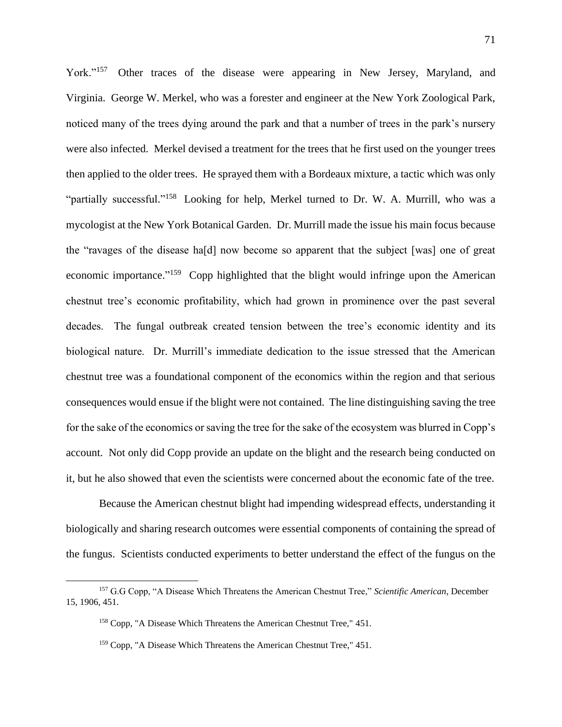York."<sup>157</sup> Other traces of the disease were appearing in New Jersey, Maryland, and Virginia. George W. Merkel, who was a forester and engineer at the New York Zoological Park, noticed many of the trees dying around the park and that a number of trees in the park's nursery were also infected. Merkel devised a treatment for the trees that he first used on the younger trees then applied to the older trees. He sprayed them with a Bordeaux mixture, a tactic which was only "partially successful."<sup>158</sup> Looking for help, Merkel turned to Dr. W. A. Murrill, who was a mycologist at the New York Botanical Garden. Dr. Murrill made the issue his main focus because the "ravages of the disease ha[d] now become so apparent that the subject [was] one of great economic importance."<sup>159</sup> Copp highlighted that the blight would infringe upon the American chestnut tree's economic profitability, which had grown in prominence over the past several decades. The fungal outbreak created tension between the tree's economic identity and its biological nature. Dr. Murrill's immediate dedication to the issue stressed that the American chestnut tree was a foundational component of the economics within the region and that serious consequences would ensue if the blight were not contained. The line distinguishing saving the tree for the sake of the economics or saving the tree for the sake of the ecosystem was blurred in Copp's account. Not only did Copp provide an update on the blight and the research being conducted on it, but he also showed that even the scientists were concerned about the economic fate of the tree.

Because the American chestnut blight had impending widespread effects, understanding it biologically and sharing research outcomes were essential components of containing the spread of the fungus. Scientists conducted experiments to better understand the effect of the fungus on the

<sup>157</sup> G.G Copp, "A Disease Which Threatens the American Chestnut Tree," *Scientific American*, December 15, 1906, 451.

<sup>158</sup> Copp, "A Disease Which Threatens the American Chestnut Tree," 451.

<sup>159</sup> Copp, "A Disease Which Threatens the American Chestnut Tree," 451.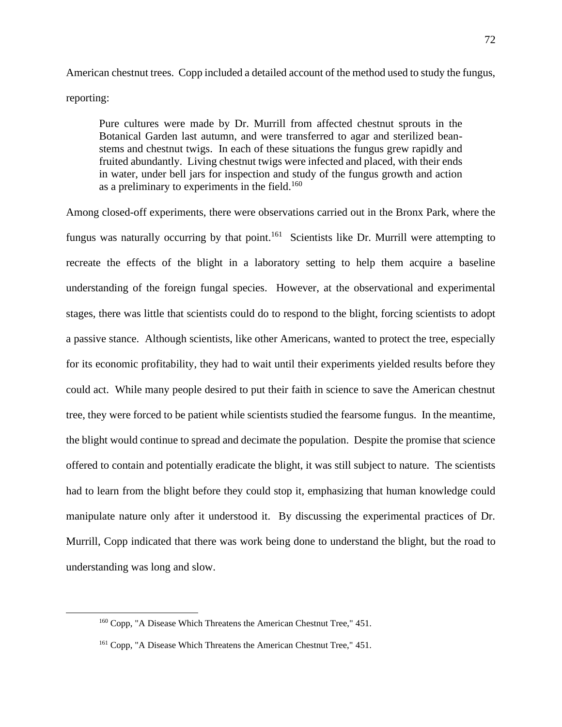American chestnut trees. Copp included a detailed account of the method used to study the fungus, reporting:

Pure cultures were made by Dr. Murrill from affected chestnut sprouts in the Botanical Garden last autumn, and were transferred to agar and sterilized beanstems and chestnut twigs. In each of these situations the fungus grew rapidly and fruited abundantly. Living chestnut twigs were infected and placed, with their ends in water, under bell jars for inspection and study of the fungus growth and action as a preliminary to experiments in the field. $160$ 

Among closed-off experiments, there were observations carried out in the Bronx Park, where the fungus was naturally occurring by that point.<sup>161</sup> Scientists like Dr. Murrill were attempting to recreate the effects of the blight in a laboratory setting to help them acquire a baseline understanding of the foreign fungal species. However, at the observational and experimental stages, there was little that scientists could do to respond to the blight, forcing scientists to adopt a passive stance. Although scientists, like other Americans, wanted to protect the tree, especially for its economic profitability, they had to wait until their experiments yielded results before they could act. While many people desired to put their faith in science to save the American chestnut tree, they were forced to be patient while scientists studied the fearsome fungus. In the meantime, the blight would continue to spread and decimate the population. Despite the promise that science offered to contain and potentially eradicate the blight, it was still subject to nature. The scientists had to learn from the blight before they could stop it, emphasizing that human knowledge could manipulate nature only after it understood it. By discussing the experimental practices of Dr. Murrill, Copp indicated that there was work being done to understand the blight, but the road to understanding was long and slow.

<sup>160</sup> Copp, "A Disease Which Threatens the American Chestnut Tree," 451.

<sup>161</sup> Copp, "A Disease Which Threatens the American Chestnut Tree," 451.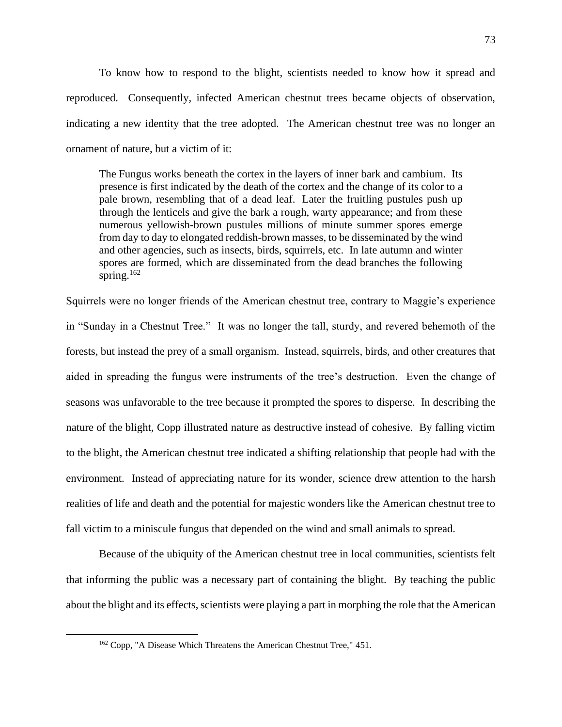To know how to respond to the blight, scientists needed to know how it spread and reproduced. Consequently, infected American chestnut trees became objects of observation, indicating a new identity that the tree adopted. The American chestnut tree was no longer an ornament of nature, but a victim of it:

The Fungus works beneath the cortex in the layers of inner bark and cambium. Its presence is first indicated by the death of the cortex and the change of its color to a pale brown, resembling that of a dead leaf. Later the fruitling pustules push up through the lenticels and give the bark a rough, warty appearance; and from these numerous yellowish-brown pustules millions of minute summer spores emerge from day to day to elongated reddish-brown masses, to be disseminated by the wind and other agencies, such as insects, birds, squirrels, etc. In late autumn and winter spores are formed, which are disseminated from the dead branches the following spring. 162

Squirrels were no longer friends of the American chestnut tree, contrary to Maggie's experience in "Sunday in a Chestnut Tree." It was no longer the tall, sturdy, and revered behemoth of the forests, but instead the prey of a small organism. Instead, squirrels, birds, and other creatures that aided in spreading the fungus were instruments of the tree's destruction. Even the change of seasons was unfavorable to the tree because it prompted the spores to disperse. In describing the nature of the blight, Copp illustrated nature as destructive instead of cohesive. By falling victim to the blight, the American chestnut tree indicated a shifting relationship that people had with the environment. Instead of appreciating nature for its wonder, science drew attention to the harsh realities of life and death and the potential for majestic wonders like the American chestnut tree to fall victim to a miniscule fungus that depended on the wind and small animals to spread.

Because of the ubiquity of the American chestnut tree in local communities, scientists felt that informing the public was a necessary part of containing the blight. By teaching the public about the blight and its effects, scientists were playing a part in morphing the role that the American

<sup>162</sup> Copp, "A Disease Which Threatens the American Chestnut Tree," 451.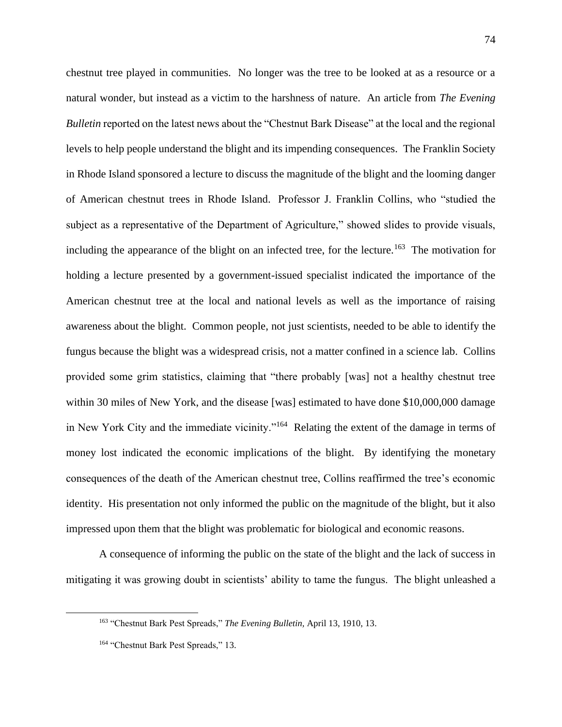chestnut tree played in communities. No longer was the tree to be looked at as a resource or a natural wonder, but instead as a victim to the harshness of nature. An article from *The Evening Bulletin* reported on the latest news about the "Chestnut Bark Disease" at the local and the regional levels to help people understand the blight and its impending consequences. The Franklin Society in Rhode Island sponsored a lecture to discuss the magnitude of the blight and the looming danger of American chestnut trees in Rhode Island. Professor J. Franklin Collins, who "studied the subject as a representative of the Department of Agriculture," showed slides to provide visuals, including the appearance of the blight on an infected tree, for the lecture.<sup>163</sup> The motivation for holding a lecture presented by a government-issued specialist indicated the importance of the American chestnut tree at the local and national levels as well as the importance of raising awareness about the blight. Common people, not just scientists, needed to be able to identify the fungus because the blight was a widespread crisis, not a matter confined in a science lab. Collins provided some grim statistics, claiming that "there probably [was] not a healthy chestnut tree within 30 miles of New York, and the disease [was] estimated to have done \$10,000,000 damage in New York City and the immediate vicinity."<sup>164</sup> Relating the extent of the damage in terms of money lost indicated the economic implications of the blight. By identifying the monetary consequences of the death of the American chestnut tree, Collins reaffirmed the tree's economic identity. His presentation not only informed the public on the magnitude of the blight, but it also impressed upon them that the blight was problematic for biological and economic reasons.

A consequence of informing the public on the state of the blight and the lack of success in mitigating it was growing doubt in scientists' ability to tame the fungus. The blight unleashed a

<sup>163</sup> "Chestnut Bark Pest Spreads," *The Evening Bulletin,* April 13, 1910, 13.

<sup>&</sup>lt;sup>164</sup> "Chestnut Bark Pest Spreads," 13.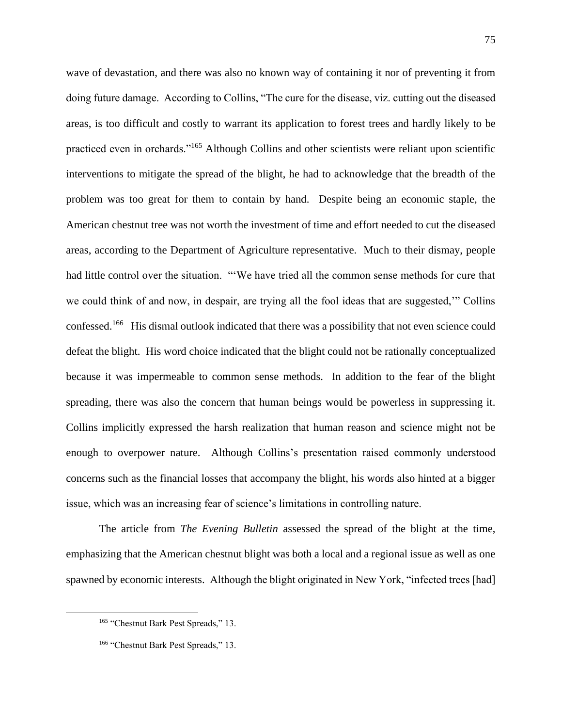wave of devastation, and there was also no known way of containing it nor of preventing it from doing future damage. According to Collins, "The cure for the disease, viz. cutting out the diseased areas, is too difficult and costly to warrant its application to forest trees and hardly likely to be practiced even in orchards."<sup>165</sup> Although Collins and other scientists were reliant upon scientific interventions to mitigate the spread of the blight, he had to acknowledge that the breadth of the problem was too great for them to contain by hand. Despite being an economic staple, the American chestnut tree was not worth the investment of time and effort needed to cut the diseased areas, according to the Department of Agriculture representative. Much to their dismay, people had little control over the situation. "'We have tried all the common sense methods for cure that we could think of and now, in despair, are trying all the fool ideas that are suggested,'" Collins confessed.<sup>166</sup> His dismal outlook indicated that there was a possibility that not even science could defeat the blight. His word choice indicated that the blight could not be rationally conceptualized because it was impermeable to common sense methods. In addition to the fear of the blight spreading, there was also the concern that human beings would be powerless in suppressing it. Collins implicitly expressed the harsh realization that human reason and science might not be enough to overpower nature. Although Collins's presentation raised commonly understood concerns such as the financial losses that accompany the blight, his words also hinted at a bigger issue, which was an increasing fear of science's limitations in controlling nature.

The article from *The Evening Bulletin* assessed the spread of the blight at the time, emphasizing that the American chestnut blight was both a local and a regional issue as well as one spawned by economic interests. Although the blight originated in New York, "infected trees [had]

<sup>&</sup>lt;sup>165</sup> "Chestnut Bark Pest Spreads," 13.

<sup>&</sup>lt;sup>166</sup> "Chestnut Bark Pest Spreads," 13.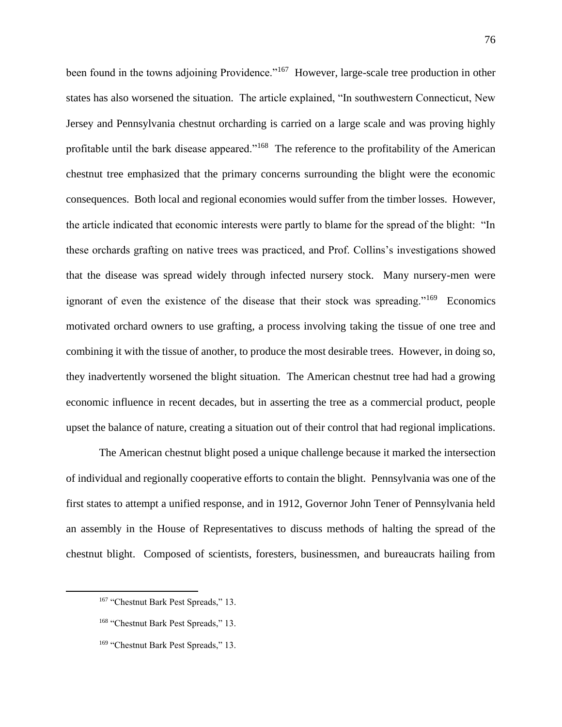been found in the towns adjoining Providence."<sup>167</sup> However, large-scale tree production in other states has also worsened the situation. The article explained, "In southwestern Connecticut, New Jersey and Pennsylvania chestnut orcharding is carried on a large scale and was proving highly profitable until the bark disease appeared."<sup>168</sup> The reference to the profitability of the American chestnut tree emphasized that the primary concerns surrounding the blight were the economic consequences. Both local and regional economies would suffer from the timber losses. However, the article indicated that economic interests were partly to blame for the spread of the blight: "In these orchards grafting on native trees was practiced, and Prof. Collins's investigations showed that the disease was spread widely through infected nursery stock. Many nursery-men were ignorant of even the existence of the disease that their stock was spreading."<sup>169</sup> Economics motivated orchard owners to use grafting, a process involving taking the tissue of one tree and combining it with the tissue of another, to produce the most desirable trees. However, in doing so, they inadvertently worsened the blight situation. The American chestnut tree had had a growing economic influence in recent decades, but in asserting the tree as a commercial product, people upset the balance of nature, creating a situation out of their control that had regional implications.

The American chestnut blight posed a unique challenge because it marked the intersection of individual and regionally cooperative efforts to contain the blight. Pennsylvania was one of the first states to attempt a unified response, and in 1912, Governor John Tener of Pennsylvania held an assembly in the House of Representatives to discuss methods of halting the spread of the chestnut blight. Composed of scientists, foresters, businessmen, and bureaucrats hailing from

<sup>&</sup>lt;sup>167</sup> "Chestnut Bark Pest Spreads," 13.

<sup>168</sup> "Chestnut Bark Pest Spreads," 13.

<sup>&</sup>lt;sup>169</sup> "Chestnut Bark Pest Spreads," 13.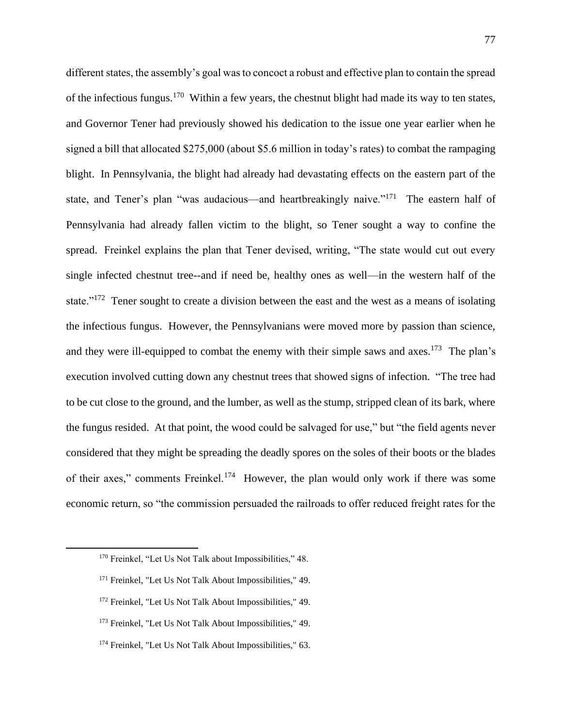different states, the assembly's goal was to concoct a robust and effective plan to contain the spread of the infectious fungus.<sup>170</sup> Within a few years, the chestnut blight had made its way to ten states, and Governor Tener had previously showed his dedication to the issue one year earlier when he signed a bill that allocated \$275,000 (about \$5.6 million in today's rates) to combat the rampaging blight. In Pennsylvania, the blight had already had devastating effects on the eastern part of the state, and Tener's plan "was audacious—and heartbreakingly naive."<sup>171</sup> The eastern half of Pennsylvania had already fallen victim to the blight, so Tener sought a way to confine the spread. Freinkel explains the plan that Tener devised, writing, "The state would cut out every single infected chestnut tree--and if need be, healthy ones as well—in the western half of the state."<sup>172</sup> Tener sought to create a division between the east and the west as a means of isolating the infectious fungus. However, the Pennsylvanians were moved more by passion than science, and they were ill-equipped to combat the enemy with their simple saws and axes.<sup>173</sup> The plan's execution involved cutting down any chestnut trees that showed signs of infection. "The tree had to be cut close to the ground, and the lumber, as well as the stump, stripped clean of its bark, where the fungus resided. At that point, the wood could be salvaged for use," but "the field agents never considered that they might be spreading the deadly spores on the soles of their boots or the blades of their axes," comments Freinkel.<sup>174</sup> However, the plan would only work if there was some economic return, so "the commission persuaded the railroads to offer reduced freight rates for the

<sup>&</sup>lt;sup>170</sup> Freinkel, "Let Us Not Talk about Impossibilities," 48.

<sup>&</sup>lt;sup>171</sup> Freinkel, "Let Us Not Talk About Impossibilities," 49.

<sup>172</sup> Freinkel, "Let Us Not Talk About Impossibilities," 49.

<sup>173</sup> Freinkel, "Let Us Not Talk About Impossibilities," 49.

<sup>&</sup>lt;sup>174</sup> Freinkel, "Let Us Not Talk About Impossibilities," 63.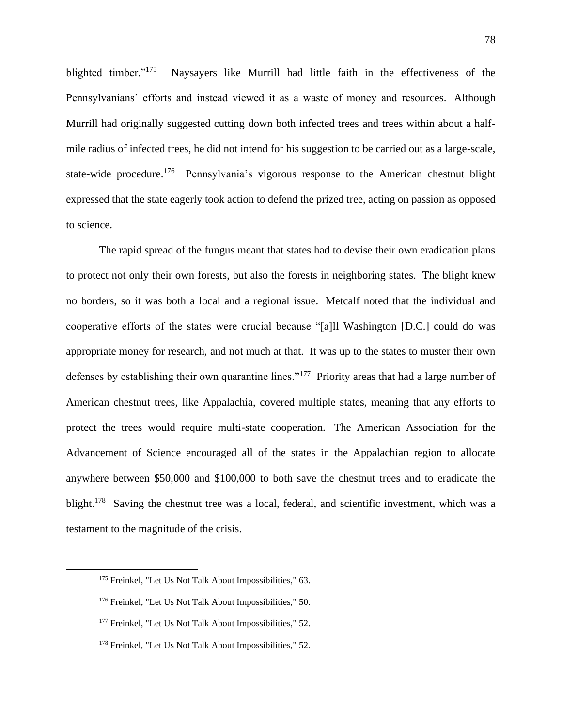blighted timber."<sup>175</sup> Naysayers like Murrill had little faith in the effectiveness of the Pennsylvanians' efforts and instead viewed it as a waste of money and resources. Although Murrill had originally suggested cutting down both infected trees and trees within about a halfmile radius of infected trees, he did not intend for his suggestion to be carried out as a large-scale, state-wide procedure.<sup>176</sup> Pennsylvania's vigorous response to the American chestnut blight expressed that the state eagerly took action to defend the prized tree, acting on passion as opposed to science.

The rapid spread of the fungus meant that states had to devise their own eradication plans to protect not only their own forests, but also the forests in neighboring states. The blight knew no borders, so it was both a local and a regional issue. Metcalf noted that the individual and cooperative efforts of the states were crucial because "[a]ll Washington [D.C.] could do was appropriate money for research, and not much at that. It was up to the states to muster their own defenses by establishing their own quarantine lines."<sup>177</sup> Priority areas that had a large number of American chestnut trees, like Appalachia, covered multiple states, meaning that any efforts to protect the trees would require multi-state cooperation. The American Association for the Advancement of Science encouraged all of the states in the Appalachian region to allocate anywhere between \$50,000 and \$100,000 to both save the chestnut trees and to eradicate the blight.<sup>178</sup> Saving the chestnut tree was a local, federal, and scientific investment, which was a testament to the magnitude of the crisis.

<sup>&</sup>lt;sup>175</sup> Freinkel, "Let Us Not Talk About Impossibilities," 63.

<sup>176</sup> Freinkel, "Let Us Not Talk About Impossibilities," 50.

<sup>&</sup>lt;sup>177</sup> Freinkel, "Let Us Not Talk About Impossibilities," 52.

<sup>&</sup>lt;sup>178</sup> Freinkel, "Let Us Not Talk About Impossibilities," 52.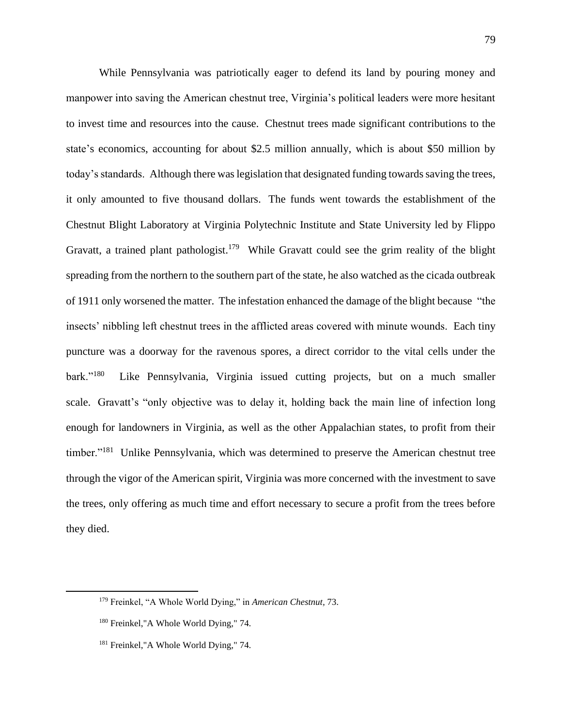While Pennsylvania was patriotically eager to defend its land by pouring money and manpower into saving the American chestnut tree, Virginia's political leaders were more hesitant to invest time and resources into the cause. Chestnut trees made significant contributions to the state's economics, accounting for about \$2.5 million annually, which is about \$50 million by today's standards. Although there was legislation that designated funding towards saving the trees, it only amounted to five thousand dollars. The funds went towards the establishment of the Chestnut Blight Laboratory at Virginia Polytechnic Institute and State University led by Flippo Gravatt, a trained plant pathologist.<sup>179</sup> While Gravatt could see the grim reality of the blight spreading from the northern to the southern part of the state, he also watched as the cicada outbreak of 1911 only worsened the matter. The infestation enhanced the damage of the blight because "the insects' nibbling left chestnut trees in the afflicted areas covered with minute wounds. Each tiny puncture was a doorway for the ravenous spores, a direct corridor to the vital cells under the bark." $^{180}$  Like Pennsylvania, Virginia issued cutting projects, but on a much smaller scale. Gravatt's "only objective was to delay it, holding back the main line of infection long enough for landowners in Virginia, as well as the other Appalachian states, to profit from their timber."<sup>181</sup> Unlike Pennsylvania, which was determined to preserve the American chestnut tree through the vigor of the American spirit, Virginia was more concerned with the investment to save the trees, only offering as much time and effort necessary to secure a profit from the trees before they died.

<sup>179</sup> Freinkel, "A Whole World Dying," in *American Chestnut,* 73.

<sup>180</sup> Freinkel,"A Whole World Dying," 74.

<sup>&</sup>lt;sup>181</sup> Freinkel,"A Whole World Dying," 74.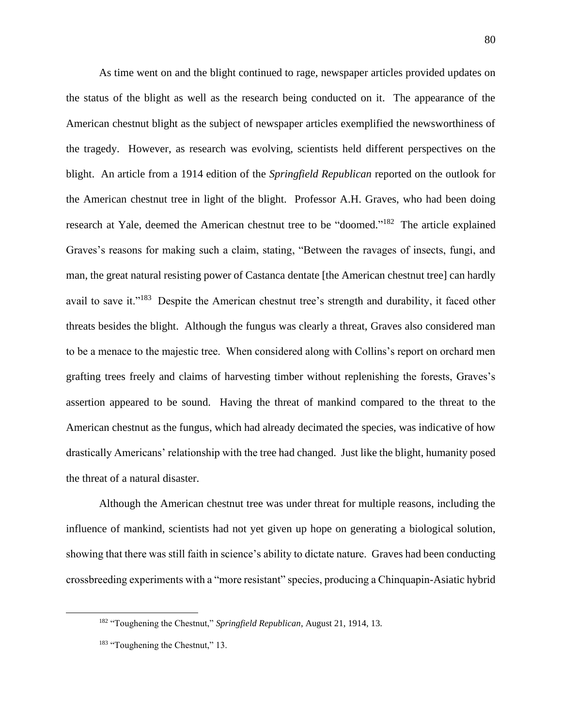As time went on and the blight continued to rage, newspaper articles provided updates on the status of the blight as well as the research being conducted on it. The appearance of the American chestnut blight as the subject of newspaper articles exemplified the newsworthiness of the tragedy. However, as research was evolving, scientists held different perspectives on the blight. An article from a 1914 edition of the *Springfield Republican* reported on the outlook for the American chestnut tree in light of the blight. Professor A.H. Graves, who had been doing research at Yale, deemed the American chestnut tree to be "doomed."<sup>182</sup> The article explained Graves's reasons for making such a claim, stating, "Between the ravages of insects, fungi, and man, the great natural resisting power of Castanca dentate [the American chestnut tree] can hardly avail to save it."<sup>183</sup> Despite the American chestnut tree's strength and durability, it faced other threats besides the blight. Although the fungus was clearly a threat, Graves also considered man to be a menace to the majestic tree. When considered along with Collins's report on orchard men grafting trees freely and claims of harvesting timber without replenishing the forests, Graves's assertion appeared to be sound. Having the threat of mankind compared to the threat to the American chestnut as the fungus, which had already decimated the species, was indicative of how drastically Americans' relationship with the tree had changed. Just like the blight, humanity posed the threat of a natural disaster.

Although the American chestnut tree was under threat for multiple reasons, including the influence of mankind, scientists had not yet given up hope on generating a biological solution, showing that there was still faith in science's ability to dictate nature. Graves had been conducting crossbreeding experiments with a "more resistant" species, producing a Chinquapin-Asiatic hybrid

<sup>182</sup> "Toughening the Chestnut," *Springfield Republican*, August 21, 1914, 13.

<sup>&</sup>lt;sup>183</sup> "Toughening the Chestnut," 13.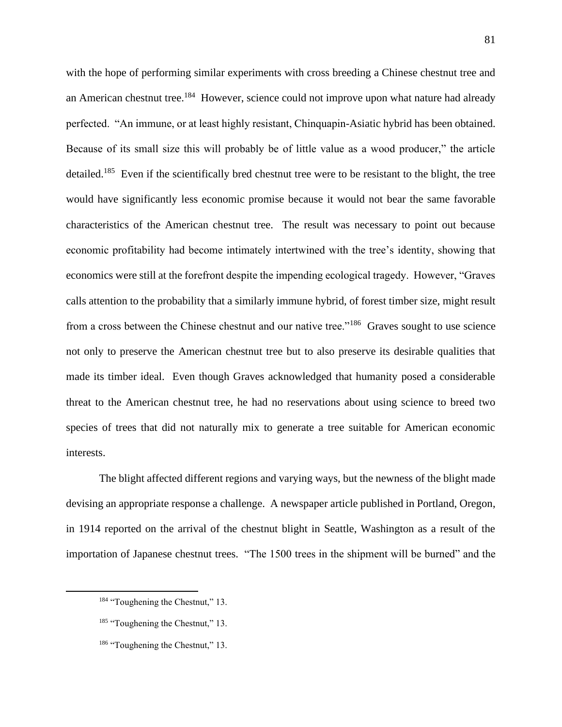with the hope of performing similar experiments with cross breeding a Chinese chestnut tree and an American chestnut tree.<sup>184</sup> However, science could not improve upon what nature had already perfected. "An immune, or at least highly resistant, Chinquapin-Asiatic hybrid has been obtained. Because of its small size this will probably be of little value as a wood producer," the article detailed.<sup>185</sup> Even if the scientifically bred chestnut tree were to be resistant to the blight, the tree would have significantly less economic promise because it would not bear the same favorable characteristics of the American chestnut tree. The result was necessary to point out because economic profitability had become intimately intertwined with the tree's identity, showing that economics were still at the forefront despite the impending ecological tragedy. However, "Graves calls attention to the probability that a similarly immune hybrid, of forest timber size, might result from a cross between the Chinese chestnut and our native tree."<sup>186</sup> Graves sought to use science not only to preserve the American chestnut tree but to also preserve its desirable qualities that made its timber ideal. Even though Graves acknowledged that humanity posed a considerable threat to the American chestnut tree, he had no reservations about using science to breed two species of trees that did not naturally mix to generate a tree suitable for American economic interests.

The blight affected different regions and varying ways, but the newness of the blight made devising an appropriate response a challenge. A newspaper article published in Portland, Oregon, in 1914 reported on the arrival of the chestnut blight in Seattle, Washington as a result of the importation of Japanese chestnut trees. "The 1500 trees in the shipment will be burned" and the

<sup>&</sup>lt;sup>184</sup> "Toughening the Chestnut," 13.

<sup>&</sup>lt;sup>185</sup> "Toughening the Chestnut," 13.

<sup>&</sup>lt;sup>186</sup> "Toughening the Chestnut," 13.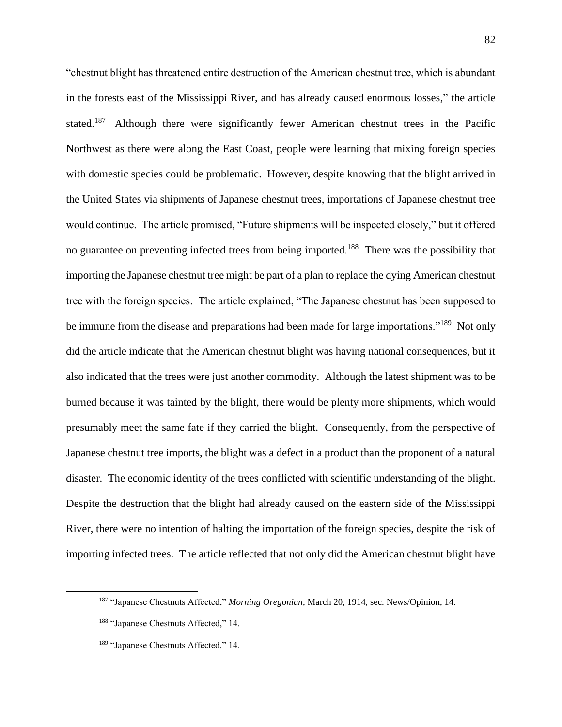"chestnut blight has threatened entire destruction of the American chestnut tree, which is abundant in the forests east of the Mississippi River, and has already caused enormous losses," the article stated.<sup>187</sup> Although there were significantly fewer American chestnut trees in the Pacific Northwest as there were along the East Coast, people were learning that mixing foreign species with domestic species could be problematic. However, despite knowing that the blight arrived in the United States via shipments of Japanese chestnut trees, importations of Japanese chestnut tree would continue. The article promised, "Future shipments will be inspected closely," but it offered no guarantee on preventing infected trees from being imported.<sup>188</sup> There was the possibility that importing the Japanese chestnut tree might be part of a plan to replace the dying American chestnut tree with the foreign species. The article explained, "The Japanese chestnut has been supposed to be immune from the disease and preparations had been made for large importations."<sup>189</sup> Not only did the article indicate that the American chestnut blight was having national consequences, but it also indicated that the trees were just another commodity. Although the latest shipment was to be burned because it was tainted by the blight, there would be plenty more shipments, which would presumably meet the same fate if they carried the blight. Consequently, from the perspective of Japanese chestnut tree imports, the blight was a defect in a product than the proponent of a natural disaster. The economic identity of the trees conflicted with scientific understanding of the blight. Despite the destruction that the blight had already caused on the eastern side of the Mississippi River, there were no intention of halting the importation of the foreign species, despite the risk of importing infected trees. The article reflected that not only did the American chestnut blight have

<sup>187</sup> "Japanese Chestnuts Affected," *Morning Oregonian*, March 20, 1914, sec. News/Opinion, 14.

<sup>188</sup> "Japanese Chestnuts Affected," 14.

<sup>189</sup> "Japanese Chestnuts Affected," 14.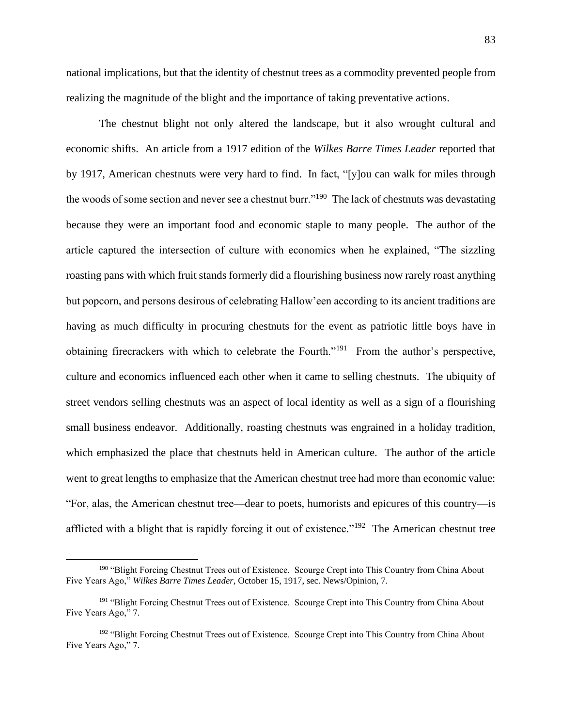national implications, but that the identity of chestnut trees as a commodity prevented people from realizing the magnitude of the blight and the importance of taking preventative actions.

The chestnut blight not only altered the landscape, but it also wrought cultural and economic shifts. An article from a 1917 edition of the *Wilkes Barre Times Leader* reported that by 1917, American chestnuts were very hard to find. In fact, "[y]ou can walk for miles through the woods of some section and never see a chestnut burr."<sup>190</sup> The lack of chestnuts was devastating because they were an important food and economic staple to many people. The author of the article captured the intersection of culture with economics when he explained, "The sizzling roasting pans with which fruit stands formerly did a flourishing business now rarely roast anything but popcorn, and persons desirous of celebrating Hallow'een according to its ancient traditions are having as much difficulty in procuring chestnuts for the event as patriotic little boys have in obtaining firecrackers with which to celebrate the Fourth."<sup>191</sup> From the author's perspective, culture and economics influenced each other when it came to selling chestnuts. The ubiquity of street vendors selling chestnuts was an aspect of local identity as well as a sign of a flourishing small business endeavor. Additionally, roasting chestnuts was engrained in a holiday tradition, which emphasized the place that chestnuts held in American culture. The author of the article went to great lengths to emphasize that the American chestnut tree had more than economic value: "For, alas, the American chestnut tree—dear to poets, humorists and epicures of this country—is afflicted with a blight that is rapidly forcing it out of existence."<sup>192</sup> The American chestnut tree

<sup>&</sup>lt;sup>190</sup> "Blight Forcing Chestnut Trees out of Existence. Scourge Crept into This Country from China About Five Years Ago," *Wilkes Barre Times Leader*, October 15, 1917, sec. News/Opinion, 7.

<sup>&</sup>lt;sup>191</sup> "Blight Forcing Chestnut Trees out of Existence. Scourge Crept into This Country from China About Five Years Ago," 7.

<sup>&</sup>lt;sup>192</sup> "Blight Forcing Chestnut Trees out of Existence. Scourge Crept into This Country from China About Five Years Ago," 7.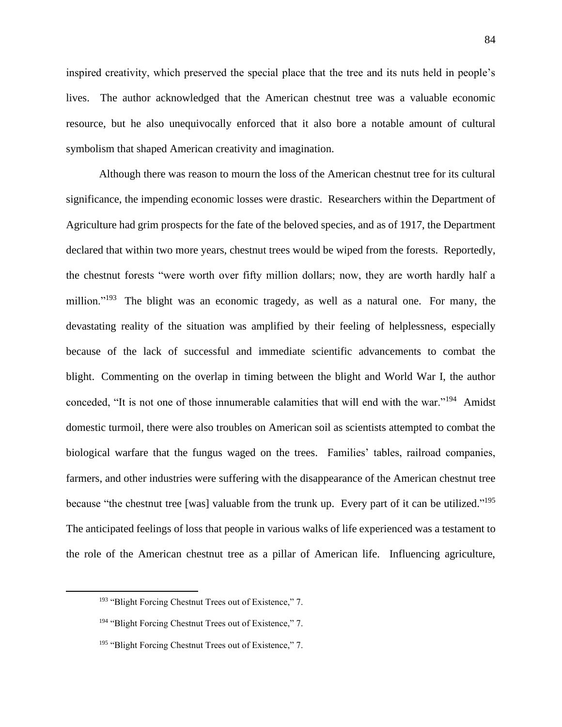inspired creativity, which preserved the special place that the tree and its nuts held in people's lives. The author acknowledged that the American chestnut tree was a valuable economic resource, but he also unequivocally enforced that it also bore a notable amount of cultural symbolism that shaped American creativity and imagination.

Although there was reason to mourn the loss of the American chestnut tree for its cultural significance, the impending economic losses were drastic. Researchers within the Department of Agriculture had grim prospects for the fate of the beloved species, and as of 1917, the Department declared that within two more years, chestnut trees would be wiped from the forests. Reportedly, the chestnut forests "were worth over fifty million dollars; now, they are worth hardly half a million."<sup>193</sup> The blight was an economic tragedy, as well as a natural one. For many, the devastating reality of the situation was amplified by their feeling of helplessness, especially because of the lack of successful and immediate scientific advancements to combat the blight. Commenting on the overlap in timing between the blight and World War I, the author conceded, "It is not one of those innumerable calamities that will end with the war."<sup>194</sup> Amidst domestic turmoil, there were also troubles on American soil as scientists attempted to combat the biological warfare that the fungus waged on the trees. Families' tables, railroad companies, farmers, and other industries were suffering with the disappearance of the American chestnut tree because "the chestnut tree [was] valuable from the trunk up. Every part of it can be utilized."<sup>195</sup> The anticipated feelings of loss that people in various walks of life experienced was a testament to the role of the American chestnut tree as a pillar of American life. Influencing agriculture,

<sup>193</sup> "Blight Forcing Chestnut Trees out of Existence," 7.

<sup>&</sup>lt;sup>194</sup> "Blight Forcing Chestnut Trees out of Existence," 7.

<sup>&</sup>lt;sup>195</sup> "Blight Forcing Chestnut Trees out of Existence," 7.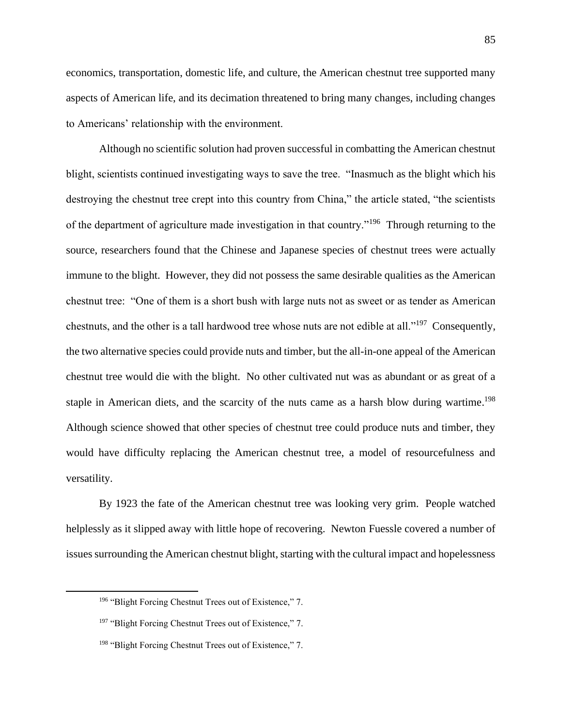economics, transportation, domestic life, and culture, the American chestnut tree supported many aspects of American life, and its decimation threatened to bring many changes, including changes to Americans' relationship with the environment.

Although no scientific solution had proven successful in combatting the American chestnut blight, scientists continued investigating ways to save the tree. "Inasmuch as the blight which his destroying the chestnut tree crept into this country from China," the article stated, "the scientists of the department of agriculture made investigation in that country."<sup>196</sup> Through returning to the source, researchers found that the Chinese and Japanese species of chestnut trees were actually immune to the blight. However, they did not possess the same desirable qualities as the American chestnut tree: "One of them is a short bush with large nuts not as sweet or as tender as American chestnuts, and the other is a tall hardwood tree whose nuts are not edible at all."<sup>197</sup> Consequently, the two alternative species could provide nuts and timber, but the all-in-one appeal of the American chestnut tree would die with the blight. No other cultivated nut was as abundant or as great of a staple in American diets, and the scarcity of the nuts came as a harsh blow during wartime.<sup>198</sup> Although science showed that other species of chestnut tree could produce nuts and timber, they would have difficulty replacing the American chestnut tree, a model of resourcefulness and versatility.

By 1923 the fate of the American chestnut tree was looking very grim. People watched helplessly as it slipped away with little hope of recovering. Newton Fuessle covered a number of issues surrounding the American chestnut blight, starting with the cultural impact and hopelessness

<sup>196</sup> "Blight Forcing Chestnut Trees out of Existence," 7.

<sup>&</sup>lt;sup>197</sup> "Blight Forcing Chestnut Trees out of Existence," 7.

<sup>198</sup> "Blight Forcing Chestnut Trees out of Existence," 7.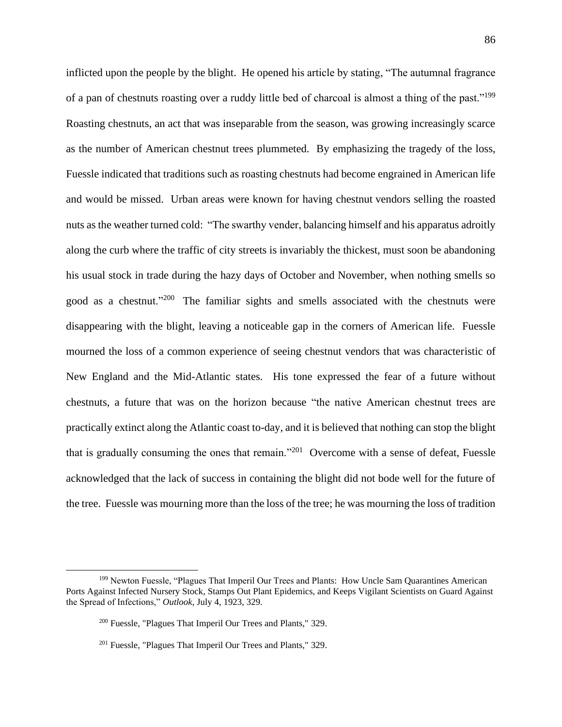inflicted upon the people by the blight. He opened his article by stating, "The autumnal fragrance of a pan of chestnuts roasting over a ruddy little bed of charcoal is almost a thing of the past."<sup>199</sup> Roasting chestnuts, an act that was inseparable from the season, was growing increasingly scarce as the number of American chestnut trees plummeted. By emphasizing the tragedy of the loss, Fuessle indicated that traditions such as roasting chestnuts had become engrained in American life and would be missed. Urban areas were known for having chestnut vendors selling the roasted nuts as the weather turned cold: "The swarthy vender, balancing himself and his apparatus adroitly along the curb where the traffic of city streets is invariably the thickest, must soon be abandoning his usual stock in trade during the hazy days of October and November, when nothing smells so good as a chestnut."<sup>200</sup> The familiar sights and smells associated with the chestnuts were disappearing with the blight, leaving a noticeable gap in the corners of American life. Fuessle mourned the loss of a common experience of seeing chestnut vendors that was characteristic of New England and the Mid-Atlantic states. His tone expressed the fear of a future without chestnuts, a future that was on the horizon because "the native American chestnut trees are practically extinct along the Atlantic coast to-day, and it is believed that nothing can stop the blight that is gradually consuming the ones that remain."<sup>201</sup> Overcome with a sense of defeat, Fuessle acknowledged that the lack of success in containing the blight did not bode well for the future of the tree. Fuessle was mourning more than the loss of the tree; he was mourning the loss of tradition

<sup>&</sup>lt;sup>199</sup> Newton Fuessle, "Plagues That Imperil Our Trees and Plants: How Uncle Sam Quarantines American Ports Against Infected Nursery Stock, Stamps Out Plant Epidemics, and Keeps Vigilant Scientists on Guard Against the Spread of Infections," *Outlook*, July 4, 1923, 329.

<sup>200</sup> Fuessle, "Plagues That Imperil Our Trees and Plants," 329.

<sup>&</sup>lt;sup>201</sup> Fuessle, "Plagues That Imperil Our Trees and Plants," 329.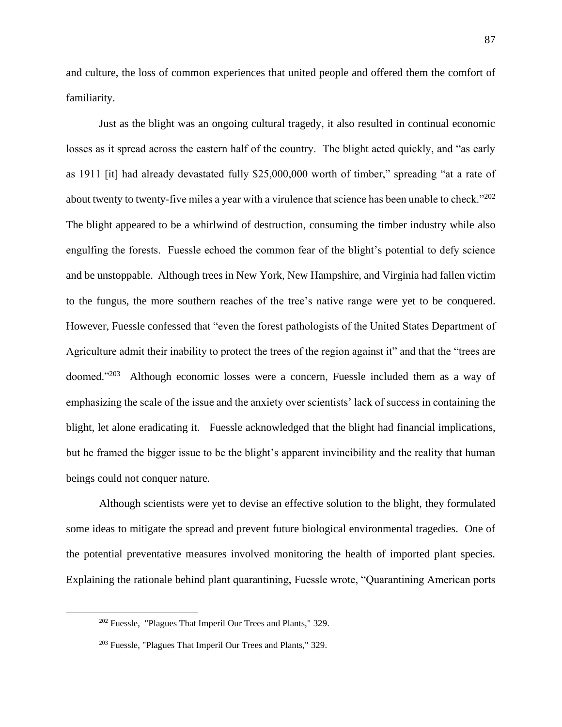and culture, the loss of common experiences that united people and offered them the comfort of familiarity.

Just as the blight was an ongoing cultural tragedy, it also resulted in continual economic losses as it spread across the eastern half of the country. The blight acted quickly, and "as early as 1911 [it] had already devastated fully \$25,000,000 worth of timber," spreading "at a rate of about twenty to twenty-five miles a year with a virulence that science has been unable to check." $202$ The blight appeared to be a whirlwind of destruction, consuming the timber industry while also engulfing the forests. Fuessle echoed the common fear of the blight's potential to defy science and be unstoppable. Although trees in New York, New Hampshire, and Virginia had fallen victim to the fungus, the more southern reaches of the tree's native range were yet to be conquered. However, Fuessle confessed that "even the forest pathologists of the United States Department of Agriculture admit their inability to protect the trees of the region against it" and that the "trees are doomed."<sup>203</sup> Although economic losses were a concern, Fuessle included them as a way of emphasizing the scale of the issue and the anxiety over scientists' lack of success in containing the blight, let alone eradicating it. Fuessle acknowledged that the blight had financial implications, but he framed the bigger issue to be the blight's apparent invincibility and the reality that human beings could not conquer nature.

 Although scientists were yet to devise an effective solution to the blight, they formulated some ideas to mitigate the spread and prevent future biological environmental tragedies. One of the potential preventative measures involved monitoring the health of imported plant species. Explaining the rationale behind plant quarantining, Fuessle wrote, "Quarantining American ports

<sup>202</sup> Fuessle, "Plagues That Imperil Our Trees and Plants," 329.

<sup>203</sup> Fuessle, "Plagues That Imperil Our Trees and Plants," 329.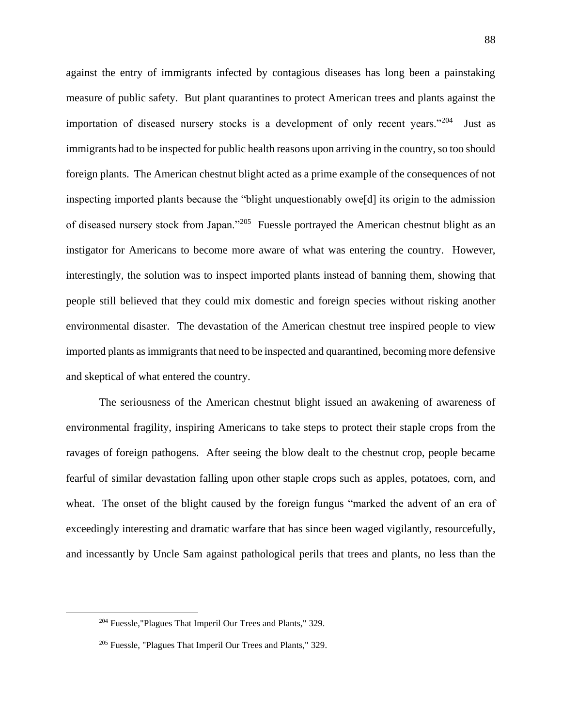against the entry of immigrants infected by contagious diseases has long been a painstaking measure of public safety. But plant quarantines to protect American trees and plants against the importation of diseased nursery stocks is a development of only recent years."<sup>204</sup> Just as immigrants had to be inspected for public health reasons upon arriving in the country, so too should foreign plants. The American chestnut blight acted as a prime example of the consequences of not inspecting imported plants because the "blight unquestionably owe[d] its origin to the admission of diseased nursery stock from Japan."<sup>205</sup> Fuessle portrayed the American chestnut blight as an instigator for Americans to become more aware of what was entering the country. However, interestingly, the solution was to inspect imported plants instead of banning them, showing that people still believed that they could mix domestic and foreign species without risking another environmental disaster. The devastation of the American chestnut tree inspired people to view imported plants as immigrants that need to be inspected and quarantined, becoming more defensive and skeptical of what entered the country.

The seriousness of the American chestnut blight issued an awakening of awareness of environmental fragility, inspiring Americans to take steps to protect their staple crops from the ravages of foreign pathogens. After seeing the blow dealt to the chestnut crop, people became fearful of similar devastation falling upon other staple crops such as apples, potatoes, corn, and wheat. The onset of the blight caused by the foreign fungus "marked the advent of an era of exceedingly interesting and dramatic warfare that has since been waged vigilantly, resourcefully, and incessantly by Uncle Sam against pathological perils that trees and plants, no less than the

<sup>204</sup> Fuessle,"Plagues That Imperil Our Trees and Plants," 329.

<sup>205</sup> Fuessle, "Plagues That Imperil Our Trees and Plants," 329.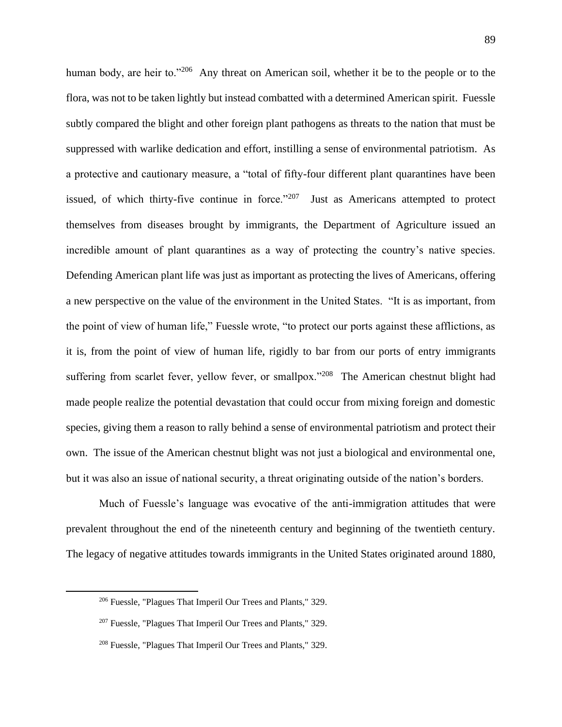human body, are heir to."<sup>206</sup> Any threat on American soil, whether it be to the people or to the flora, was not to be taken lightly but instead combatted with a determined American spirit. Fuessle subtly compared the blight and other foreign plant pathogens as threats to the nation that must be suppressed with warlike dedication and effort, instilling a sense of environmental patriotism. As a protective and cautionary measure, a "total of fifty-four different plant quarantines have been issued, of which thirty-five continue in force." $207$  Just as Americans attempted to protect themselves from diseases brought by immigrants, the Department of Agriculture issued an incredible amount of plant quarantines as a way of protecting the country's native species. Defending American plant life was just as important as protecting the lives of Americans, offering a new perspective on the value of the environment in the United States. "It is as important, from the point of view of human life," Fuessle wrote, "to protect our ports against these afflictions, as it is, from the point of view of human life, rigidly to bar from our ports of entry immigrants suffering from scarlet fever, yellow fever, or smallpox."<sup>208</sup> The American chestnut blight had made people realize the potential devastation that could occur from mixing foreign and domestic species, giving them a reason to rally behind a sense of environmental patriotism and protect their own. The issue of the American chestnut blight was not just a biological and environmental one, but it was also an issue of national security, a threat originating outside of the nation's borders.

Much of Fuessle's language was evocative of the anti-immigration attitudes that were prevalent throughout the end of the nineteenth century and beginning of the twentieth century. The legacy of negative attitudes towards immigrants in the United States originated around 1880,

<sup>206</sup> Fuessle, "Plagues That Imperil Our Trees and Plants," 329.

<sup>207</sup> Fuessle, "Plagues That Imperil Our Trees and Plants," 329.

<sup>208</sup> Fuessle, "Plagues That Imperil Our Trees and Plants," 329.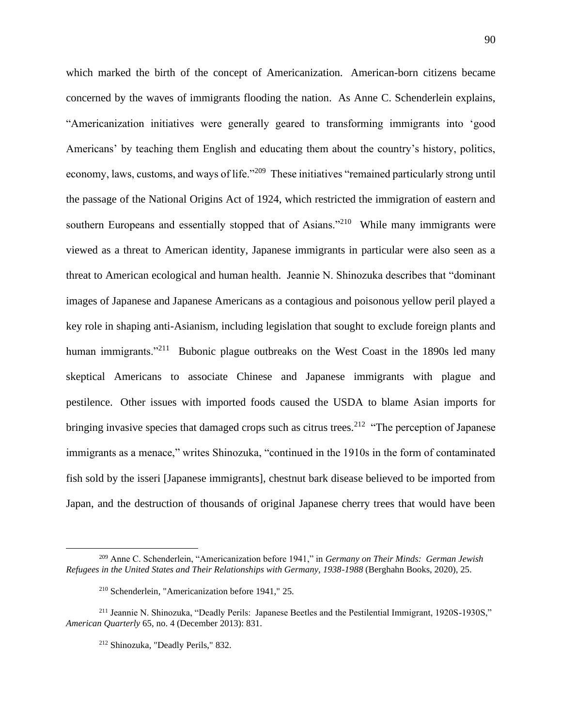which marked the birth of the concept of Americanization. American-born citizens became concerned by the waves of immigrants flooding the nation. As Anne C. Schenderlein explains, "Americanization initiatives were generally geared to transforming immigrants into 'good Americans' by teaching them English and educating them about the country's history, politics, economy, laws, customs, and ways of life."<sup>209</sup> These initiatives "remained particularly strong until the passage of the National Origins Act of 1924, which restricted the immigration of eastern and southern Europeans and essentially stopped that of Asians."<sup>210</sup> While many immigrants were viewed as a threat to American identity, Japanese immigrants in particular were also seen as a threat to American ecological and human health. Jeannie N. Shinozuka describes that "dominant images of Japanese and Japanese Americans as a contagious and poisonous yellow peril played a key role in shaping anti-Asianism, including legislation that sought to exclude foreign plants and human immigrants."<sup>211</sup> Bubonic plague outbreaks on the West Coast in the 1890s led many skeptical Americans to associate Chinese and Japanese immigrants with plague and pestilence. Other issues with imported foods caused the USDA to blame Asian imports for bringing invasive species that damaged crops such as citrus trees.<sup>212</sup> "The perception of Japanese immigrants as a menace," writes Shinozuka, "continued in the 1910s in the form of contaminated fish sold by the isseri [Japanese immigrants], chestnut bark disease believed to be imported from Japan, and the destruction of thousands of original Japanese cherry trees that would have been

<sup>209</sup> Anne C. Schenderlein, "Americanization before 1941," in *Germany on Their Minds: German Jewish Refugees in the United States and Their Relationships with Germany, 1938-1988* (Berghahn Books, 2020), 25.

<sup>210</sup> Schenderlein, "Americanization before 1941," 25.

<sup>211</sup> Jeannie N. Shinozuka, "Deadly Perils: Japanese Beetles and the Pestilential Immigrant, 1920S-1930S," *American Quarterly* 65, no. 4 (December 2013): 831.

<sup>212</sup> Shinozuka, "Deadly Perils," 832.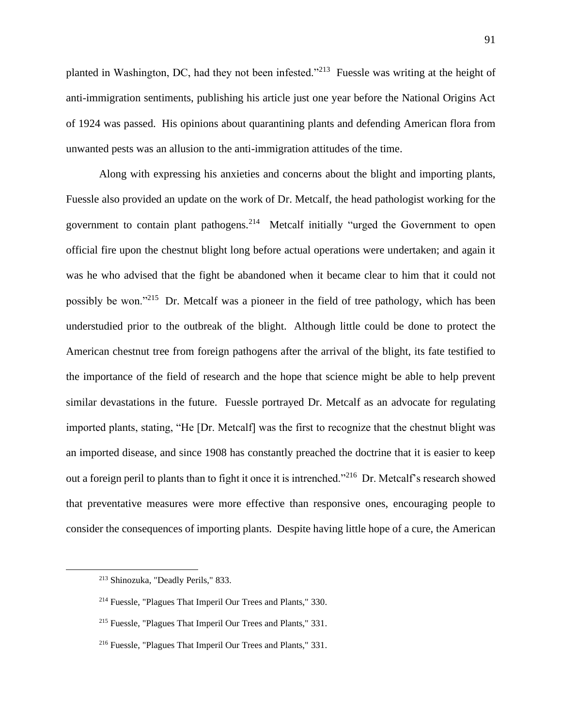planted in Washington, DC, had they not been infested."<sup>213</sup> Fuessle was writing at the height of anti-immigration sentiments, publishing his article just one year before the National Origins Act of 1924 was passed. His opinions about quarantining plants and defending American flora from unwanted pests was an allusion to the anti-immigration attitudes of the time.

Along with expressing his anxieties and concerns about the blight and importing plants, Fuessle also provided an update on the work of Dr. Metcalf, the head pathologist working for the government to contain plant pathogens.<sup>214</sup> Metcalf initially "urged the Government to open official fire upon the chestnut blight long before actual operations were undertaken; and again it was he who advised that the fight be abandoned when it became clear to him that it could not possibly be won."<sup>215</sup> Dr. Metcalf was a pioneer in the field of tree pathology, which has been understudied prior to the outbreak of the blight. Although little could be done to protect the American chestnut tree from foreign pathogens after the arrival of the blight, its fate testified to the importance of the field of research and the hope that science might be able to help prevent similar devastations in the future. Fuessle portrayed Dr. Metcalf as an advocate for regulating imported plants, stating, "He [Dr. Metcalf] was the first to recognize that the chestnut blight was an imported disease, and since 1908 has constantly preached the doctrine that it is easier to keep out a foreign peril to plants than to fight it once it is intrenched."<sup>216</sup> Dr. Metcalf's research showed that preventative measures were more effective than responsive ones, encouraging people to consider the consequences of importing plants. Despite having little hope of a cure, the American

<sup>213</sup> Shinozuka, "Deadly Perils," 833.

<sup>214</sup> Fuessle, "Plagues That Imperil Our Trees and Plants," 330.

<sup>215</sup> Fuessle, "Plagues That Imperil Our Trees and Plants," 331.

<sup>216</sup> Fuessle, "Plagues That Imperil Our Trees and Plants," 331.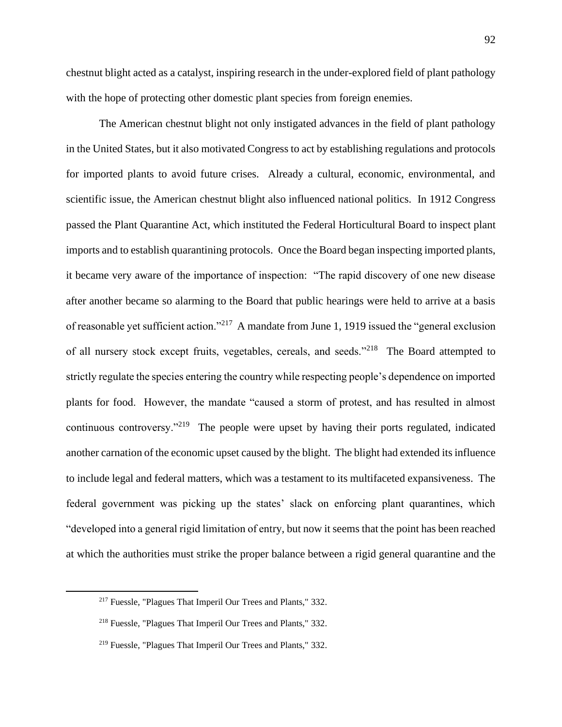chestnut blight acted as a catalyst, inspiring research in the under-explored field of plant pathology with the hope of protecting other domestic plant species from foreign enemies.

The American chestnut blight not only instigated advances in the field of plant pathology in the United States, but it also motivated Congress to act by establishing regulations and protocols for imported plants to avoid future crises. Already a cultural, economic, environmental, and scientific issue, the American chestnut blight also influenced national politics. In 1912 Congress passed the Plant Quarantine Act, which instituted the Federal Horticultural Board to inspect plant imports and to establish quarantining protocols. Once the Board began inspecting imported plants, it became very aware of the importance of inspection: "The rapid discovery of one new disease after another became so alarming to the Board that public hearings were held to arrive at a basis of reasonable yet sufficient action."<sup>217</sup> A mandate from June 1, 1919 issued the "general exclusion of all nursery stock except fruits, vegetables, cereals, and seeds."<sup>218</sup> The Board attempted to strictly regulate the species entering the country while respecting people's dependence on imported plants for food. However, the mandate "caused a storm of protest, and has resulted in almost continuous controversy."<sup>219</sup> The people were upset by having their ports regulated, indicated another carnation of the economic upset caused by the blight. The blight had extended its influence to include legal and federal matters, which was a testament to its multifaceted expansiveness. The federal government was picking up the states' slack on enforcing plant quarantines, which "developed into a general rigid limitation of entry, but now it seems that the point has been reached at which the authorities must strike the proper balance between a rigid general quarantine and the

<sup>217</sup> Fuessle, "Plagues That Imperil Our Trees and Plants," 332.

<sup>218</sup> Fuessle, "Plagues That Imperil Our Trees and Plants," 332.

<sup>219</sup> Fuessle, "Plagues That Imperil Our Trees and Plants," 332.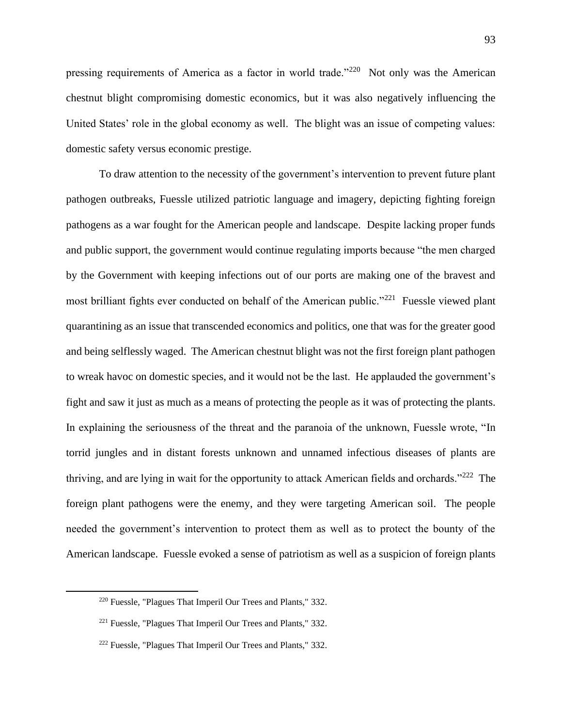pressing requirements of America as a factor in world trade."<sup>220</sup> Not only was the American chestnut blight compromising domestic economics, but it was also negatively influencing the United States' role in the global economy as well. The blight was an issue of competing values: domestic safety versus economic prestige.

To draw attention to the necessity of the government's intervention to prevent future plant pathogen outbreaks, Fuessle utilized patriotic language and imagery, depicting fighting foreign pathogens as a war fought for the American people and landscape. Despite lacking proper funds and public support, the government would continue regulating imports because "the men charged by the Government with keeping infections out of our ports are making one of the bravest and most brilliant fights ever conducted on behalf of the American public."<sup>221</sup> Fuessle viewed plant quarantining as an issue that transcended economics and politics, one that was for the greater good and being selflessly waged. The American chestnut blight was not the first foreign plant pathogen to wreak havoc on domestic species, and it would not be the last. He applauded the government's fight and saw it just as much as a means of protecting the people as it was of protecting the plants. In explaining the seriousness of the threat and the paranoia of the unknown, Fuessle wrote, "In torrid jungles and in distant forests unknown and unnamed infectious diseases of plants are thriving, and are lying in wait for the opportunity to attack American fields and orchards."<sup>222</sup> The foreign plant pathogens were the enemy, and they were targeting American soil. The people needed the government's intervention to protect them as well as to protect the bounty of the American landscape. Fuessle evoked a sense of patriotism as well as a suspicion of foreign plants

<sup>220</sup> Fuessle, "Plagues That Imperil Our Trees and Plants," 332.

<sup>221</sup> Fuessle, "Plagues That Imperil Our Trees and Plants," 332.

<sup>222</sup> Fuessle, "Plagues That Imperil Our Trees and Plants," 332.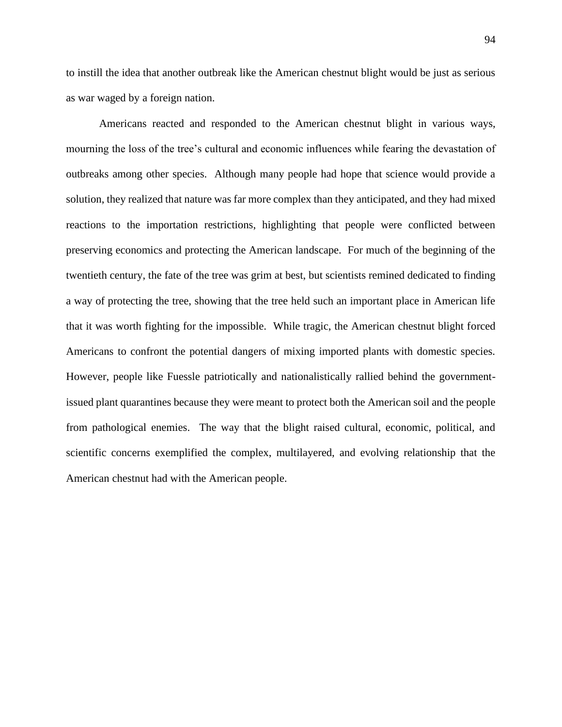to instill the idea that another outbreak like the American chestnut blight would be just as serious as war waged by a foreign nation.

Americans reacted and responded to the American chestnut blight in various ways, mourning the loss of the tree's cultural and economic influences while fearing the devastation of outbreaks among other species. Although many people had hope that science would provide a solution, they realized that nature was far more complex than they anticipated, and they had mixed reactions to the importation restrictions, highlighting that people were conflicted between preserving economics and protecting the American landscape. For much of the beginning of the twentieth century, the fate of the tree was grim at best, but scientists remined dedicated to finding a way of protecting the tree, showing that the tree held such an important place in American life that it was worth fighting for the impossible. While tragic, the American chestnut blight forced Americans to confront the potential dangers of mixing imported plants with domestic species. However, people like Fuessle patriotically and nationalistically rallied behind the governmentissued plant quarantines because they were meant to protect both the American soil and the people from pathological enemies. The way that the blight raised cultural, economic, political, and scientific concerns exemplified the complex, multilayered, and evolving relationship that the American chestnut had with the American people.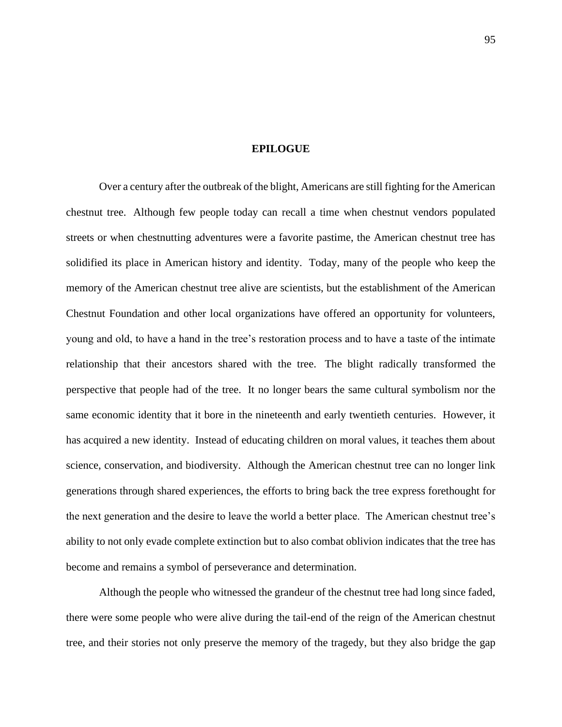## **EPILOGUE**

Over a century after the outbreak of the blight, Americans are still fighting for the American chestnut tree. Although few people today can recall a time when chestnut vendors populated streets or when chestnutting adventures were a favorite pastime, the American chestnut tree has solidified its place in American history and identity. Today, many of the people who keep the memory of the American chestnut tree alive are scientists, but the establishment of the American Chestnut Foundation and other local organizations have offered an opportunity for volunteers, young and old, to have a hand in the tree's restoration process and to have a taste of the intimate relationship that their ancestors shared with the tree. The blight radically transformed the perspective that people had of the tree. It no longer bears the same cultural symbolism nor the same economic identity that it bore in the nineteenth and early twentieth centuries. However, it has acquired a new identity. Instead of educating children on moral values, it teaches them about science, conservation, and biodiversity. Although the American chestnut tree can no longer link generations through shared experiences, the efforts to bring back the tree express forethought for the next generation and the desire to leave the world a better place. The American chestnut tree's ability to not only evade complete extinction but to also combat oblivion indicates that the tree has become and remains a symbol of perseverance and determination.

Although the people who witnessed the grandeur of the chestnut tree had long since faded, there were some people who were alive during the tail-end of the reign of the American chestnut tree, and their stories not only preserve the memory of the tragedy, but they also bridge the gap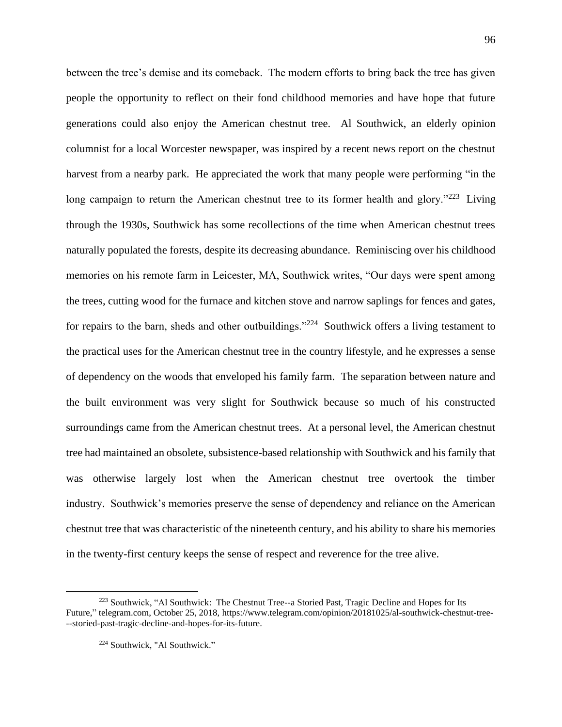between the tree's demise and its comeback. The modern efforts to bring back the tree has given people the opportunity to reflect on their fond childhood memories and have hope that future generations could also enjoy the American chestnut tree. Al Southwick, an elderly opinion columnist for a local Worcester newspaper, was inspired by a recent news report on the chestnut harvest from a nearby park. He appreciated the work that many people were performing "in the long campaign to return the American chestnut tree to its former health and glory."<sup>223</sup> Living through the 1930s, Southwick has some recollections of the time when American chestnut trees naturally populated the forests, despite its decreasing abundance. Reminiscing over his childhood memories on his remote farm in Leicester, MA, Southwick writes, "Our days were spent among the trees, cutting wood for the furnace and kitchen stove and narrow saplings for fences and gates, for repairs to the barn, sheds and other outbuildings."<sup>224</sup> Southwick offers a living testament to the practical uses for the American chestnut tree in the country lifestyle, and he expresses a sense of dependency on the woods that enveloped his family farm. The separation between nature and the built environment was very slight for Southwick because so much of his constructed surroundings came from the American chestnut trees. At a personal level, the American chestnut tree had maintained an obsolete, subsistence-based relationship with Southwick and his family that was otherwise largely lost when the American chestnut tree overtook the timber industry. Southwick's memories preserve the sense of dependency and reliance on the American chestnut tree that was characteristic of the nineteenth century, and his ability to share his memories in the twenty-first century keeps the sense of respect and reverence for the tree alive.

<sup>&</sup>lt;sup>223</sup> Southwick, "Al Southwick: The Chestnut Tree--a Storied Past, Tragic Decline and Hopes for Its Future," telegram.com, October 25, 2018, https://www.telegram.com/opinion/20181025/al-southwick-chestnut-tree- --storied-past-tragic-decline-and-hopes-for-its-future.

<sup>224</sup> Southwick, "Al Southwick."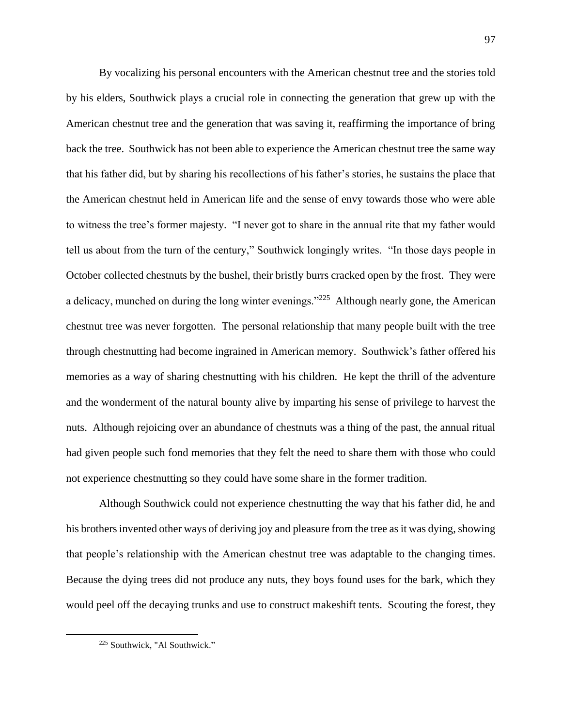By vocalizing his personal encounters with the American chestnut tree and the stories told by his elders, Southwick plays a crucial role in connecting the generation that grew up with the American chestnut tree and the generation that was saving it, reaffirming the importance of bring back the tree. Southwick has not been able to experience the American chestnut tree the same way that his father did, but by sharing his recollections of his father's stories, he sustains the place that the American chestnut held in American life and the sense of envy towards those who were able to witness the tree's former majesty. "I never got to share in the annual rite that my father would tell us about from the turn of the century," Southwick longingly writes. "In those days people in October collected chestnuts by the bushel, their bristly burrs cracked open by the frost. They were a delicacy, munched on during the long winter evenings."<sup>225</sup> Although nearly gone, the American chestnut tree was never forgotten. The personal relationship that many people built with the tree through chestnutting had become ingrained in American memory. Southwick's father offered his memories as a way of sharing chestnutting with his children. He kept the thrill of the adventure and the wonderment of the natural bounty alive by imparting his sense of privilege to harvest the nuts. Although rejoicing over an abundance of chestnuts was a thing of the past, the annual ritual had given people such fond memories that they felt the need to share them with those who could not experience chestnutting so they could have some share in the former tradition.

Although Southwick could not experience chestnutting the way that his father did, he and his brothers invented other ways of deriving joy and pleasure from the tree as it was dying, showing that people's relationship with the American chestnut tree was adaptable to the changing times. Because the dying trees did not produce any nuts, they boys found uses for the bark, which they would peel off the decaying trunks and use to construct makeshift tents. Scouting the forest, they

<sup>225</sup> Southwick, "Al Southwick."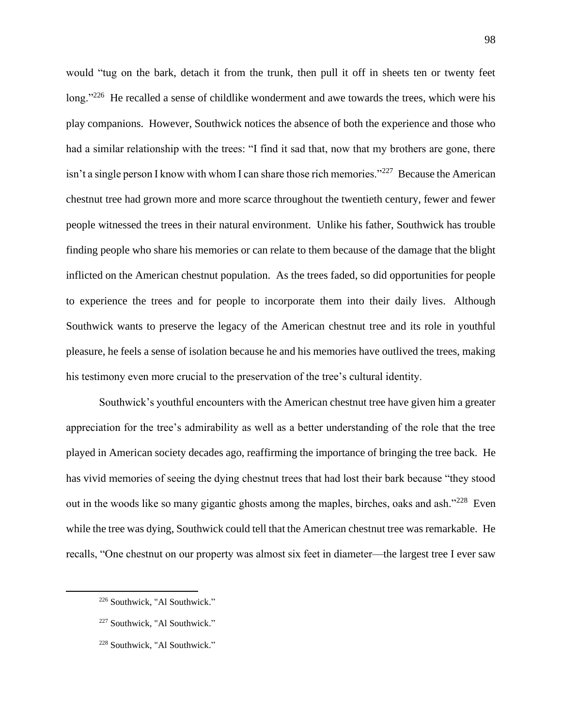would "tug on the bark, detach it from the trunk, then pull it off in sheets ten or twenty feet long."<sup>226</sup> He recalled a sense of childlike wonderment and awe towards the trees, which were his play companions. However, Southwick notices the absence of both the experience and those who had a similar relationship with the trees: "I find it sad that, now that my brothers are gone, there isn't a single person I know with whom I can share those rich memories."<sup>227</sup> Because the American chestnut tree had grown more and more scarce throughout the twentieth century, fewer and fewer people witnessed the trees in their natural environment. Unlike his father, Southwick has trouble finding people who share his memories or can relate to them because of the damage that the blight inflicted on the American chestnut population. As the trees faded, so did opportunities for people to experience the trees and for people to incorporate them into their daily lives. Although Southwick wants to preserve the legacy of the American chestnut tree and its role in youthful pleasure, he feels a sense of isolation because he and his memories have outlived the trees, making his testimony even more crucial to the preservation of the tree's cultural identity.

Southwick's youthful encounters with the American chestnut tree have given him a greater appreciation for the tree's admirability as well as a better understanding of the role that the tree played in American society decades ago, reaffirming the importance of bringing the tree back. He has vivid memories of seeing the dying chestnut trees that had lost their bark because "they stood out in the woods like so many gigantic ghosts among the maples, birches, oaks and ash."<sup>228</sup> Even while the tree was dying, Southwick could tell that the American chestnut tree was remarkable. He recalls, "One chestnut on our property was almost six feet in diameter—the largest tree I ever saw

<sup>226</sup> Southwick, "Al Southwick."

<sup>227</sup> Southwick, "Al Southwick."

<sup>228</sup> Southwick, "Al Southwick."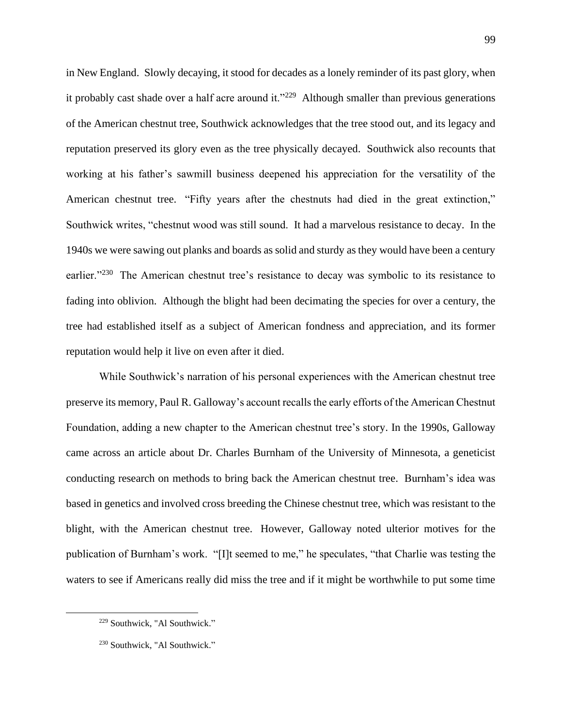in New England. Slowly decaying, it stood for decades as a lonely reminder of its past glory, when it probably cast shade over a half acre around it."<sup>229</sup> Although smaller than previous generations of the American chestnut tree, Southwick acknowledges that the tree stood out, and its legacy and reputation preserved its glory even as the tree physically decayed. Southwick also recounts that working at his father's sawmill business deepened his appreciation for the versatility of the American chestnut tree. "Fifty years after the chestnuts had died in the great extinction," Southwick writes, "chestnut wood was still sound. It had a marvelous resistance to decay. In the 1940s we were sawing out planks and boards as solid and sturdy as they would have been a century earlier."<sup>230</sup> The American chestnut tree's resistance to decay was symbolic to its resistance to fading into oblivion. Although the blight had been decimating the species for over a century, the tree had established itself as a subject of American fondness and appreciation, and its former reputation would help it live on even after it died.

While Southwick's narration of his personal experiences with the American chestnut tree preserve its memory, Paul R. Galloway's account recalls the early efforts of the American Chestnut Foundation, adding a new chapter to the American chestnut tree's story. In the 1990s, Galloway came across an article about Dr. Charles Burnham of the University of Minnesota, a geneticist conducting research on methods to bring back the American chestnut tree. Burnham's idea was based in genetics and involved cross breeding the Chinese chestnut tree, which was resistant to the blight, with the American chestnut tree. However, Galloway noted ulterior motives for the publication of Burnham's work. "[I]t seemed to me," he speculates, "that Charlie was testing the waters to see if Americans really did miss the tree and if it might be worthwhile to put some time

<sup>229</sup> Southwick, "Al Southwick."

<sup>230</sup> Southwick, "Al Southwick."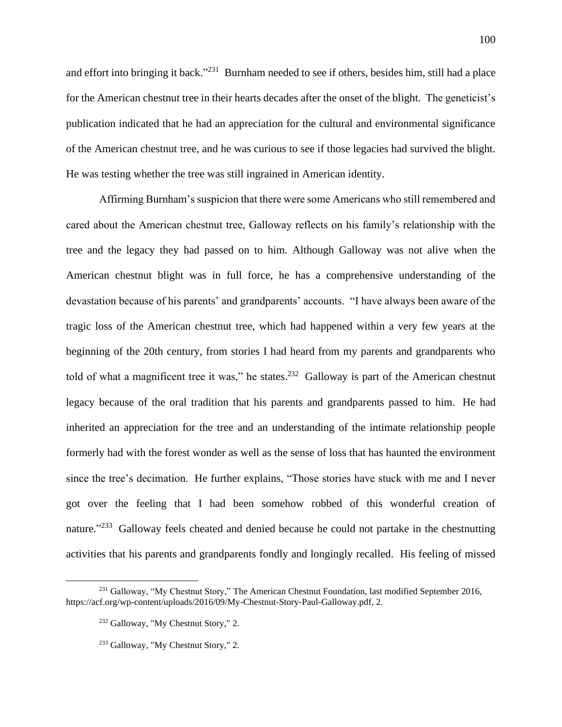and effort into bringing it back."<sup>231</sup> Burnham needed to see if others, besides him, still had a place for the American chestnut tree in their hearts decades after the onset of the blight. The geneticist's publication indicated that he had an appreciation for the cultural and environmental significance of the American chestnut tree, and he was curious to see if those legacies had survived the blight. He was testing whether the tree was still ingrained in American identity.

Affirming Burnham's suspicion that there were some Americans who still remembered and cared about the American chestnut tree, Galloway reflects on his family's relationship with the tree and the legacy they had passed on to him. Although Galloway was not alive when the American chestnut blight was in full force, he has a comprehensive understanding of the devastation because of his parents' and grandparents' accounts. "I have always been aware of the tragic loss of the American chestnut tree, which had happened within a very few years at the beginning of the 20th century, from stories I had heard from my parents and grandparents who told of what a magnificent tree it was," he states.<sup>232</sup> Galloway is part of the American chestnut legacy because of the oral tradition that his parents and grandparents passed to him. He had inherited an appreciation for the tree and an understanding of the intimate relationship people formerly had with the forest wonder as well as the sense of loss that has haunted the environment since the tree's decimation. He further explains, "Those stories have stuck with me and I never got over the feeling that I had been somehow robbed of this wonderful creation of nature."<sup>233</sup> Galloway feels cheated and denied because he could not partake in the chestnutting activities that his parents and grandparents fondly and longingly recalled. His feeling of missed

<sup>&</sup>lt;sup>231</sup> Galloway, "My Chestnut Story," The American Chestnut Foundation, last modified September 2016, https://acf.org/wp-content/uploads/2016/09/My-Chestnut-Story-Paul-Galloway.pdf, 2.

<sup>232</sup> Galloway, "My Chestnut Story," 2.

<sup>233</sup> Galloway, "My Chestnut Story," 2.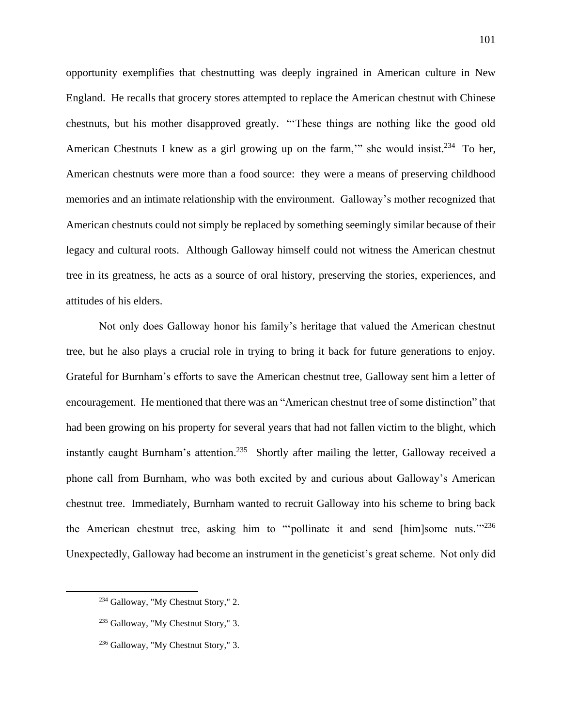opportunity exemplifies that chestnutting was deeply ingrained in American culture in New England. He recalls that grocery stores attempted to replace the American chestnut with Chinese chestnuts, but his mother disapproved greatly. "'These things are nothing like the good old American Chestnuts I knew as a girl growing up on the farm," she would insist.<sup>234</sup> To her, American chestnuts were more than a food source: they were a means of preserving childhood memories and an intimate relationship with the environment. Galloway's mother recognized that American chestnuts could not simply be replaced by something seemingly similar because of their legacy and cultural roots. Although Galloway himself could not witness the American chestnut tree in its greatness, he acts as a source of oral history, preserving the stories, experiences, and attitudes of his elders.

Not only does Galloway honor his family's heritage that valued the American chestnut tree, but he also plays a crucial role in trying to bring it back for future generations to enjoy. Grateful for Burnham's efforts to save the American chestnut tree, Galloway sent him a letter of encouragement. He mentioned that there was an "American chestnut tree of some distinction" that had been growing on his property for several years that had not fallen victim to the blight, which instantly caught Burnham's attention.<sup>235</sup> Shortly after mailing the letter, Galloway received a phone call from Burnham, who was both excited by and curious about Galloway's American chestnut tree. Immediately, Burnham wanted to recruit Galloway into his scheme to bring back the American chestnut tree, asking him to "'pollinate it and send [him]some nuts.'"<sup>236</sup> Unexpectedly, Galloway had become an instrument in the geneticist's great scheme. Not only did

<sup>234</sup> Galloway, "My Chestnut Story," 2.

<sup>235</sup> Galloway, "My Chestnut Story," 3.

<sup>236</sup> Galloway, "My Chestnut Story," 3.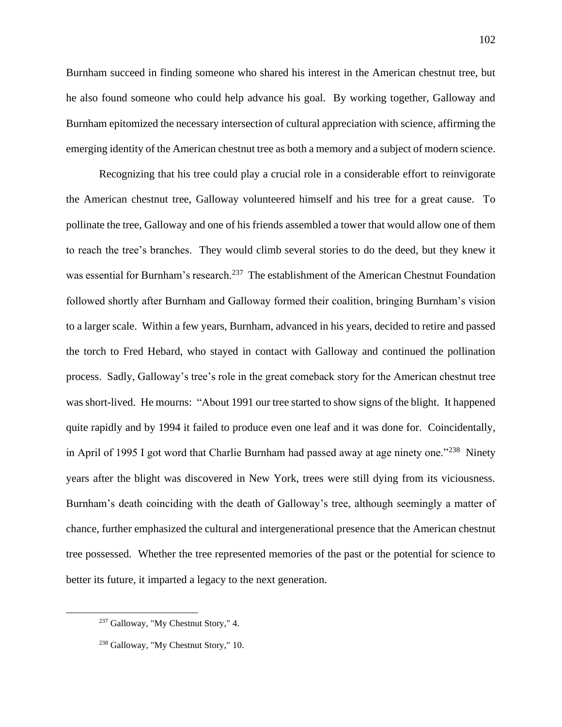Burnham succeed in finding someone who shared his interest in the American chestnut tree, but he also found someone who could help advance his goal. By working together, Galloway and Burnham epitomized the necessary intersection of cultural appreciation with science, affirming the emerging identity of the American chestnut tree as both a memory and a subject of modern science.

Recognizing that his tree could play a crucial role in a considerable effort to reinvigorate the American chestnut tree, Galloway volunteered himself and his tree for a great cause. To pollinate the tree, Galloway and one of his friends assembled a tower that would allow one of them to reach the tree's branches. They would climb several stories to do the deed, but they knew it was essential for Burnham's research.<sup>237</sup> The establishment of the American Chestnut Foundation followed shortly after Burnham and Galloway formed their coalition, bringing Burnham's vision to a larger scale. Within a few years, Burnham, advanced in his years, decided to retire and passed the torch to Fred Hebard, who stayed in contact with Galloway and continued the pollination process. Sadly, Galloway's tree's role in the great comeback story for the American chestnut tree was short-lived. He mourns: "About 1991 our tree started to show signs of the blight. It happened quite rapidly and by 1994 it failed to produce even one leaf and it was done for. Coincidentally, in April of 1995 I got word that Charlie Burnham had passed away at age ninety one."<sup>238</sup> Ninety years after the blight was discovered in New York, trees were still dying from its viciousness. Burnham's death coinciding with the death of Galloway's tree, although seemingly a matter of chance, further emphasized the cultural and intergenerational presence that the American chestnut tree possessed. Whether the tree represented memories of the past or the potential for science to better its future, it imparted a legacy to the next generation.

<sup>237</sup> Galloway, "My Chestnut Story," 4.

<sup>238</sup> Galloway, "My Chestnut Story," 10.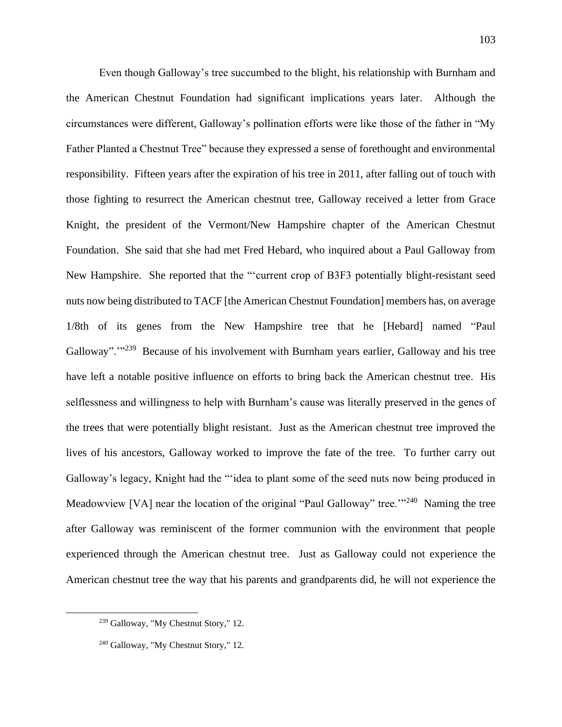Even though Galloway's tree succumbed to the blight, his relationship with Burnham and the American Chestnut Foundation had significant implications years later. Although the circumstances were different, Galloway's pollination efforts were like those of the father in "My Father Planted a Chestnut Tree" because they expressed a sense of forethought and environmental responsibility. Fifteen years after the expiration of his tree in 2011, after falling out of touch with those fighting to resurrect the American chestnut tree, Galloway received a letter from Grace Knight, the president of the Vermont/New Hampshire chapter of the American Chestnut Foundation. She said that she had met Fred Hebard, who inquired about a Paul Galloway from New Hampshire. She reported that the "'current crop of B3F3 potentially blight-resistant seed nuts now being distributed to TACF [the American Chestnut Foundation] members has, on average 1/8th of its genes from the New Hampshire tree that he [Hebard] named "Paul Galloway".<sup>"239</sup> Because of his involvement with Burnham years earlier, Galloway and his tree have left a notable positive influence on efforts to bring back the American chestnut tree. His selflessness and willingness to help with Burnham's cause was literally preserved in the genes of the trees that were potentially blight resistant. Just as the American chestnut tree improved the lives of his ancestors, Galloway worked to improve the fate of the tree. To further carry out Galloway's legacy, Knight had the "'idea to plant some of the seed nuts now being produced in Meadowview [VA] near the location of the original "Paul Galloway" tree."<sup>240</sup> Naming the tree after Galloway was reminiscent of the former communion with the environment that people experienced through the American chestnut tree. Just as Galloway could not experience the American chestnut tree the way that his parents and grandparents did, he will not experience the

<sup>239</sup> Galloway, "My Chestnut Story," 12.

<sup>240</sup> Galloway, "My Chestnut Story," 12.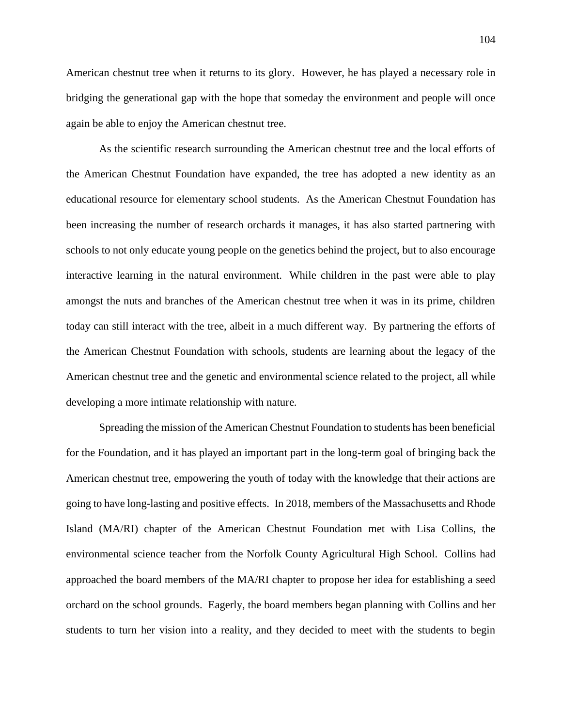American chestnut tree when it returns to its glory. However, he has played a necessary role in bridging the generational gap with the hope that someday the environment and people will once again be able to enjoy the American chestnut tree.

As the scientific research surrounding the American chestnut tree and the local efforts of the American Chestnut Foundation have expanded, the tree has adopted a new identity as an educational resource for elementary school students. As the American Chestnut Foundation has been increasing the number of research orchards it manages, it has also started partnering with schools to not only educate young people on the genetics behind the project, but to also encourage interactive learning in the natural environment. While children in the past were able to play amongst the nuts and branches of the American chestnut tree when it was in its prime, children today can still interact with the tree, albeit in a much different way. By partnering the efforts of the American Chestnut Foundation with schools, students are learning about the legacy of the American chestnut tree and the genetic and environmental science related to the project, all while developing a more intimate relationship with nature.

Spreading the mission of the American Chestnut Foundation to students has been beneficial for the Foundation, and it has played an important part in the long-term goal of bringing back the American chestnut tree, empowering the youth of today with the knowledge that their actions are going to have long-lasting and positive effects. In 2018, members of the Massachusetts and Rhode Island (MA/RI) chapter of the American Chestnut Foundation met with Lisa Collins, the environmental science teacher from the Norfolk County Agricultural High School. Collins had approached the board members of the MA/RI chapter to propose her idea for establishing a seed orchard on the school grounds. Eagerly, the board members began planning with Collins and her students to turn her vision into a reality, and they decided to meet with the students to begin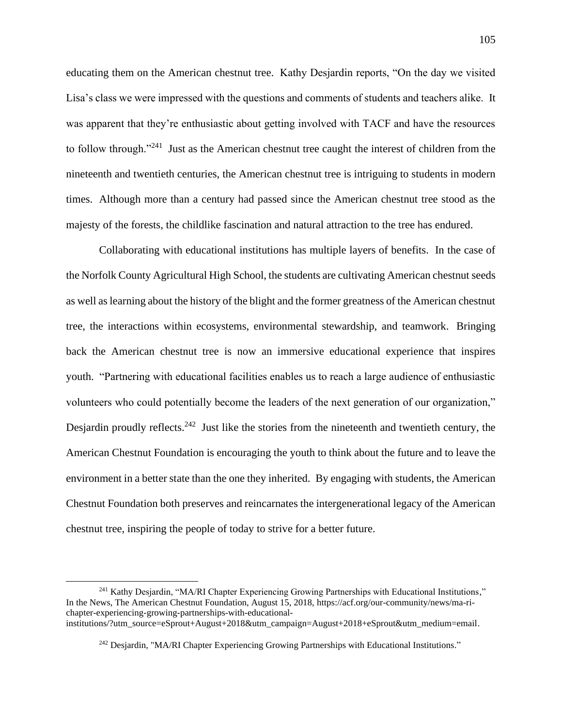educating them on the American chestnut tree. Kathy Desjardin reports, "On the day we visited Lisa's class we were impressed with the questions and comments of students and teachers alike. It was apparent that they're enthusiastic about getting involved with TACF and have the resources to follow through."<sup>241</sup> Just as the American chestnut tree caught the interest of children from the nineteenth and twentieth centuries, the American chestnut tree is intriguing to students in modern times. Although more than a century had passed since the American chestnut tree stood as the majesty of the forests, the childlike fascination and natural attraction to the tree has endured.

Collaborating with educational institutions has multiple layers of benefits. In the case of the Norfolk County Agricultural High School, the students are cultivating American chestnut seeds as well as learning about the history of the blight and the former greatness of the American chestnut tree, the interactions within ecosystems, environmental stewardship, and teamwork. Bringing back the American chestnut tree is now an immersive educational experience that inspires youth. "Partnering with educational facilities enables us to reach a large audience of enthusiastic volunteers who could potentially become the leaders of the next generation of our organization," Desjardin proudly reflects.<sup>242</sup> Just like the stories from the nineteenth and twentieth century, the American Chestnut Foundation is encouraging the youth to think about the future and to leave the environment in a better state than the one they inherited. By engaging with students, the American Chestnut Foundation both preserves and reincarnates the intergenerational legacy of the American chestnut tree, inspiring the people of today to strive for a better future.

<sup>241</sup> Kathy Desjardin, "MA/RI Chapter Experiencing Growing Partnerships with Educational Institutions," In the News, The American Chestnut Foundation, August 15, 2018, https://acf.org/our-community/news/ma-richapter-experiencing-growing-partnerships-with-educationalinstitutions/?utm\_source=eSprout+August+2018&utm\_campaign=August+2018+eSprout&utm\_medium=email.

 $242$  Desjardin, "MA/RI Chapter Experiencing Growing Partnerships with Educational Institutions."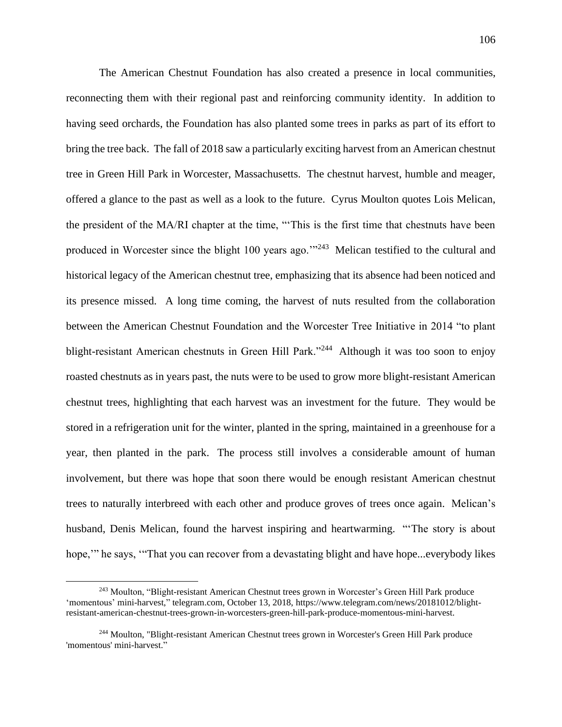The American Chestnut Foundation has also created a presence in local communities, reconnecting them with their regional past and reinforcing community identity. In addition to having seed orchards, the Foundation has also planted some trees in parks as part of its effort to bring the tree back. The fall of 2018 saw a particularly exciting harvest from an American chestnut tree in Green Hill Park in Worcester, Massachusetts. The chestnut harvest, humble and meager, offered a glance to the past as well as a look to the future. Cyrus Moulton quotes Lois Melican, the president of the MA/RI chapter at the time, "'This is the first time that chestnuts have been produced in Worcester since the blight 100 years ago."<sup>243</sup> Melican testified to the cultural and historical legacy of the American chestnut tree, emphasizing that its absence had been noticed and its presence missed. A long time coming, the harvest of nuts resulted from the collaboration between the American Chestnut Foundation and the Worcester Tree Initiative in 2014 "to plant blight-resistant American chestnuts in Green Hill Park."<sup>244</sup> Although it was too soon to enjoy roasted chestnuts as in years past, the nuts were to be used to grow more blight-resistant American chestnut trees, highlighting that each harvest was an investment for the future. They would be stored in a refrigeration unit for the winter, planted in the spring, maintained in a greenhouse for a year, then planted in the park. The process still involves a considerable amount of human involvement, but there was hope that soon there would be enough resistant American chestnut trees to naturally interbreed with each other and produce groves of trees once again. Melican's husband, Denis Melican, found the harvest inspiring and heartwarming. "'The story is about hope," he says, "That you can recover from a devastating blight and have hope...everybody likes

<sup>243</sup> Moulton, "Blight-resistant American Chestnut trees grown in Worcester's Green Hill Park produce 'momentous' mini-harvest," telegram.com, October 13, 2018, https://www.telegram.com/news/20181012/blightresistant-american-chestnut-trees-grown-in-worcesters-green-hill-park-produce-momentous-mini-harvest.

<sup>244</sup> Moulton, "Blight-resistant American Chestnut trees grown in Worcester's Green Hill Park produce 'momentous' mini-harvest."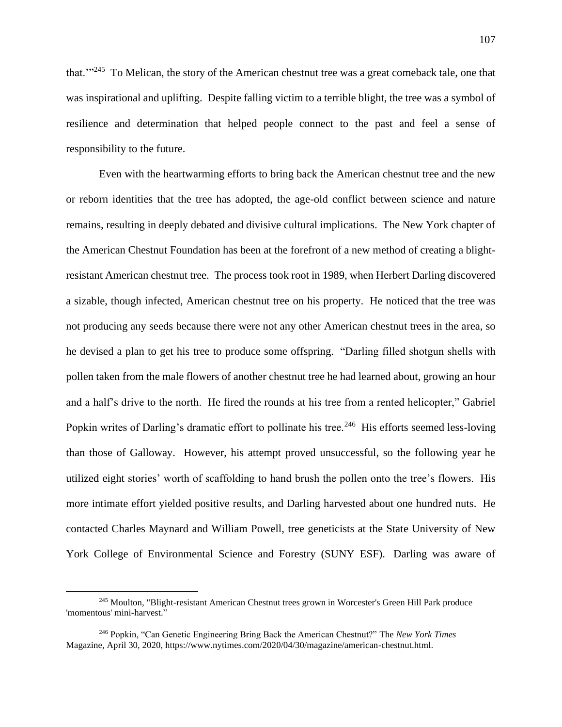that.'"<sup>245</sup> To Melican, the story of the American chestnut tree was a great comeback tale, one that was inspirational and uplifting. Despite falling victim to a terrible blight, the tree was a symbol of resilience and determination that helped people connect to the past and feel a sense of responsibility to the future.

Even with the heartwarming efforts to bring back the American chestnut tree and the new or reborn identities that the tree has adopted, the age-old conflict between science and nature remains, resulting in deeply debated and divisive cultural implications. The New York chapter of the American Chestnut Foundation has been at the forefront of a new method of creating a blightresistant American chestnut tree. The process took root in 1989, when Herbert Darling discovered a sizable, though infected, American chestnut tree on his property. He noticed that the tree was not producing any seeds because there were not any other American chestnut trees in the area, so he devised a plan to get his tree to produce some offspring. "Darling filled shotgun shells with pollen taken from the male flowers of another chestnut tree he had learned about, growing an hour and a half's drive to the north. He fired the rounds at his tree from a rented helicopter," Gabriel Popkin writes of Darling's dramatic effort to pollinate his tree.<sup>246</sup> His efforts seemed less-loving than those of Galloway. However, his attempt proved unsuccessful, so the following year he utilized eight stories' worth of scaffolding to hand brush the pollen onto the tree's flowers. His more intimate effort yielded positive results, and Darling harvested about one hundred nuts. He contacted Charles Maynard and William Powell, tree geneticists at the State University of New York College of Environmental Science and Forestry (SUNY ESF). Darling was aware of

<sup>245</sup> Moulton, "Blight-resistant American Chestnut trees grown in Worcester's Green Hill Park produce 'momentous' mini-harvest."

<sup>246</sup> Popkin, "Can Genetic Engineering Bring Back the American Chestnut?" The *New York Times*  Magazine, April 30, 2020, https://www.nytimes.com/2020/04/30/magazine/american-chestnut.html.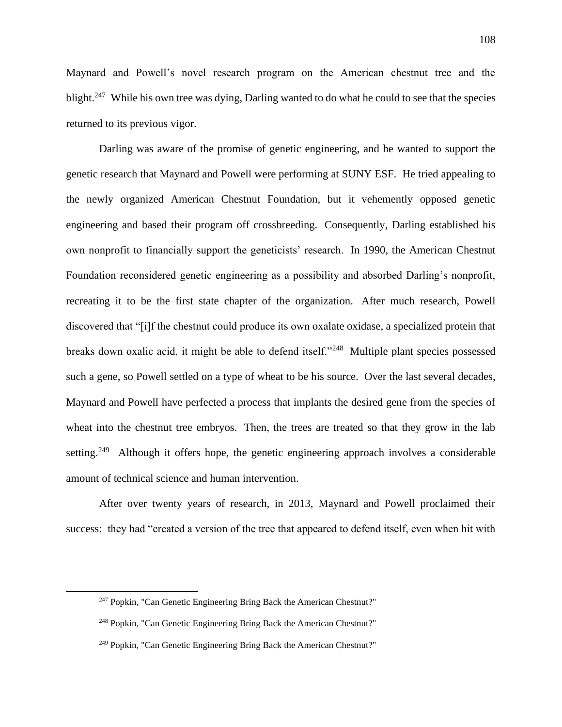Maynard and Powell's novel research program on the American chestnut tree and the blight.<sup>247</sup> While his own tree was dying, Darling wanted to do what he could to see that the species returned to its previous vigor.

Darling was aware of the promise of genetic engineering, and he wanted to support the genetic research that Maynard and Powell were performing at SUNY ESF. He tried appealing to the newly organized American Chestnut Foundation, but it vehemently opposed genetic engineering and based their program off crossbreeding. Consequently, Darling established his own nonprofit to financially support the geneticists' research. In 1990, the American Chestnut Foundation reconsidered genetic engineering as a possibility and absorbed Darling's nonprofit, recreating it to be the first state chapter of the organization. After much research, Powell discovered that "[i]f the chestnut could produce its own oxalate oxidase, a specialized protein that breaks down oxalic acid, it might be able to defend itself."<sup>248</sup> Multiple plant species possessed such a gene, so Powell settled on a type of wheat to be his source. Over the last several decades, Maynard and Powell have perfected a process that implants the desired gene from the species of wheat into the chestnut tree embryos. Then, the trees are treated so that they grow in the lab setting.<sup>249</sup> Although it offers hope, the genetic engineering approach involves a considerable amount of technical science and human intervention.

After over twenty years of research, in 2013, Maynard and Powell proclaimed their success: they had "created a version of the tree that appeared to defend itself, even when hit with

<sup>&</sup>lt;sup>247</sup> Popkin, "Can Genetic Engineering Bring Back the American Chestnut?"

<sup>248</sup> Popkin, "Can Genetic Engineering Bring Back the American Chestnut?"

<sup>&</sup>lt;sup>249</sup> Popkin, "Can Genetic Engineering Bring Back the American Chestnut?"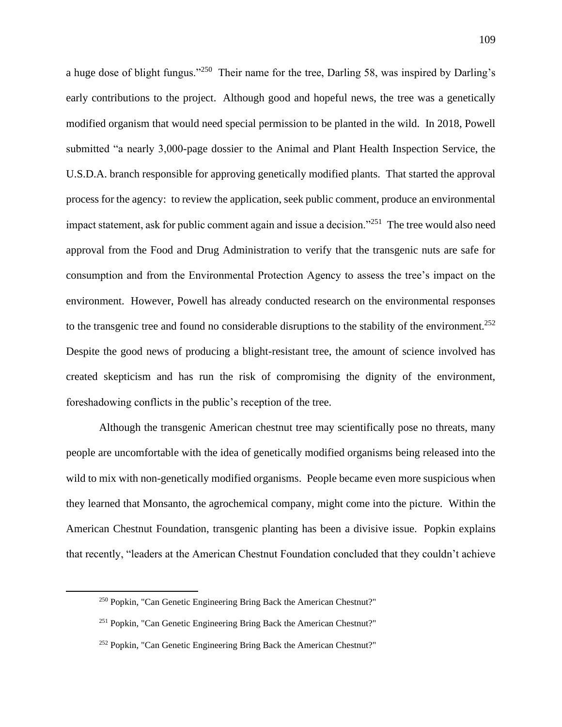a huge dose of blight fungus."<sup>250</sup> Their name for the tree, Darling 58, was inspired by Darling's early contributions to the project. Although good and hopeful news, the tree was a genetically modified organism that would need special permission to be planted in the wild. In 2018, Powell submitted "a nearly 3,000-page dossier to the Animal and Plant Health Inspection Service, the U.S.D.A. branch responsible for approving genetically modified plants. That started the approval process for the agency: to review the application, seek public comment, produce an environmental impact statement, ask for public comment again and issue a decision."<sup>251</sup> The tree would also need approval from the Food and Drug Administration to verify that the transgenic nuts are safe for consumption and from the Environmental Protection Agency to assess the tree's impact on the environment. However, Powell has already conducted research on the environmental responses to the transgenic tree and found no considerable disruptions to the stability of the environment.<sup>252</sup> Despite the good news of producing a blight-resistant tree, the amount of science involved has created skepticism and has run the risk of compromising the dignity of the environment, foreshadowing conflicts in the public's reception of the tree.

Although the transgenic American chestnut tree may scientifically pose no threats, many people are uncomfortable with the idea of genetically modified organisms being released into the wild to mix with non-genetically modified organisms. People became even more suspicious when they learned that Monsanto, the agrochemical company, might come into the picture. Within the American Chestnut Foundation, transgenic planting has been a divisive issue. Popkin explains that recently, "leaders at the American Chestnut Foundation concluded that they couldn't achieve

<sup>250</sup> Popkin, "Can Genetic Engineering Bring Back the American Chestnut?"

<sup>251</sup> Popkin, "Can Genetic Engineering Bring Back the American Chestnut?"

 $252$  Popkin, "Can Genetic Engineering Bring Back the American Chestnut?"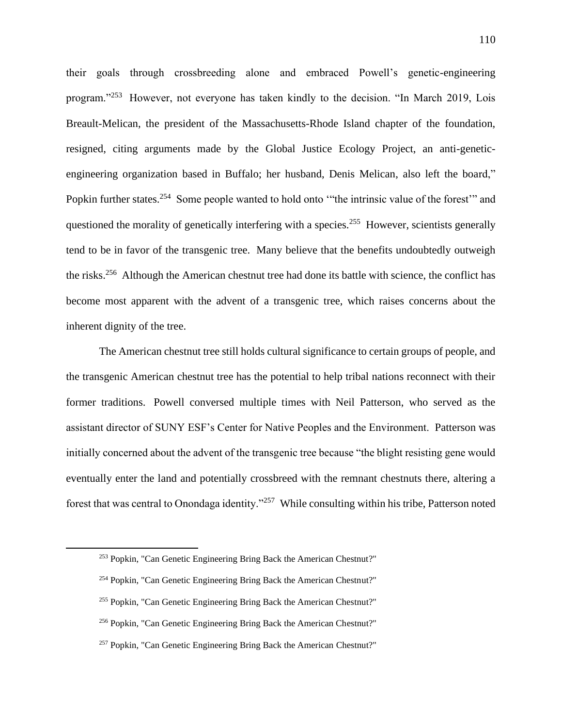their goals through crossbreeding alone and embraced Powell's genetic-engineering program."<sup>253</sup> However, not everyone has taken kindly to the decision. "In March 2019, Lois Breault-Melican, the president of the Massachusetts-Rhode Island chapter of the foundation, resigned, citing arguments made by the Global Justice Ecology Project, an anti-geneticengineering organization based in Buffalo; her husband, Denis Melican, also left the board," Popkin further states.<sup>254</sup> Some people wanted to hold onto "the intrinsic value of the forest" and questioned the morality of genetically interfering with a species.<sup>255</sup> However, scientists generally tend to be in favor of the transgenic tree. Many believe that the benefits undoubtedly outweigh the risks.<sup>256</sup> Although the American chestnut tree had done its battle with science, the conflict has become most apparent with the advent of a transgenic tree, which raises concerns about the inherent dignity of the tree.

The American chestnut tree still holds cultural significance to certain groups of people, and the transgenic American chestnut tree has the potential to help tribal nations reconnect with their former traditions. Powell conversed multiple times with Neil Patterson, who served as the assistant director of SUNY ESF's Center for Native Peoples and the Environment. Patterson was initially concerned about the advent of the transgenic tree because "the blight resisting gene would eventually enter the land and potentially crossbreed with the remnant chestnuts there, altering a forest that was central to Onondaga identity."<sup>257</sup> While consulting within his tribe, Patterson noted

<sup>253</sup> Popkin, "Can Genetic Engineering Bring Back the American Chestnut?"

<sup>&</sup>lt;sup>254</sup> Popkin, "Can Genetic Engineering Bring Back the American Chestnut?"

<sup>&</sup>lt;sup>255</sup> Popkin, "Can Genetic Engineering Bring Back the American Chestnut?"

<sup>256</sup> Popkin, "Can Genetic Engineering Bring Back the American Chestnut?"

<sup>&</sup>lt;sup>257</sup> Popkin, "Can Genetic Engineering Bring Back the American Chestnut?"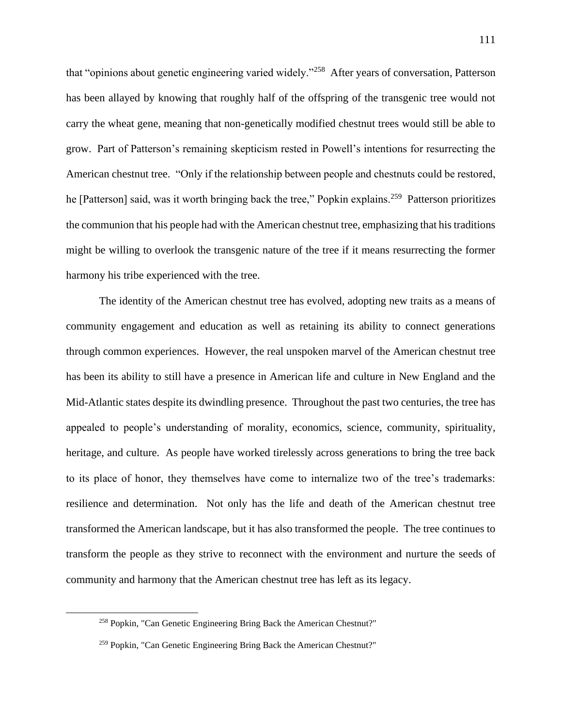that "opinions about genetic engineering varied widely."<sup>258</sup> After years of conversation, Patterson has been allayed by knowing that roughly half of the offspring of the transgenic tree would not carry the wheat gene, meaning that non-genetically modified chestnut trees would still be able to grow. Part of Patterson's remaining skepticism rested in Powell's intentions for resurrecting the American chestnut tree. "Only if the relationship between people and chestnuts could be restored, he [Patterson] said, was it worth bringing back the tree," Popkin explains.<sup>259</sup> Patterson prioritizes the communion that his people had with the American chestnut tree, emphasizing that his traditions might be willing to overlook the transgenic nature of the tree if it means resurrecting the former harmony his tribe experienced with the tree.

The identity of the American chestnut tree has evolved, adopting new traits as a means of community engagement and education as well as retaining its ability to connect generations through common experiences. However, the real unspoken marvel of the American chestnut tree has been its ability to still have a presence in American life and culture in New England and the Mid-Atlantic states despite its dwindling presence. Throughout the past two centuries, the tree has appealed to people's understanding of morality, economics, science, community, spirituality, heritage, and culture. As people have worked tirelessly across generations to bring the tree back to its place of honor, they themselves have come to internalize two of the tree's trademarks: resilience and determination. Not only has the life and death of the American chestnut tree transformed the American landscape, but it has also transformed the people. The tree continues to transform the people as they strive to reconnect with the environment and nurture the seeds of community and harmony that the American chestnut tree has left as its legacy.

<sup>258</sup> Popkin, "Can Genetic Engineering Bring Back the American Chestnut?"

<sup>259</sup> Popkin, "Can Genetic Engineering Bring Back the American Chestnut?"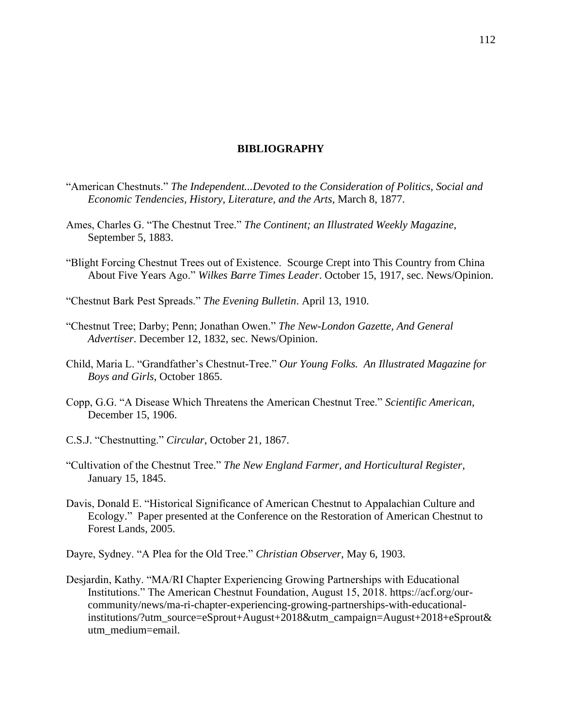## **BIBLIOGRAPHY**

- "American Chestnuts." *The Independent...Devoted to the Consideration of Politics, Social and Economic Tendencies, History, Literature, and the Arts*, March 8, 1877.
- Ames, Charles G. "The Chestnut Tree." *The Continent; an Illustrated Weekly Magazine*, September 5, 1883.
- "Blight Forcing Chestnut Trees out of Existence. Scourge Crept into This Country from China About Five Years Ago." *Wilkes Barre Times Leader*. October 15, 1917, sec. News/Opinion.
- "Chestnut Bark Pest Spreads." *The Evening Bulletin*. April 13, 1910.
- "Chestnut Tree; Darby; Penn; Jonathan Owen." *The New-London Gazette, And General Advertiser*. December 12, 1832, sec. News/Opinion.
- Child, Maria L. "Grandfather's Chestnut-Tree." *Our Young Folks. An Illustrated Magazine for Boys and Girls*, October 1865.
- Copp, G.G. "A Disease Which Threatens the American Chestnut Tree." *Scientific American*, December 15, 1906.
- C.S.J. "Chestnutting." *Circular*, October 21, 1867.
- "Cultivation of the Chestnut Tree." *The New England Farmer, and Horticultural Register*, January 15, 1845.
- Davis, Donald E. "Historical Significance of American Chestnut to Appalachian Culture and Ecology." Paper presented at the Conference on the Restoration of American Chestnut to Forest Lands, 2005.
- Dayre, Sydney. "A Plea for the Old Tree." *Christian Observer*, May 6, 1903.
- Desjardin, Kathy. "MA/RI Chapter Experiencing Growing Partnerships with Educational Institutions." The American Chestnut Foundation, August 15, 2018. https://acf.org/ourcommunity/news/ma-ri-chapter-experiencing-growing-partnerships-with-educationalinstitutions/?utm\_source=eSprout+August+2018&utm\_campaign=August+2018+eSprout& utm\_medium=email.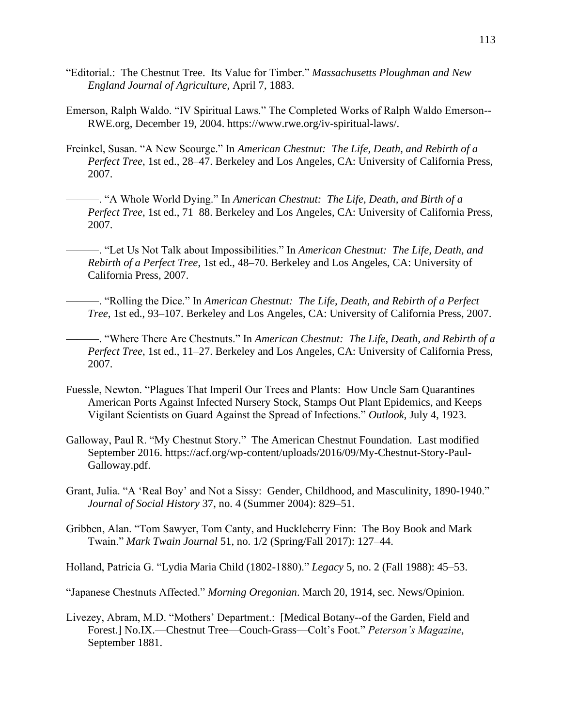- "Editorial.: The Chestnut Tree. Its Value for Timber." *Massachusetts Ploughman and New England Journal of Agriculture*, April 7, 1883.
- Emerson, Ralph Waldo. "IV Spiritual Laws." The Completed Works of Ralph Waldo Emerson-- RWE.org, December 19, 2004. https://www.rwe.org/iv-spiritual-laws/.
- Freinkel, Susan. "A New Scourge." In *American Chestnut: The Life, Death, and Rebirth of a Perfect Tree*, 1st ed., 28–47. Berkeley and Los Angeles, CA: University of California Press, 2007.
	- ———. "A Whole World Dying." In *American Chestnut: The Life, Death, and Birth of a Perfect Tree*, 1st ed., 71–88. Berkeley and Los Angeles, CA: University of California Press, 2007.
	- ———. "Let Us Not Talk about Impossibilities." In *American Chestnut: The Life, Death, and Rebirth of a Perfect Tree*, 1st ed., 48–70. Berkeley and Los Angeles, CA: University of California Press, 2007.
	- ———. "Rolling the Dice." In *American Chestnut: The Life, Death, and Rebirth of a Perfect Tree*, 1st ed., 93–107. Berkeley and Los Angeles, CA: University of California Press, 2007.

———. "Where There Are Chestnuts." In *American Chestnut: The Life, Death, and Rebirth of a Perfect Tree*, 1st ed., 11–27. Berkeley and Los Angeles, CA: University of California Press, 2007.

- Fuessle, Newton. "Plagues That Imperil Our Trees and Plants: How Uncle Sam Quarantines American Ports Against Infected Nursery Stock, Stamps Out Plant Epidemics, and Keeps Vigilant Scientists on Guard Against the Spread of Infections." *Outlook*, July 4, 1923.
- Galloway, Paul R. "My Chestnut Story." The American Chestnut Foundation. Last modified September 2016. https://acf.org/wp-content/uploads/2016/09/My-Chestnut-Story-Paul-Galloway.pdf.
- Grant, Julia. "A 'Real Boy' and Not a Sissy: Gender, Childhood, and Masculinity, 1890-1940." *Journal of Social History* 37, no. 4 (Summer 2004): 829–51.
- Gribben, Alan. "Tom Sawyer, Tom Canty, and Huckleberry Finn: The Boy Book and Mark Twain." *Mark Twain Journal* 51, no. 1/2 (Spring/Fall 2017): 127–44.

Holland, Patricia G. "Lydia Maria Child (1802-1880)." *Legacy* 5, no. 2 (Fall 1988): 45–53.

"Japanese Chestnuts Affected." *Morning Oregonian*. March 20, 1914, sec. News/Opinion.

Livezey, Abram, M.D. "Mothers' Department.: [Medical Botany--of the Garden, Field and Forest.] No.IX.—Chestnut Tree—Couch-Grass—Colt's Foot." *Peterson's Magazine*, September 1881.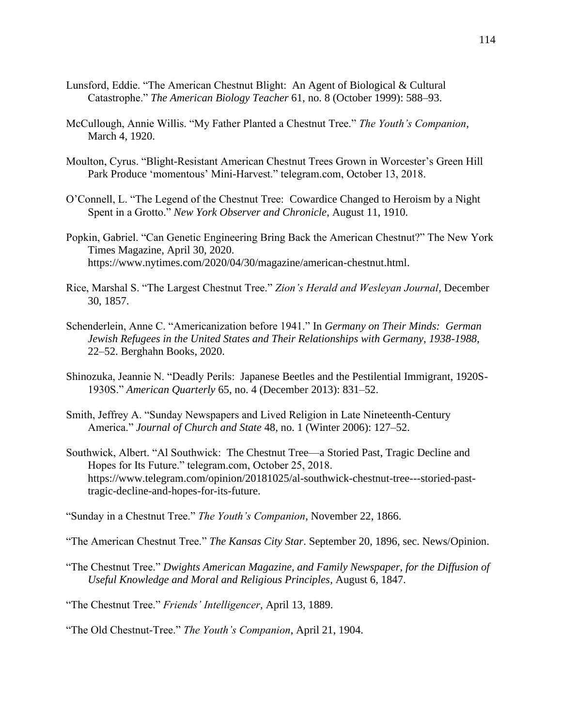- Lunsford, Eddie. "The American Chestnut Blight: An Agent of Biological & Cultural Catastrophe." *The American Biology Teacher* 61, no. 8 (October 1999): 588–93.
- McCullough, Annie Willis. "My Father Planted a Chestnut Tree." *The Youth's Companion*, March 4, 1920.
- Moulton, Cyrus. "Blight-Resistant American Chestnut Trees Grown in Worcester's Green Hill Park Produce 'momentous' Mini-Harvest." telegram.com, October 13, 2018.
- O'Connell, L. "The Legend of the Chestnut Tree: Cowardice Changed to Heroism by a Night Spent in a Grotto." *New York Observer and Chronicle*, August 11, 1910.
- Popkin, Gabriel. "Can Genetic Engineering Bring Back the American Chestnut?" The New York Times Magazine, April 30, 2020. https://www.nytimes.com/2020/04/30/magazine/american-chestnut.html.
- Rice, Marshal S. "The Largest Chestnut Tree." *Zion's Herald and Wesleyan Journal*, December 30, 1857.
- Schenderlein, Anne C. "Americanization before 1941." In *Germany on Their Minds: German Jewish Refugees in the United States and Their Relationships with Germany, 1938-1988*, 22–52. Berghahn Books, 2020.
- Shinozuka, Jeannie N. "Deadly Perils: Japanese Beetles and the Pestilential Immigrant, 1920S-1930S." *American Quarterly* 65, no. 4 (December 2013): 831–52.
- Smith, Jeffrey A. "Sunday Newspapers and Lived Religion in Late Nineteenth-Century America." *Journal of Church and State* 48, no. 1 (Winter 2006): 127–52.
- Southwick, Albert. "Al Southwick: The Chestnut Tree—a Storied Past, Tragic Decline and Hopes for Its Future." telegram.com, October 25, 2018. https://www.telegram.com/opinion/20181025/al-southwick-chestnut-tree---storied-pasttragic-decline-and-hopes-for-its-future.

"Sunday in a Chestnut Tree." *The Youth's Companion*, November 22, 1866.

"The American Chestnut Tree." *The Kansas City Star*. September 20, 1896, sec. News/Opinion.

- "The Chestnut Tree." *Dwights American Magazine, and Family Newspaper, for the Diffusion of Useful Knowledge and Moral and Religious Principles*, August 6, 1847.
- "The Chestnut Tree." *Friends' Intelligencer*, April 13, 1889.

"The Old Chestnut-Tree." *The Youth's Companion*, April 21, 1904.